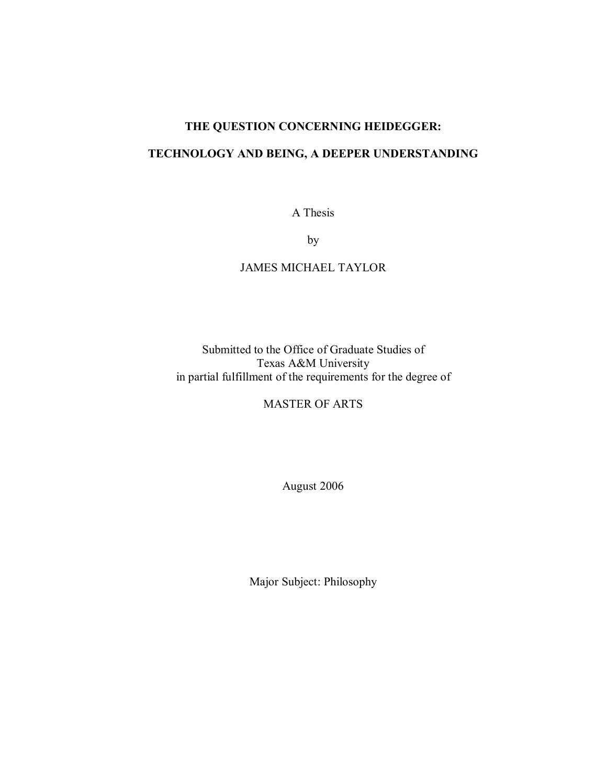# **THE QUESTION CONCERNING HEIDEGGER:**

# **TECHNOLOGY AND BEING, A DEEPER UNDERSTANDING**

A Thesis

by

# JAMES MICHAEL TAYLOR

Submitted to the Office of Graduate Studies of Texas A&M University in partial fulfillment of the requirements for the degree of

MASTER OF ARTS

August 2006

Major Subject: Philosophy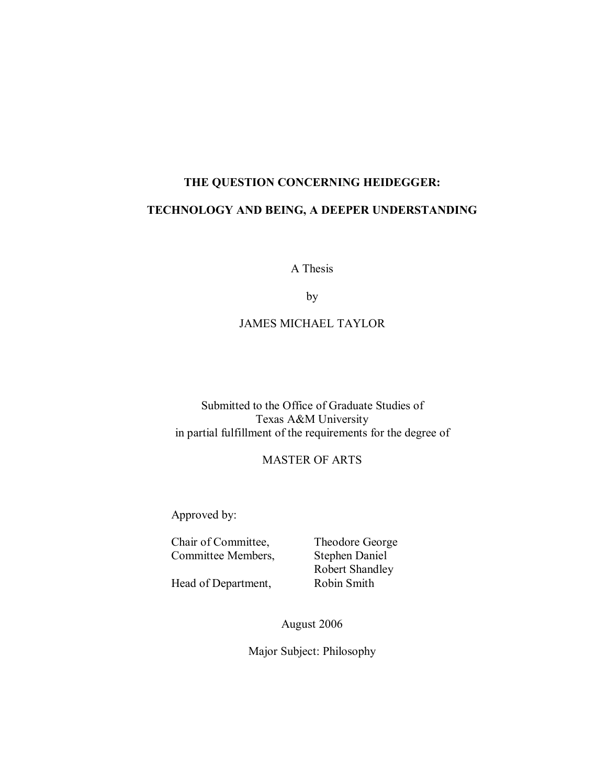# **THE QUESTION CONCERNING HEIDEGGER: TECHNOLOGY AND BEING, A DEEPER UNDERSTANDING**

A Thesis

by

# JAMES MICHAEL TAYLOR

Submitted to the Office of Graduate Studies of Texas A&M University in partial fulfillment of the requirements for the degree of

# MASTER OF ARTS

Approved by:

Chair of Committee, Theodore George Committee Members, Stephen Daniel

 Robert Shandley Head of Department, Robin Smith

August 2006

Major Subject: Philosophy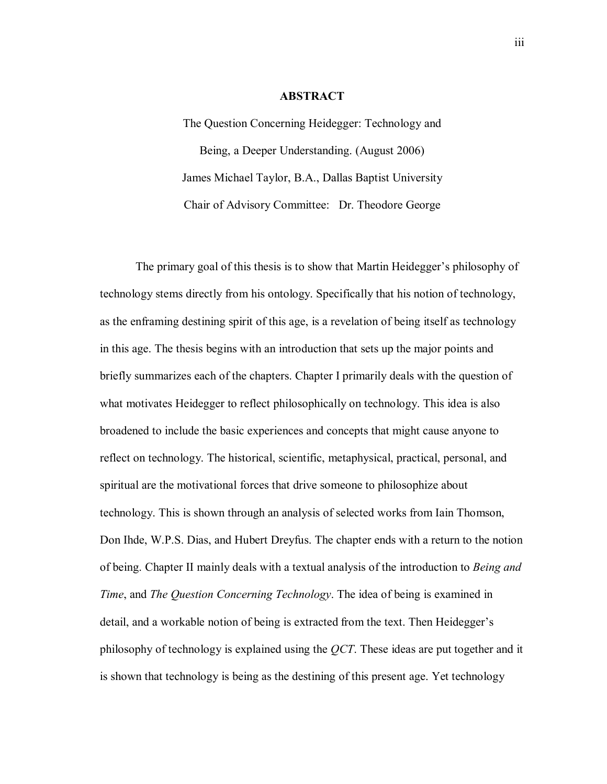#### **ABSTRACT**

The Question Concerning Heidegger: Technology and Being, a Deeper Understanding. (August 2006) James Michael Taylor, B.A., Dallas Baptist University Chair of Advisory Committee: Dr. Theodore George

The primary goal of this thesis is to show that Martin Heidegger's philosophy of technology stems directly from his ontology. Specifically that his notion of technology, as the enframing destining spirit of this age, is a revelation of being itself as technology in this age. The thesis begins with an introduction that sets up the major points and briefly summarizes each of the chapters. Chapter I primarily deals with the question of what motivates Heidegger to reflect philosophically on technology. This idea is also broadened to include the basic experiences and concepts that might cause anyone to reflect on technology. The historical, scientific, metaphysical, practical, personal, and spiritual are the motivational forces that drive someone to philosophize about technology. This is shown through an analysis of selected works from Iain Thomson, Don Ihde, W.P.S. Dias, and Hubert Dreyfus. The chapter ends with a return to the notion of being. Chapter II mainly deals with a textual analysis of the introduction to *Being and Time*, and *The Question Concerning Technology*. The idea of being is examined in detail, and a workable notion of being is extracted from the text. Then Heidegger's philosophy of technology is explained using the *QCT*. These ideas are put together and it is shown that technology is being as the destining of this present age. Yet technology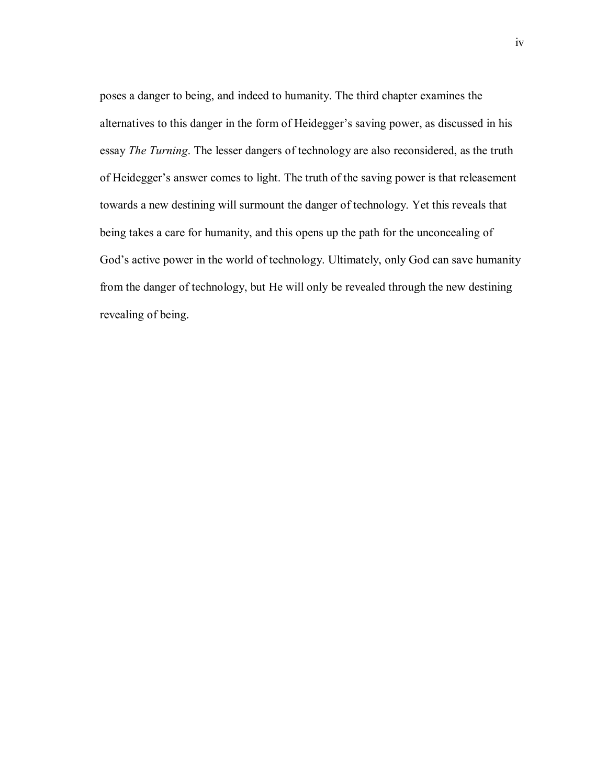poses a danger to being, and indeed to humanity. The third chapter examines the alternatives to this danger in the form of Heidegger's saving power, as discussed in his essay *The Turning*. The lesser dangers of technology are also reconsidered, as the truth of Heidegger's answer comes to light. The truth of the saving power is that releasement towards a new destining will surmount the danger of technology. Yet this reveals that being takes a care for humanity, and this opens up the path for the unconcealing of God's active power in the world of technology. Ultimately, only God can save humanity from the danger of technology, but He will only be revealed through the new destining revealing of being.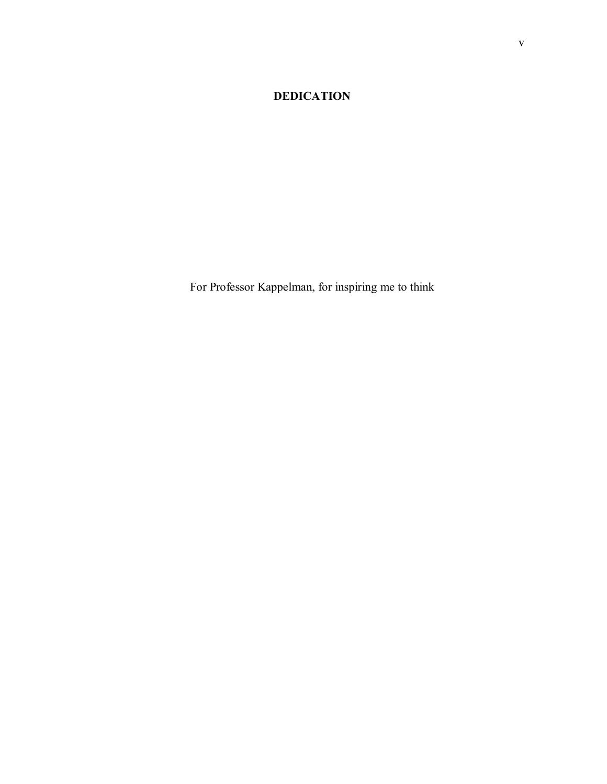# **DEDICATION**

For Professor Kappelman, for inspiring me to think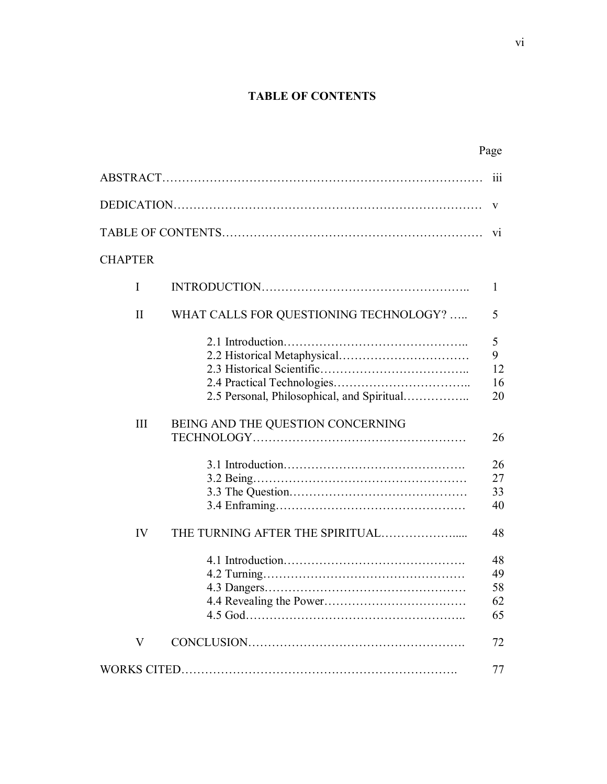# **TABLE OF CONTENTS**

|                |                                            | Page                       |
|----------------|--------------------------------------------|----------------------------|
|                |                                            | 111                        |
|                |                                            | V                          |
|                |                                            | V1                         |
| <b>CHAPTER</b> |                                            |                            |
| I              |                                            | 1                          |
| $\mathbf{I}$   | WHAT CALLS FOR QUESTIONING TECHNOLOGY?     | 5                          |
|                | 2.5 Personal, Philosophical, and Spiritual | 5<br>9<br>12<br>16<br>20   |
| Ш              | BEING AND THE QUESTION CONCERNING          | 26                         |
|                |                                            | 26<br>27<br>33<br>40       |
| IV             |                                            | 48                         |
|                |                                            | 48<br>49<br>58<br>62<br>65 |
| V              |                                            | 72                         |
|                |                                            | 77                         |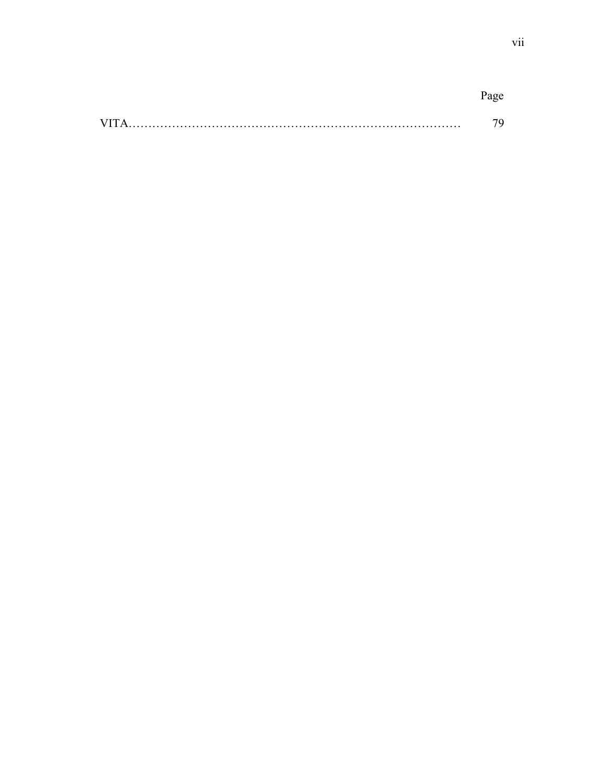| AZIT. |  |
|-------|--|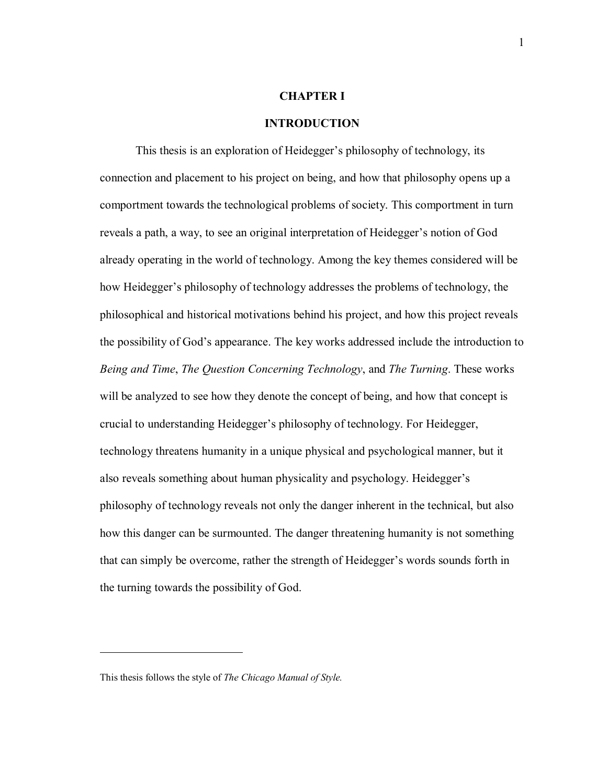#### **CHAPTER I**

#### **INTRODUCTION**

This thesis is an exploration of Heidegger's philosophy of technology, its connection and placement to his project on being, and how that philosophy opens up a comportment towards the technological problems of society. This comportment in turn reveals a path, a way, to see an original interpretation of Heidegger's notion of God already operating in the world of technology. Among the key themes considered will be how Heidegger's philosophy of technology addresses the problems of technology, the philosophical and historical motivations behind his project, and how this project reveals the possibility of Godís appearance. The key works addressed include the introduction to *Being and Time*, *The Question Concerning Technology*, and *The Turning*. These works will be analyzed to see how they denote the concept of being, and how that concept is crucial to understanding Heidegger's philosophy of technology. For Heidegger, technology threatens humanity in a unique physical and psychological manner, but it also reveals something about human physicality and psychology. Heidegger's philosophy of technology reveals not only the danger inherent in the technical, but also how this danger can be surmounted. The danger threatening humanity is not something that can simply be overcome, rather the strength of Heidegger's words sounds forth in the turning towards the possibility of God.1

This thesis follows the style of *The Chicago Manual of Style.*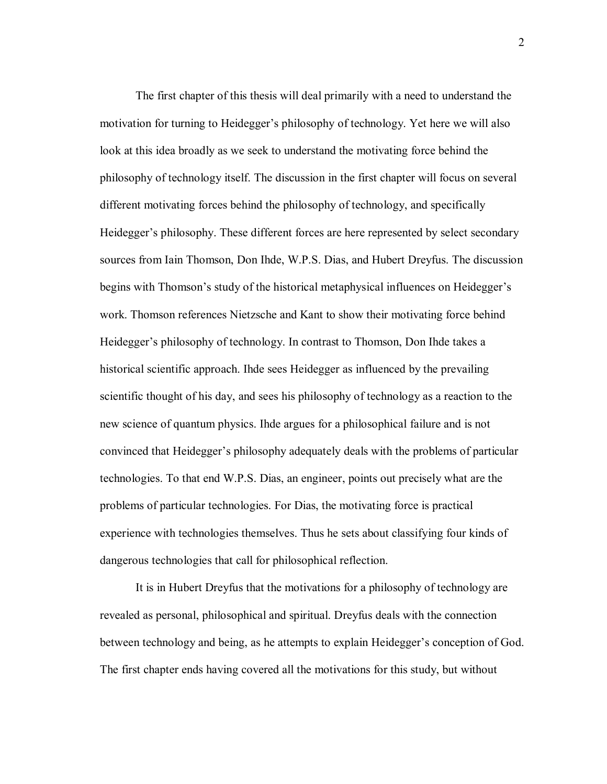The first chapter of this thesis will deal primarily with a need to understand the motivation for turning to Heidegger's philosophy of technology. Yet here we will also look at this idea broadly as we seek to understand the motivating force behind the philosophy of technology itself. The discussion in the first chapter will focus on several different motivating forces behind the philosophy of technology, and specifically Heidegger's philosophy. These different forces are here represented by select secondary sources from Iain Thomson, Don Ihde, W.P.S. Dias, and Hubert Dreyfus. The discussion begins with Thomson's study of the historical metaphysical influences on Heidegger's work. Thomson references Nietzsche and Kant to show their motivating force behind Heidegger's philosophy of technology. In contrast to Thomson, Don Ihde takes a historical scientific approach. Ihde sees Heidegger as influenced by the prevailing scientific thought of his day, and sees his philosophy of technology as a reaction to the new science of quantum physics. Ihde argues for a philosophical failure and is not convinced that Heidegger's philosophy adequately deals with the problems of particular technologies. To that end W.P.S. Dias, an engineer, points out precisely what are the problems of particular technologies. For Dias, the motivating force is practical experience with technologies themselves. Thus he sets about classifying four kinds of dangerous technologies that call for philosophical reflection.

It is in Hubert Dreyfus that the motivations for a philosophy of technology are revealed as personal, philosophical and spiritual. Dreyfus deals with the connection between technology and being, as he attempts to explain Heidegger's conception of God. The first chapter ends having covered all the motivations for this study, but without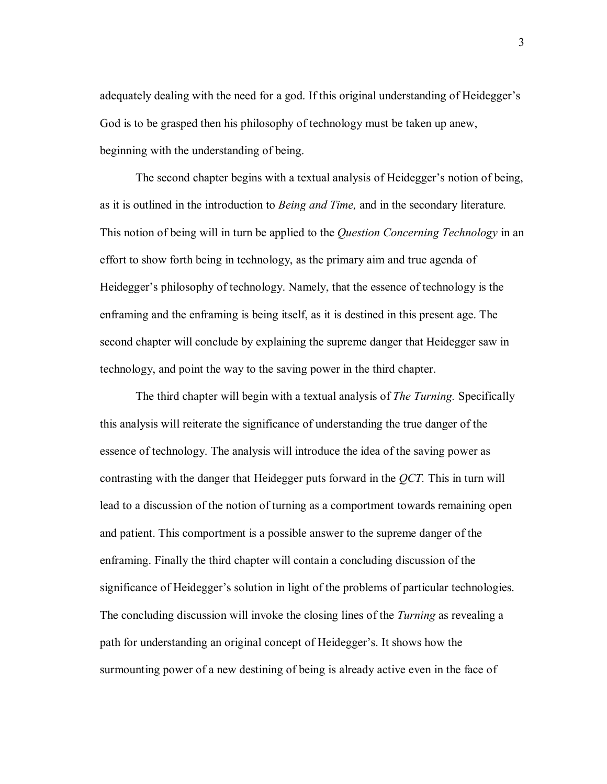adequately dealing with the need for a god. If this original understanding of Heidegger's God is to be grasped then his philosophy of technology must be taken up anew, beginning with the understanding of being.

The second chapter begins with a textual analysis of Heidegger's notion of being, as it is outlined in the introduction to *Being and Time,* and in the secondary literature*.* This notion of being will in turn be applied to the *Question Concerning Technology* in an effort to show forth being in technology, as the primary aim and true agenda of Heidegger's philosophy of technology. Namely, that the essence of technology is the enframing and the enframing is being itself, as it is destined in this present age. The second chapter will conclude by explaining the supreme danger that Heidegger saw in technology, and point the way to the saving power in the third chapter.

The third chapter will begin with a textual analysis of *The Turning.* Specifically this analysis will reiterate the significance of understanding the true danger of the essence of technology. The analysis will introduce the idea of the saving power as contrasting with the danger that Heidegger puts forward in the *QCT.* This in turn will lead to a discussion of the notion of turning as a comportment towards remaining open and patient. This comportment is a possible answer to the supreme danger of the enframing. Finally the third chapter will contain a concluding discussion of the significance of Heidegger's solution in light of the problems of particular technologies. The concluding discussion will invoke the closing lines of the *Turning* as revealing a path for understanding an original concept of Heidegger's. It shows how the surmounting power of a new destining of being is already active even in the face of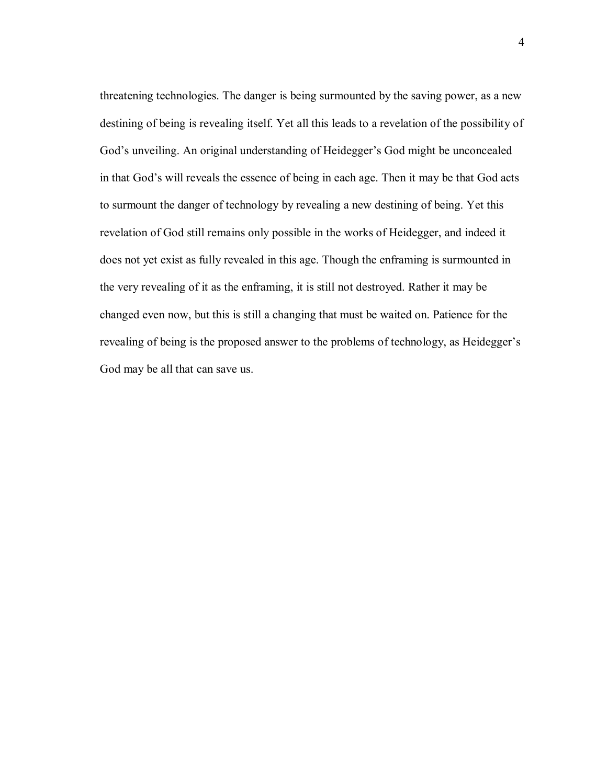threatening technologies. The danger is being surmounted by the saving power, as a new destining of being is revealing itself. Yet all this leads to a revelation of the possibility of God's unveiling. An original understanding of Heidegger's God might be unconcealed in that God's will reveals the essence of being in each age. Then it may be that God acts to surmount the danger of technology by revealing a new destining of being. Yet this revelation of God still remains only possible in the works of Heidegger, and indeed it does not yet exist as fully revealed in this age. Though the enframing is surmounted in the very revealing of it as the enframing, it is still not destroyed. Rather it may be changed even now, but this is still a changing that must be waited on. Patience for the revealing of being is the proposed answer to the problems of technology, as Heidegger's God may be all that can save us.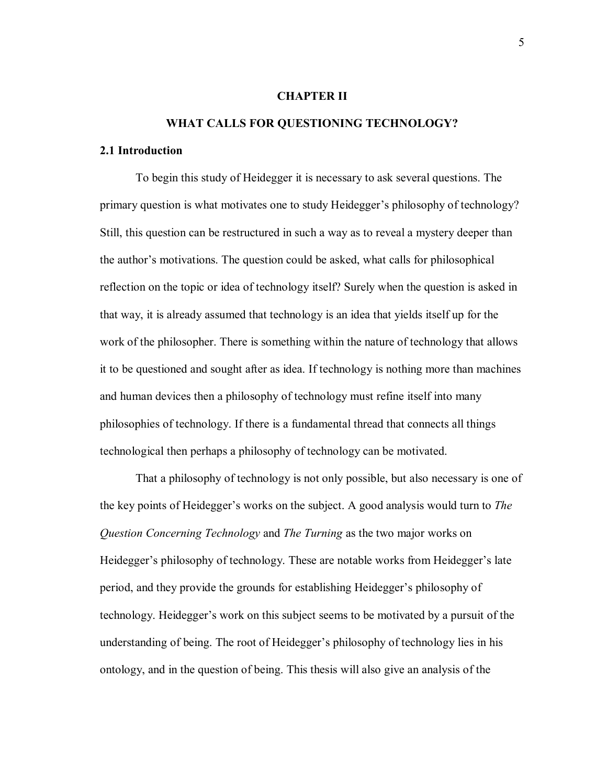#### **CHAPTER II**

# **WHAT CALLS FOR QUESTIONING TECHNOLOGY?**

## **2.1 Introduction**

To begin this study of Heidegger it is necessary to ask several questions. The primary question is what motivates one to study Heidegger's philosophy of technology? Still, this question can be restructured in such a way as to reveal a mystery deeper than the author's motivations. The question could be asked, what calls for philosophical reflection on the topic or idea of technology itself? Surely when the question is asked in that way, it is already assumed that technology is an idea that yields itself up for the work of the philosopher. There is something within the nature of technology that allows it to be questioned and sought after as idea. If technology is nothing more than machines and human devices then a philosophy of technology must refine itself into many philosophies of technology. If there is a fundamental thread that connects all things technological then perhaps a philosophy of technology can be motivated.

That a philosophy of technology is not only possible, but also necessary is one of the key points of Heidegger's works on the subject. A good analysis would turn to *The Question Concerning Technology* and *The Turning* as the two major works on Heidegger's philosophy of technology. These are notable works from Heidegger's late period, and they provide the grounds for establishing Heidegger's philosophy of technology. Heidegger's work on this subject seems to be motivated by a pursuit of the understanding of being. The root of Heidegger's philosophy of technology lies in his ontology, and in the question of being. This thesis will also give an analysis of the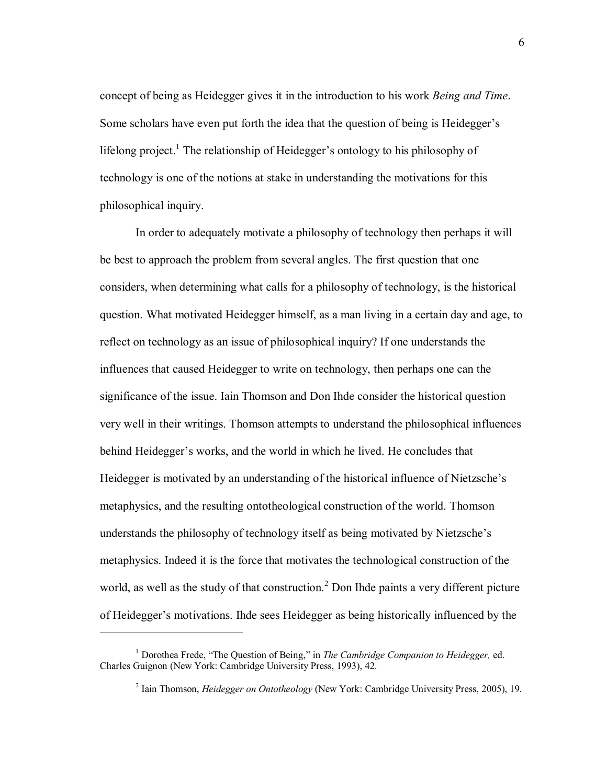concept of being as Heidegger gives it in the introduction to his work *Being and Time*. Some scholars have even put forth the idea that the question of being is Heidegger's lifelong project.<sup>1</sup> The relationship of Heidegger's ontology to his philosophy of technology is one of the notions at stake in understanding the motivations for this philosophical inquiry.

In order to adequately motivate a philosophy of technology then perhaps it will be best to approach the problem from several angles. The first question that one considers, when determining what calls for a philosophy of technology, is the historical question. What motivated Heidegger himself, as a man living in a certain day and age, to reflect on technology as an issue of philosophical inquiry? If one understands the influences that caused Heidegger to write on technology, then perhaps one can the significance of the issue. Iain Thomson and Don Ihde consider the historical question very well in their writings. Thomson attempts to understand the philosophical influences behind Heidegger's works, and the world in which he lived. He concludes that Heidegger is motivated by an understanding of the historical influence of Nietzsche's metaphysics, and the resulting ontotheological construction of the world. Thomson understands the philosophy of technology itself as being motivated by Nietzsche's metaphysics. Indeed it is the force that motivates the technological construction of the world, as well as the study of that construction.<sup>2</sup> Don Ihde paints a very different picture of Heidegger's motivations. Ihde sees Heidegger as being historically influenced by the

<sup>&</sup>lt;sup>1</sup> Dorothea Frede, "The Question of Being," in *The Cambridge Companion to Heidegger*, ed. Charles Guignon (New York: Cambridge University Press, 1993), 42.

<sup>2</sup> Iain Thomson, *Heidegger on Ontotheology* (New York: Cambridge University Press, 2005), 19.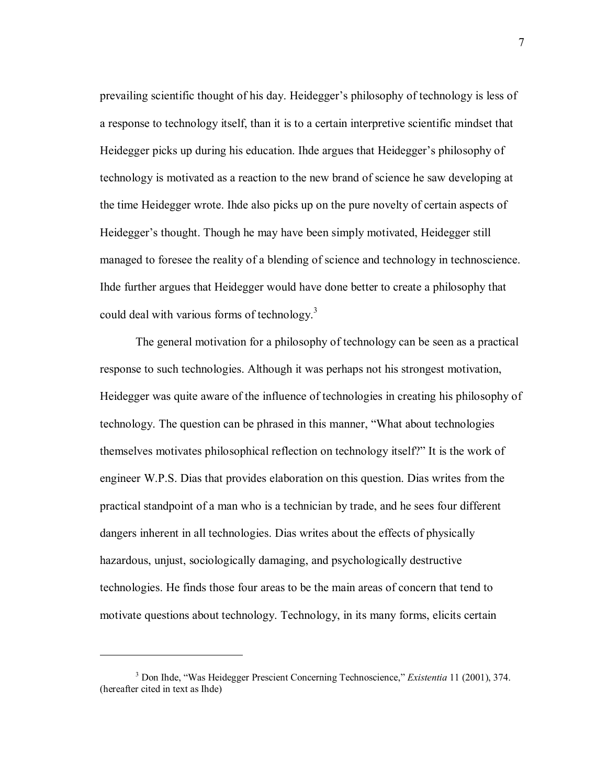prevailing scientific thought of his day. Heidegger's philosophy of technology is less of a response to technology itself, than it is to a certain interpretive scientific mindset that Heidegger picks up during his education. Ihde argues that Heidegger's philosophy of technology is motivated as a reaction to the new brand of science he saw developing at the time Heidegger wrote. Ihde also picks up on the pure novelty of certain aspects of Heidegger's thought. Though he may have been simply motivated, Heidegger still managed to foresee the reality of a blending of science and technology in technoscience. Ihde further argues that Heidegger would have done better to create a philosophy that could deal with various forms of technology.<sup>3</sup>

The general motivation for a philosophy of technology can be seen as a practical response to such technologies. Although it was perhaps not his strongest motivation, Heidegger was quite aware of the influence of technologies in creating his philosophy of technology. The question can be phrased in this manner, "What about technologies" themselves motivates philosophical reflection on technology itself?" It is the work of engineer W.P.S. Dias that provides elaboration on this question. Dias writes from the practical standpoint of a man who is a technician by trade, and he sees four different dangers inherent in all technologies. Dias writes about the effects of physically hazardous, unjust, sociologically damaging, and psychologically destructive technologies. He finds those four areas to be the main areas of concern that tend to motivate questions about technology. Technology, in its many forms, elicits certain

 $\overline{a}$ 

7

<sup>&</sup>lt;sup>3</sup> Don Ihde, "Was Heidegger Prescient Concerning Technoscience," *Existentia* 11 (2001), 374. (hereafter cited in text as Ihde)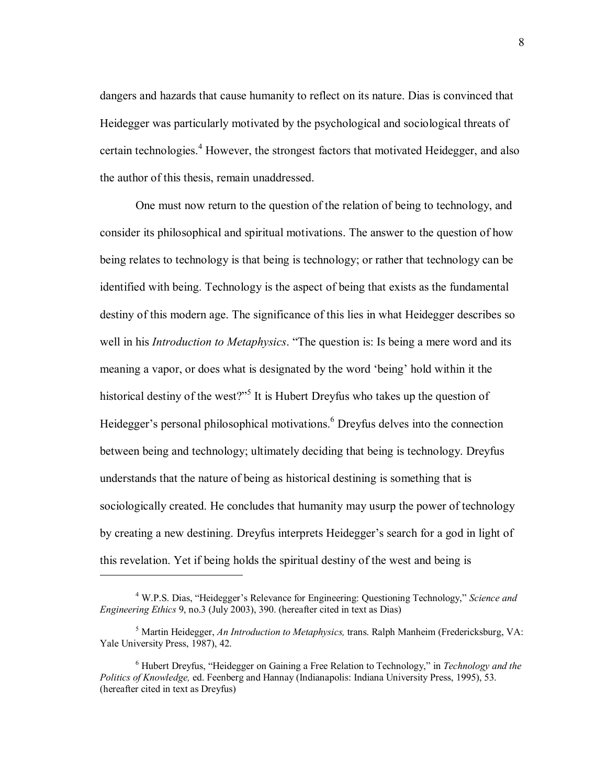dangers and hazards that cause humanity to reflect on its nature. Dias is convinced that Heidegger was particularly motivated by the psychological and sociological threats of certain technologies.<sup>4</sup> However, the strongest factors that motivated Heidegger, and also the author of this thesis, remain unaddressed.

One must now return to the question of the relation of being to technology, and consider its philosophical and spiritual motivations. The answer to the question of how being relates to technology is that being is technology; or rather that technology can be identified with being. Technology is the aspect of being that exists as the fundamental destiny of this modern age. The significance of this lies in what Heidegger describes so well in his *Introduction to Metaphysics*. "The question is: Is being a mere word and its meaning a vapor, or does what is designated by the word 'being' hold within it the historical destiny of the west?"<sup>5</sup> It is Hubert Dreyfus who takes up the question of Heidegger's personal philosophical motivations.<sup>6</sup> Dreyfus delves into the connection between being and technology; ultimately deciding that being is technology. Dreyfus understands that the nature of being as historical destining is something that is sociologically created. He concludes that humanity may usurp the power of technology by creating a new destining. Dreyfus interprets Heidegger's search for a god in light of this revelation. Yet if being holds the spiritual destiny of the west and being is

<sup>&</sup>lt;sup>4</sup> W.P.S. Dias, "Heidegger's Relevance for Engineering: Questioning Technology," Science and *Engineering Ethics* 9, no.3 (July 2003), 390. (hereafter cited in text as Dias)

<sup>5</sup> Martin Heidegger, *An Introduction to Metaphysics,* trans. Ralph Manheim (Fredericksburg, VA: Yale University Press, 1987), 42.

<sup>&</sup>lt;sup>6</sup> Hubert Dreyfus, "Heidegger on Gaining a Free Relation to Technology," in *Technology and the Politics of Knowledge,* ed. Feenberg and Hannay (Indianapolis: Indiana University Press, 1995), 53. (hereafter cited in text as Dreyfus)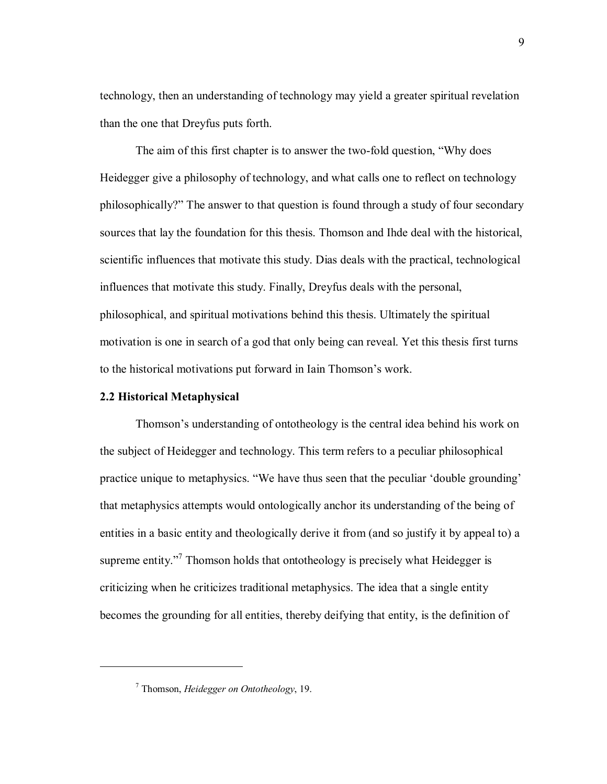technology, then an understanding of technology may yield a greater spiritual revelation than the one that Dreyfus puts forth.

The aim of this first chapter is to answer the two-fold question, "Why does Heidegger give a philosophy of technology, and what calls one to reflect on technology philosophically?î The answer to that question is found through a study of four secondary sources that lay the foundation for this thesis. Thomson and Ihde deal with the historical, scientific influences that motivate this study. Dias deals with the practical, technological influences that motivate this study. Finally, Dreyfus deals with the personal, philosophical, and spiritual motivations behind this thesis. Ultimately the spiritual motivation is one in search of a god that only being can reveal. Yet this thesis first turns to the historical motivations put forward in Iain Thomson's work.

# **2.2 Historical Metaphysical**

 $\overline{a}$ 

Thomson's understanding of ontotheology is the central idea behind his work on the subject of Heidegger and technology. This term refers to a peculiar philosophical practice unique to metaphysics. "We have thus seen that the peculiar 'double grounding' that metaphysics attempts would ontologically anchor its understanding of the being of entities in a basic entity and theologically derive it from (and so justify it by appeal to) a supreme entity. $17$  Thomson holds that ontotheology is precisely what Heidegger is criticizing when he criticizes traditional metaphysics. The idea that a single entity becomes the grounding for all entities, thereby deifying that entity, is the definition of

<sup>7</sup> Thomson, *Heidegger on Ontotheology*, 19.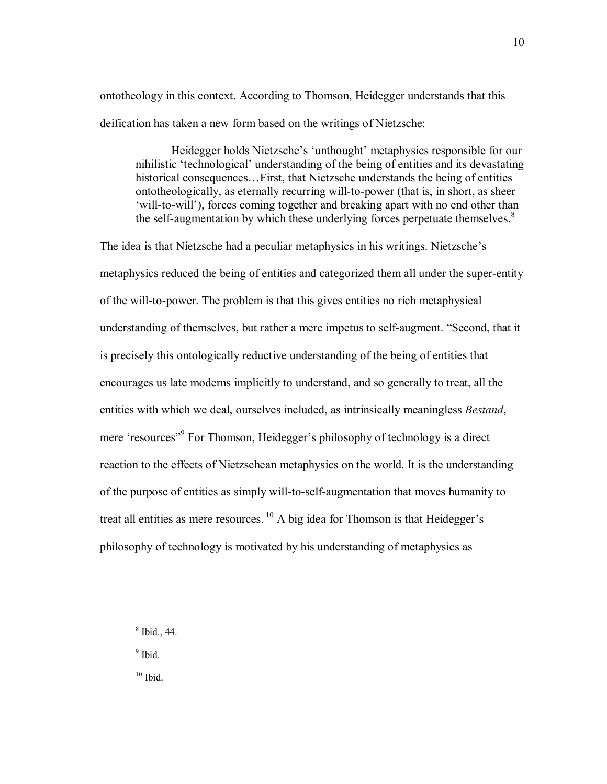ontotheology in this context. According to Thomson, Heidegger understands that this deification has taken a new form based on the writings of Nietzsche:

Heidegger holds Nietzsche's 'unthought' metaphysics responsible for our nihilistic 'technological' understanding of the being of entities and its devastating historical consequences... First, that Nietzsche understands the being of entities ontotheologically, as eternally recurring will-to-power (that is, in short, as sheer 'will-to-will'), forces coming together and breaking apart with no end other than the self-augmentation by which these underlying forces perpetuate themselves.<sup>8</sup>

The idea is that Nietzsche had a peculiar metaphysics in his writings. Nietzsche's metaphysics reduced the being of entities and categorized them all under the super-entity of the will-to-power. The problem is that this gives entities no rich metaphysical understanding of themselves, but rather a mere impetus to self-augment. "Second, that it is precisely this ontologically reductive understanding of the being of entities that encourages us late moderns implicitly to understand, and so generally to treat, all the entities with which we deal, ourselves included, as intrinsically meaningless *Bestand*, mere 'resources'<sup>9</sup> For Thomson, Heidegger's philosophy of technology is a direct reaction to the effects of Nietzschean metaphysics on the world. It is the understanding of the purpose of entities as simply will-to-self-augmentation that moves humanity to treat all entities as mere resources.  $^{10}$  A big idea for Thomson is that Heidegger's philosophy of technology is motivated by his understanding of metaphysics as

<sup>9</sup> Ibid.

 $\overline{a}$ 

 $10$  Ibid.

<sup>8</sup> Ibid., 44.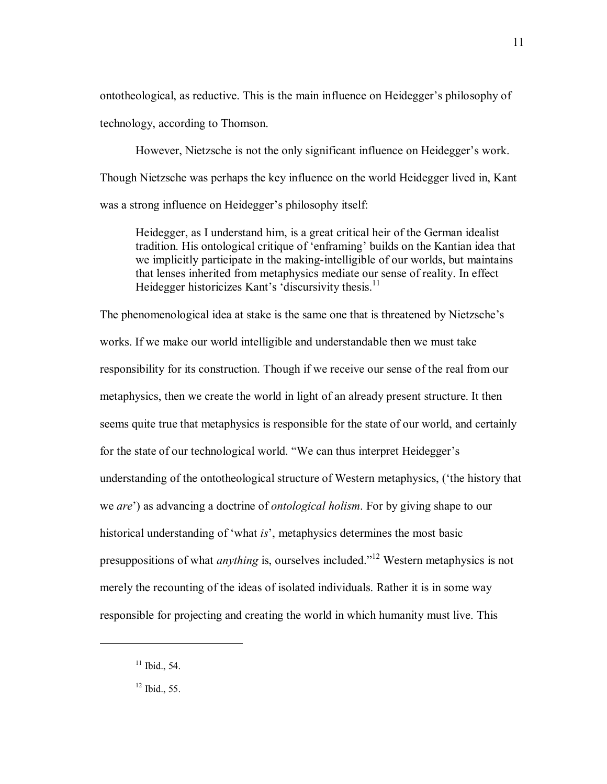ontotheological, as reductive. This is the main influence on Heidegger's philosophy of technology, according to Thomson.

However, Nietzsche is not the only significant influence on Heidegger's work. Though Nietzsche was perhaps the key influence on the world Heidegger lived in, Kant was a strong influence on Heidegger's philosophy itself:

Heidegger, as I understand him, is a great critical heir of the German idealist tradition. His ontological critique of 'enframing' builds on the Kantian idea that we implicitly participate in the making-intelligible of our worlds, but maintains that lenses inherited from metaphysics mediate our sense of reality. In effect Heidegger historicizes Kant's 'discursivity thesis. $<sup>11</sup>$ </sup>

The phenomenological idea at stake is the same one that is threatened by Nietzsche's works. If we make our world intelligible and understandable then we must take responsibility for its construction. Though if we receive our sense of the real from our metaphysics, then we create the world in light of an already present structure. It then seems quite true that metaphysics is responsible for the state of our world, and certainly for the state of our technological world. "We can thus interpret Heidegger's understanding of the ontotheological structure of Western metaphysics, ('the history that we *are*<sup> $\prime$ </sup>) as advancing a doctrine of *ontological holism*. For by giving shape to our historical understanding of 'what *is*', metaphysics determines the most basic presuppositions of what *anything* is, ourselves included.<sup>[12]</sup> Western metaphysics is not merely the recounting of the ideas of isolated individuals. Rather it is in some way responsible for projecting and creating the world in which humanity must live. This

 $11$  Ibid., 54.

 $12$  Ibid., 55.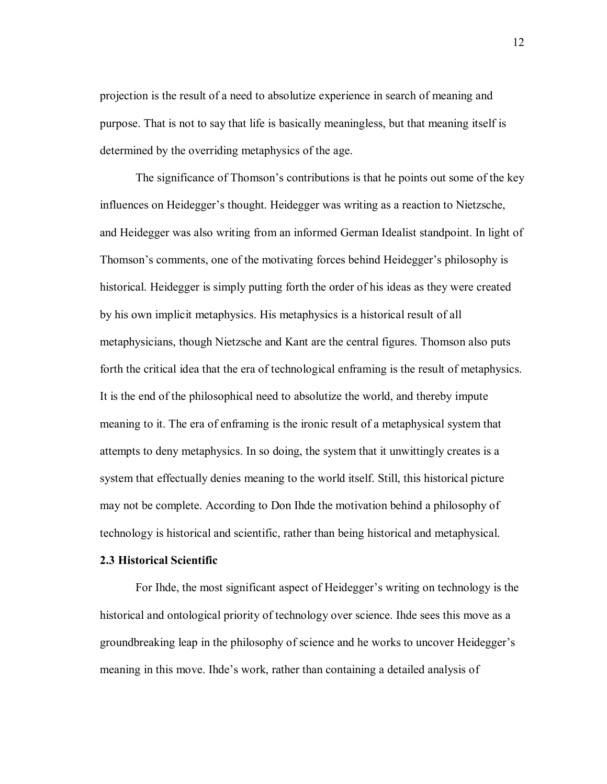projection is the result of a need to absolutize experience in search of meaning and purpose. That is not to say that life is basically meaningless, but that meaning itself is determined by the overriding metaphysics of the age.

The significance of Thomson's contributions is that he points out some of the key influences on Heidegger's thought. Heidegger was writing as a reaction to Nietzsche, and Heidegger was also writing from an informed German Idealist standpoint. In light of Thomson's comments, one of the motivating forces behind Heidegger's philosophy is historical. Heidegger is simply putting forth the order of his ideas as they were created by his own implicit metaphysics. His metaphysics is a historical result of all metaphysicians, though Nietzsche and Kant are the central figures. Thomson also puts forth the critical idea that the era of technological enframing is the result of metaphysics. It is the end of the philosophical need to absolutize the world, and thereby impute meaning to it. The era of enframing is the ironic result of a metaphysical system that attempts to deny metaphysics. In so doing, the system that it unwittingly creates is a system that effectually denies meaning to the world itself. Still, this historical picture may not be complete. According to Don Ihde the motivation behind a philosophy of technology is historical and scientific, rather than being historical and metaphysical.

## **2.3 Historical Scientific**

For Ihde, the most significant aspect of Heidegger's writing on technology is the historical and ontological priority of technology over science. Ihde sees this move as a groundbreaking leap in the philosophy of science and he works to uncover Heidegger's meaning in this move. Ihde's work, rather than containing a detailed analysis of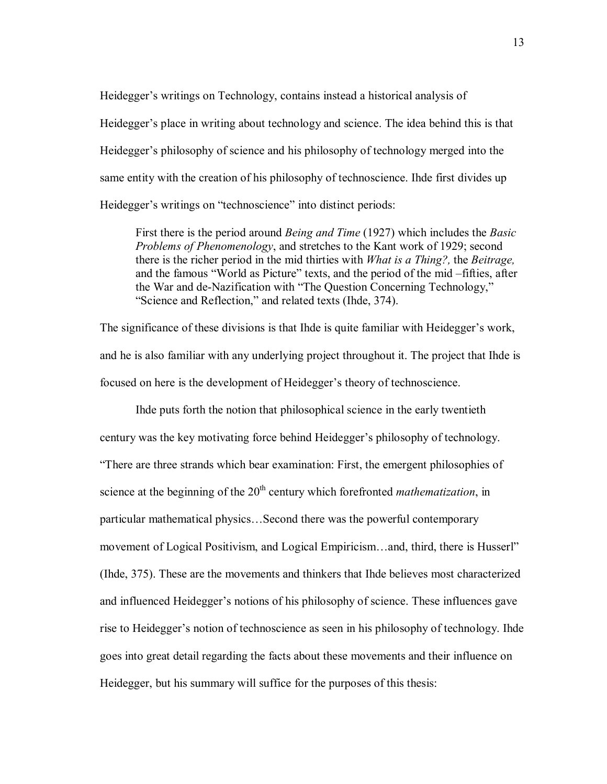Heidegger's writings on Technology, contains instead a historical analysis of Heidegger's place in writing about technology and science. The idea behind this is that Heidegger's philosophy of science and his philosophy of technology merged into the same entity with the creation of his philosophy of technoscience. Ihde first divides up Heidegger's writings on "technoscience" into distinct periods:

First there is the period around *Being and Time* (1927) which includes the *Basic Problems of Phenomenology*, and stretches to the Kant work of 1929; second there is the richer period in the mid thirties with *What is a Thing?,* the *Beitrage,* and the famous "World as Picture" texts, and the period of the mid – fifties, after the War and de-Nazification with "The Question Concerning Technology," "Science and Reflection," and related texts (Ihde, 374).

The significance of these divisions is that Ihde is quite familiar with Heidegger's work, and he is also familiar with any underlying project throughout it. The project that Ihde is focused on here is the development of Heidegger's theory of technoscience.

Ihde puts forth the notion that philosophical science in the early twentieth century was the key motivating force behind Heidegger's philosophy of technology. ìThere are three strands which bear examination: First, the emergent philosophies of science at the beginning of the 20<sup>th</sup> century which forefronted *mathematization*, in particular mathematical physics...Second there was the powerful contemporary movement of Logical Positivism, and Logical Empiricism...and, third, there is Husserl<sup>"</sup> (Ihde, 375). These are the movements and thinkers that Ihde believes most characterized and influenced Heidegger's notions of his philosophy of science. These influences gave rise to Heidegger's notion of technoscience as seen in his philosophy of technology. Ihde goes into great detail regarding the facts about these movements and their influence on Heidegger, but his summary will suffice for the purposes of this thesis: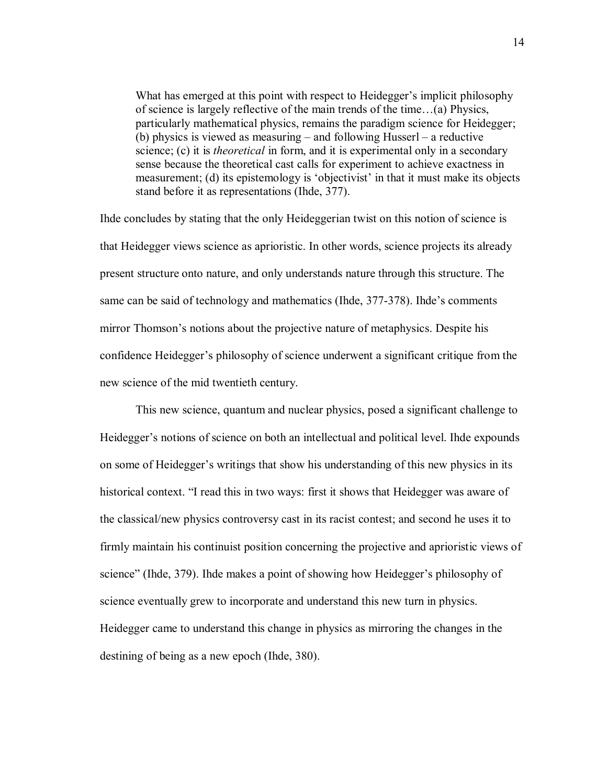What has emerged at this point with respect to Heidegger's implicit philosophy of science is largely reflective of the main trends of the time $\ldots$ (a) Physics, particularly mathematical physics, remains the paradigm science for Heidegger; (b) physics is viewed as measuring  $-$  and following Husserl  $-$  a reductive science; (c) it is *theoretical* in form, and it is experimental only in a secondary sense because the theoretical cast calls for experiment to achieve exactness in measurement; (d) its epistemology is 'objectivist' in that it must make its objects stand before it as representations (Ihde, 377).

Ihde concludes by stating that the only Heideggerian twist on this notion of science is that Heidegger views science as aprioristic. In other words, science projects its already present structure onto nature, and only understands nature through this structure. The same can be said of technology and mathematics (Ihde, 377-378). Ihde's comments mirror Thomson's notions about the projective nature of metaphysics. Despite his confidence Heidegger's philosophy of science underwent a significant critique from the new science of the mid twentieth century.

This new science, quantum and nuclear physics, posed a significant challenge to Heidegger's notions of science on both an intellectual and political level. Ihde expounds on some of Heidegger's writings that show his understanding of this new physics in its historical context. "I read this in two ways: first it shows that Heidegger was aware of the classical/new physics controversy cast in its racist contest; and second he uses it to firmly maintain his continuist position concerning the projective and aprioristic views of science" (Ihde, 379). Ihde makes a point of showing how Heidegger's philosophy of science eventually grew to incorporate and understand this new turn in physics. Heidegger came to understand this change in physics as mirroring the changes in the destining of being as a new epoch (Ihde, 380).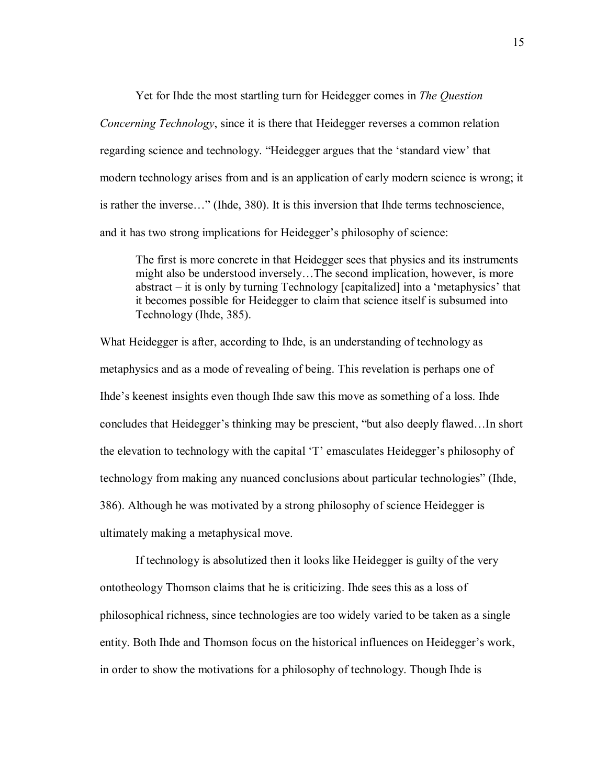Yet for Ihde the most startling turn for Heidegger comes in *The Question Concerning Technology*, since it is there that Heidegger reverses a common relation regarding science and technology. "Heidegger argues that the 'standard view' that modern technology arises from and is an application of early modern science is wrong; it is rather the inverse..." (Ihde, 380). It is this inversion that Ihde terms technoscience, and it has two strong implications for Heidegger's philosophy of science:

The first is more concrete in that Heidegger sees that physics and its instruments might also be understood inversely...The second implication, however, is more abstract  $-$  it is only by turning Technology [capitalized] into a 'metaphysics' that it becomes possible for Heidegger to claim that science itself is subsumed into Technology (Ihde, 385).

What Heidegger is after, according to Ihde, is an understanding of technology as metaphysics and as a mode of revealing of being. This revelation is perhaps one of Ihde's keenest insights even though Ihde saw this move as something of a loss. Ihde concludes that Heidegger's thinking may be prescient, "but also deeply flawed...In short the elevation to technology with the capital 'T' emasculates Heidegger's philosophy of technology from making any nuanced conclusions about particular technologies" (Ihde, 386). Although he was motivated by a strong philosophy of science Heidegger is ultimately making a metaphysical move.

If technology is absolutized then it looks like Heidegger is guilty of the very ontotheology Thomson claims that he is criticizing. Ihde sees this as a loss of philosophical richness, since technologies are too widely varied to be taken as a single entity. Both Ihde and Thomson focus on the historical influences on Heidegger's work, in order to show the motivations for a philosophy of technology. Though Ihde is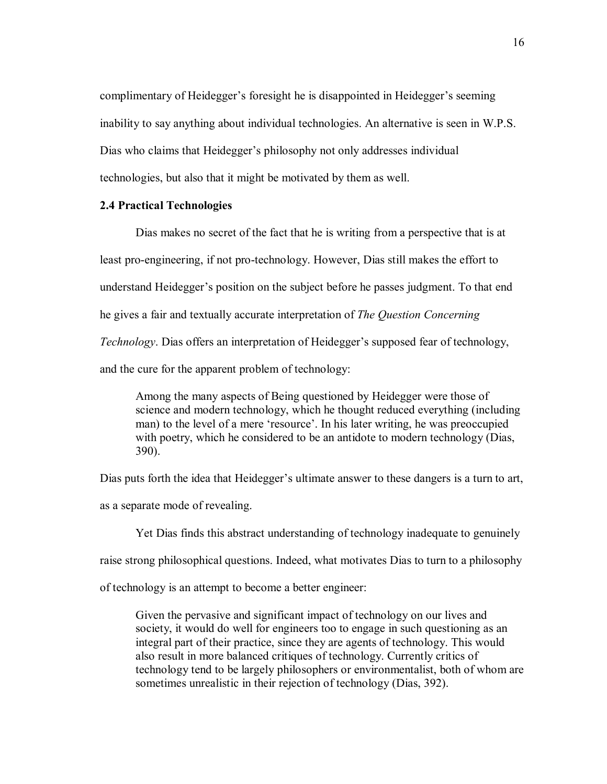complimentary of Heidegger's foresight he is disappointed in Heidegger's seeming inability to say anything about individual technologies. An alternative is seen in W.P.S. Dias who claims that Heidegger's philosophy not only addresses individual technologies, but also that it might be motivated by them as well.

## **2.4 Practical Technologies**

Dias makes no secret of the fact that he is writing from a perspective that is at least pro-engineering, if not pro-technology. However, Dias still makes the effort to understand Heidegger's position on the subject before he passes judgment. To that end he gives a fair and textually accurate interpretation of *The Question Concerning Technology*. Dias offers an interpretation of Heidegger's supposed fear of technology, and the cure for the apparent problem of technology:

Among the many aspects of Being questioned by Heidegger were those of science and modern technology, which he thought reduced everything (including man) to the level of a mere 'resource'. In his later writing, he was preoccupied with poetry, which he considered to be an antidote to modern technology (Dias, 390).

Dias puts forth the idea that Heidegger's ultimate answer to these dangers is a turn to art,

as a separate mode of revealing.

Yet Dias finds this abstract understanding of technology inadequate to genuinely

raise strong philosophical questions. Indeed, what motivates Dias to turn to a philosophy

of technology is an attempt to become a better engineer:

Given the pervasive and significant impact of technology on our lives and society, it would do well for engineers too to engage in such questioning as an integral part of their practice, since they are agents of technology. This would also result in more balanced critiques of technology. Currently critics of technology tend to be largely philosophers or environmentalist, both of whom are sometimes unrealistic in their rejection of technology (Dias, 392).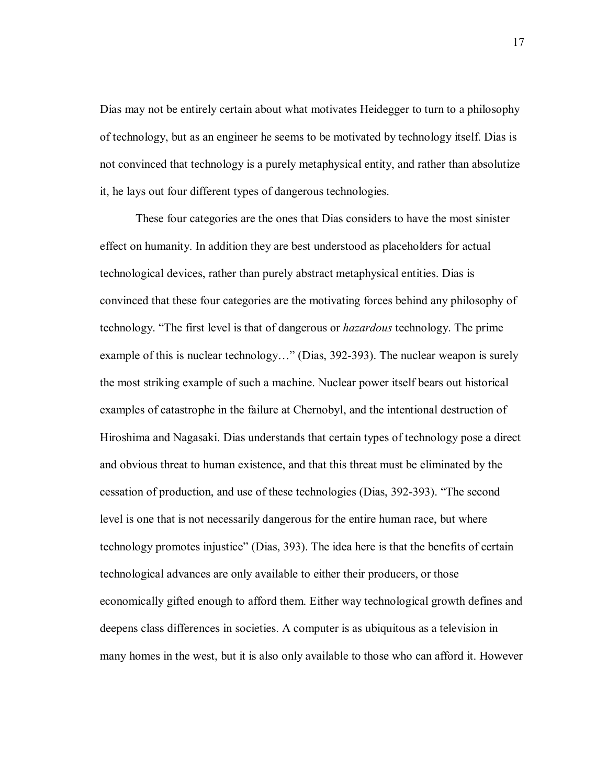Dias may not be entirely certain about what motivates Heidegger to turn to a philosophy of technology, but as an engineer he seems to be motivated by technology itself. Dias is not convinced that technology is a purely metaphysical entity, and rather than absolutize it, he lays out four different types of dangerous technologies.

These four categories are the ones that Dias considers to have the most sinister effect on humanity. In addition they are best understood as placeholders for actual technological devices, rather than purely abstract metaphysical entities. Dias is convinced that these four categories are the motivating forces behind any philosophy of technology. "The first level is that of dangerous or *hazardous* technology. The prime example of this is nuclear technology..." (Dias,  $392-393$ ). The nuclear weapon is surely the most striking example of such a machine. Nuclear power itself bears out historical examples of catastrophe in the failure at Chernobyl, and the intentional destruction of Hiroshima and Nagasaki. Dias understands that certain types of technology pose a direct and obvious threat to human existence, and that this threat must be eliminated by the cessation of production, and use of these technologies (Dias, 392-393). "The second level is one that is not necessarily dangerous for the entire human race, but where technology promotes injustice" (Dias, 393). The idea here is that the benefits of certain technological advances are only available to either their producers, or those economically gifted enough to afford them. Either way technological growth defines and deepens class differences in societies. A computer is as ubiquitous as a television in many homes in the west, but it is also only available to those who can afford it. However

17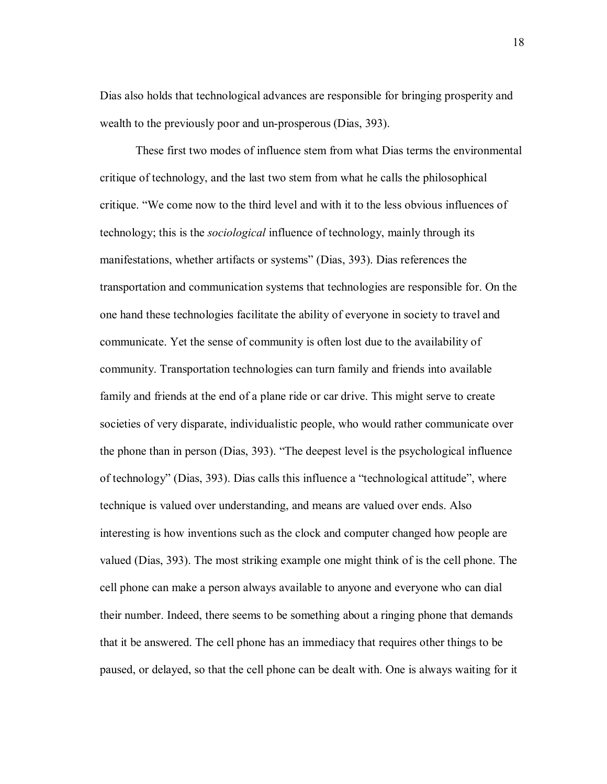Dias also holds that technological advances are responsible for bringing prosperity and wealth to the previously poor and un-prosperous (Dias, 393).

These first two modes of influence stem from what Dias terms the environmental critique of technology, and the last two stem from what he calls the philosophical critique. "We come now to the third level and with it to the less obvious influences of technology; this is the *sociological* influence of technology, mainly through its manifestations, whether artifacts or systems" (Dias, 393). Dias references the transportation and communication systems that technologies are responsible for. On the one hand these technologies facilitate the ability of everyone in society to travel and communicate. Yet the sense of community is often lost due to the availability of community. Transportation technologies can turn family and friends into available family and friends at the end of a plane ride or car drive. This might serve to create societies of very disparate, individualistic people, who would rather communicate over the phone than in person (Dias,  $393$ ). "The deepest level is the psychological influence of technology" (Dias, 393). Dias calls this influence a "technological attitude", where technique is valued over understanding, and means are valued over ends. Also interesting is how inventions such as the clock and computer changed how people are valued (Dias, 393). The most striking example one might think of is the cell phone. The cell phone can make a person always available to anyone and everyone who can dial their number. Indeed, there seems to be something about a ringing phone that demands that it be answered. The cell phone has an immediacy that requires other things to be paused, or delayed, so that the cell phone can be dealt with. One is always waiting for it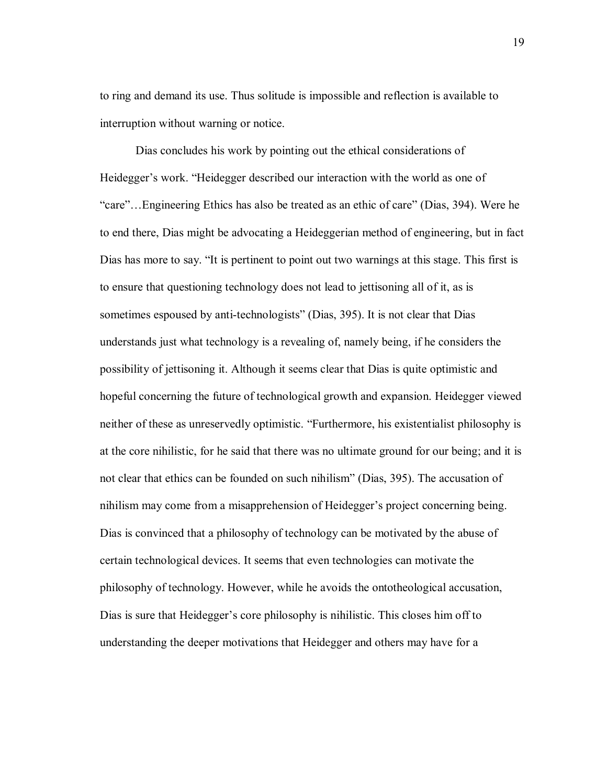to ring and demand its use. Thus solitude is impossible and reflection is available to interruption without warning or notice.

Dias concludes his work by pointing out the ethical considerations of Heidegger's work. "Heidegger described our interaction with the world as one of Exare"...Engineering Ethics has also be treated as an ethic of care" (Dias, 394). Were he to end there, Dias might be advocating a Heideggerian method of engineering, but in fact Dias has more to say. "It is pertinent to point out two warnings at this stage. This first is to ensure that questioning technology does not lead to jettisoning all of it, as is sometimes espoused by anti-technologists" (Dias, 395). It is not clear that Dias understands just what technology is a revealing of, namely being, if he considers the possibility of jettisoning it. Although it seems clear that Dias is quite optimistic and hopeful concerning the future of technological growth and expansion. Heidegger viewed neither of these as unreservedly optimistic. "Furthermore, his existentialist philosophy is at the core nihilistic, for he said that there was no ultimate ground for our being; and it is not clear that ethics can be founded on such nihilism" (Dias, 395). The accusation of nihilism may come from a misapprehension of Heidegger's project concerning being. Dias is convinced that a philosophy of technology can be motivated by the abuse of certain technological devices. It seems that even technologies can motivate the philosophy of technology. However, while he avoids the ontotheological accusation, Dias is sure that Heidegger's core philosophy is nihilistic. This closes him off to understanding the deeper motivations that Heidegger and others may have for a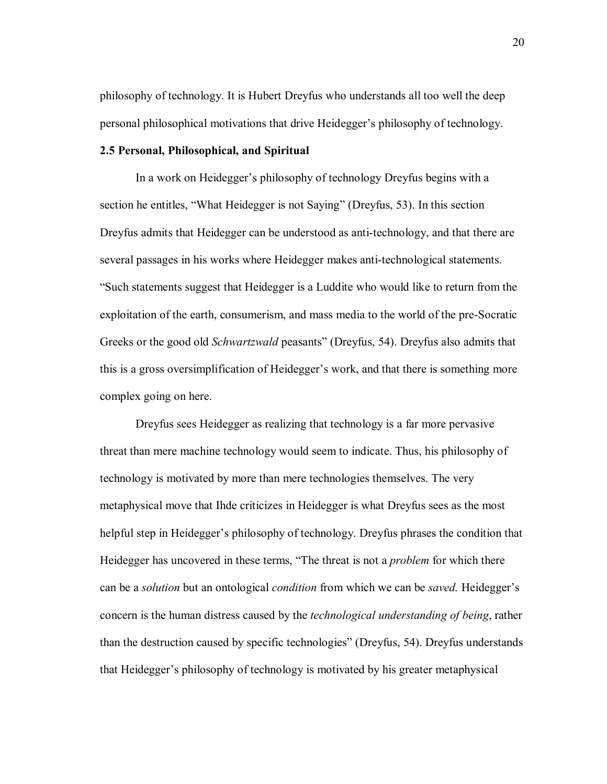philosophy of technology. It is Hubert Dreyfus who understands all too well the deep personal philosophical motivations that drive Heidegger's philosophy of technology.

## **2.5 Personal, Philosophical, and Spiritual**

In a work on Heidegger's philosophy of technology Dreyfus begins with a section he entitles, "What Heidegger is not Saying" (Dreyfus, 53). In this section Dreyfus admits that Heidegger can be understood as anti-technology, and that there are several passages in his works where Heidegger makes anti-technological statements. ìSuch statements suggest that Heidegger is a Luddite who would like to return from the exploitation of the earth, consumerism, and mass media to the world of the pre-Socratic Greeks or the good old *Schwartzwald* peasants" (Dreyfus, 54). Dreyfus also admits that this is a gross oversimplification of Heidegger's work, and that there is something more complex going on here.

Dreyfus sees Heidegger as realizing that technology is a far more pervasive threat than mere machine technology would seem to indicate. Thus, his philosophy of technology is motivated by more than mere technologies themselves. The very metaphysical move that Ihde criticizes in Heidegger is what Dreyfus sees as the most helpful step in Heidegger's philosophy of technology. Dreyfus phrases the condition that Heidegger has uncovered in these terms, "The threat is not a *problem* for which there can be a *solution* but an ontological *condition* from which we can be *saved*. Heidegger's concern is the human distress caused by the *technological understanding of being*, rather than the destruction caused by specific technologies" (Dreyfus, 54). Dreyfus understands that Heidegger's philosophy of technology is motivated by his greater metaphysical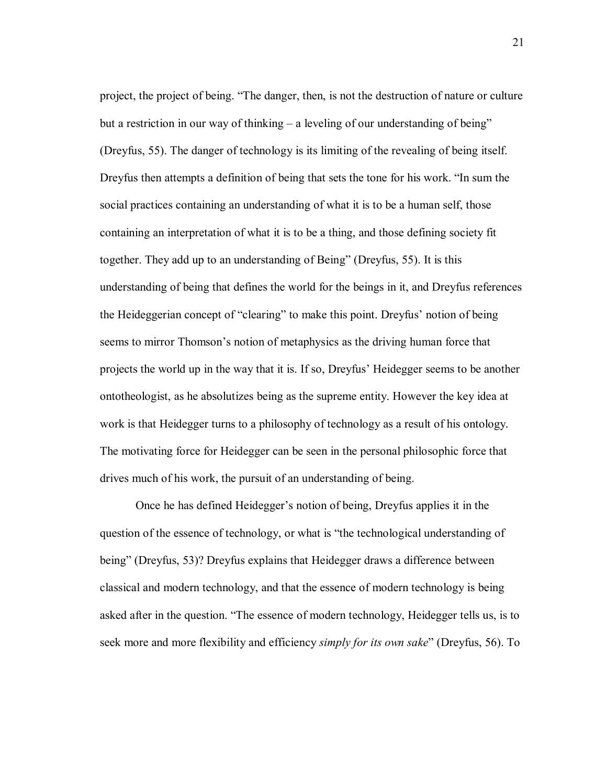project, the project of being. "The danger, then, is not the destruction of nature or culture but a restriction in our way of thinking  $-$  a leveling of our understanding of being" (Dreyfus, 55). The danger of technology is its limiting of the revealing of being itself. Dreyfus then attempts a definition of being that sets the tone for his work. "In sum the social practices containing an understanding of what it is to be a human self, those containing an interpretation of what it is to be a thing, and those defining society fit together. They add up to an understanding of Being" (Dreyfus, 55). It is this understanding of being that defines the world for the beings in it, and Dreyfus references the Heideggerian concept of "clearing" to make this point. Dreyfus' notion of being seems to mirror Thomson's notion of metaphysics as the driving human force that projects the world up in the way that it is. If so, Dreyfus' Heidegger seems to be another ontotheologist, as he absolutizes being as the supreme entity. However the key idea at work is that Heidegger turns to a philosophy of technology as a result of his ontology. The motivating force for Heidegger can be seen in the personal philosophic force that drives much of his work, the pursuit of an understanding of being.

Once he has defined Heidegger's notion of being, Dreyfus applies it in the question of the essence of technology, or what is "the technological understanding of being" (Dreyfus, 53)? Dreyfus explains that Heidegger draws a difference between classical and modern technology, and that the essence of modern technology is being asked after in the question. "The essence of modern technology, Heidegger tells us, is to seek more and more flexibility and efficiency *simply for its own sake*" (Dreyfus, 56). To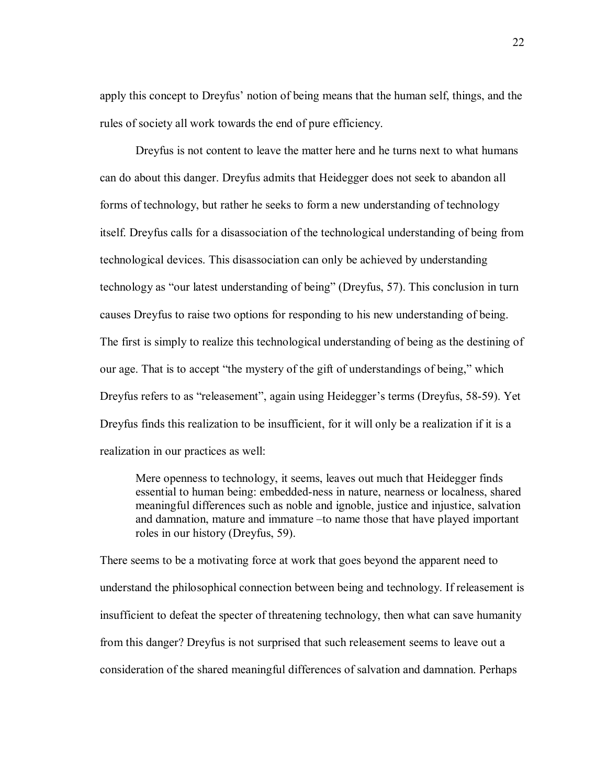apply this concept to Dreyfus' notion of being means that the human self, things, and the rules of society all work towards the end of pure efficiency.

Dreyfus is not content to leave the matter here and he turns next to what humans can do about this danger. Dreyfus admits that Heidegger does not seek to abandon all forms of technology, but rather he seeks to form a new understanding of technology itself. Dreyfus calls for a disassociation of the technological understanding of being from technological devices. This disassociation can only be achieved by understanding technology as "our latest understanding of being" (Dreyfus, 57). This conclusion in turn causes Dreyfus to raise two options for responding to his new understanding of being. The first is simply to realize this technological understanding of being as the destining of our age. That is to accept "the mystery of the gift of understandings of being," which Dreyfus refers to as "releasement", again using Heidegger's terms (Dreyfus, 58-59). Yet Dreyfus finds this realization to be insufficient, for it will only be a realization if it is a realization in our practices as well:

Mere openness to technology, it seems, leaves out much that Heidegger finds essential to human being: embedded-ness in nature, nearness or localness, shared meaningful differences such as noble and ignoble, justice and injustice, salvation and damnation, mature and immature –to name those that have played important roles in our history (Dreyfus, 59).

There seems to be a motivating force at work that goes beyond the apparent need to understand the philosophical connection between being and technology. If releasement is insufficient to defeat the specter of threatening technology, then what can save humanity from this danger? Dreyfus is not surprised that such releasement seems to leave out a consideration of the shared meaningful differences of salvation and damnation. Perhaps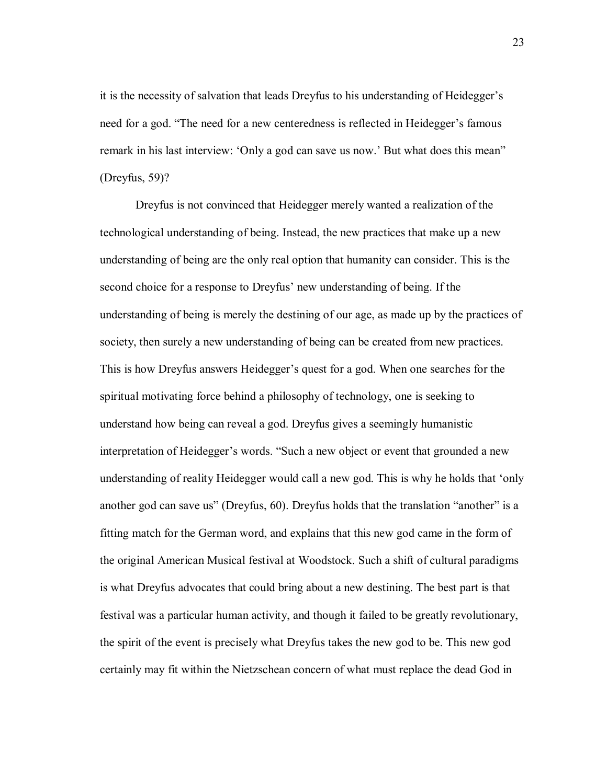it is the necessity of salvation that leads Dreyfus to his understanding of Heidegger's need for a god. "The need for a new centeredness is reflected in Heidegger's famous remark in his last interview: 'Only a god can save us now.' But what does this mean'' (Dreyfus, 59)?

Dreyfus is not convinced that Heidegger merely wanted a realization of the technological understanding of being. Instead, the new practices that make up a new understanding of being are the only real option that humanity can consider. This is the second choice for a response to Dreyfus' new understanding of being. If the understanding of being is merely the destining of our age, as made up by the practices of society, then surely a new understanding of being can be created from new practices. This is how Dreyfus answers Heidegger's quest for a god. When one searches for the spiritual motivating force behind a philosophy of technology, one is seeking to understand how being can reveal a god. Dreyfus gives a seemingly humanistic interpretation of Heidegger's words. "Such a new object or event that grounded a new understanding of reality Heidegger would call a new god. This is why he holds that 'only another god can save us" (Dreyfus, 60). Dreyfus holds that the translation "another" is a fitting match for the German word, and explains that this new god came in the form of the original American Musical festival at Woodstock. Such a shift of cultural paradigms is what Dreyfus advocates that could bring about a new destining. The best part is that festival was a particular human activity, and though it failed to be greatly revolutionary, the spirit of the event is precisely what Dreyfus takes the new god to be. This new god certainly may fit within the Nietzschean concern of what must replace the dead God in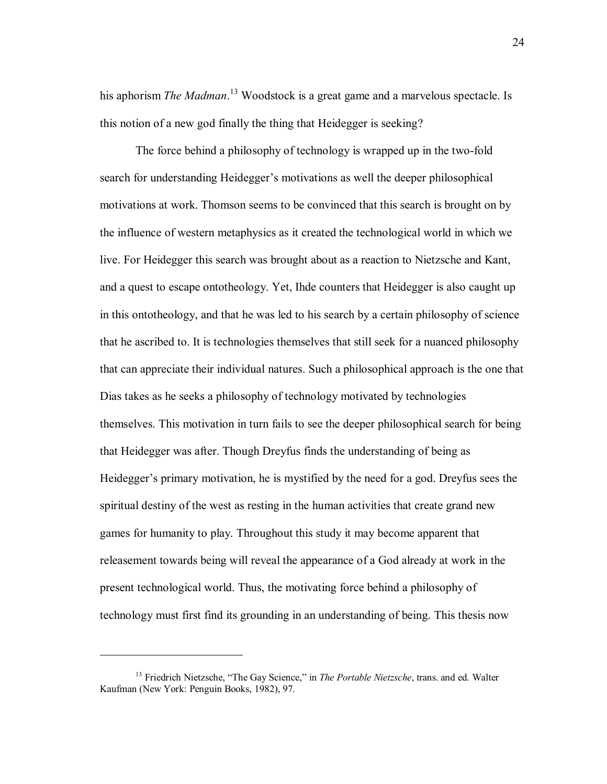his aphorism *The Madman*. 13 Woodstock is a great game and a marvelous spectacle. Is this notion of a new god finally the thing that Heidegger is seeking?

The force behind a philosophy of technology is wrapped up in the two-fold search for understanding Heidegger's motivations as well the deeper philosophical motivations at work. Thomson seems to be convinced that this search is brought on by the influence of western metaphysics as it created the technological world in which we live. For Heidegger this search was brought about as a reaction to Nietzsche and Kant, and a quest to escape ontotheology. Yet, Ihde counters that Heidegger is also caught up in this ontotheology, and that he was led to his search by a certain philosophy of science that he ascribed to. It is technologies themselves that still seek for a nuanced philosophy that can appreciate their individual natures. Such a philosophical approach is the one that Dias takes as he seeks a philosophy of technology motivated by technologies themselves. This motivation in turn fails to see the deeper philosophical search for being that Heidegger was after. Though Dreyfus finds the understanding of being as Heidegger's primary motivation, he is mystified by the need for a god. Dreyfus sees the spiritual destiny of the west as resting in the human activities that create grand new games for humanity to play. Throughout this study it may become apparent that releasement towards being will reveal the appearance of a God already at work in the present technological world. Thus, the motivating force behind a philosophy of technology must first find its grounding in an understanding of being. This thesis now

<sup>&</sup>lt;sup>13</sup> Friedrich Nietzsche, "The Gay Science," in *The Portable Nietzsche*, trans. and ed. Walter Kaufman (New York: Penguin Books, 1982), 97.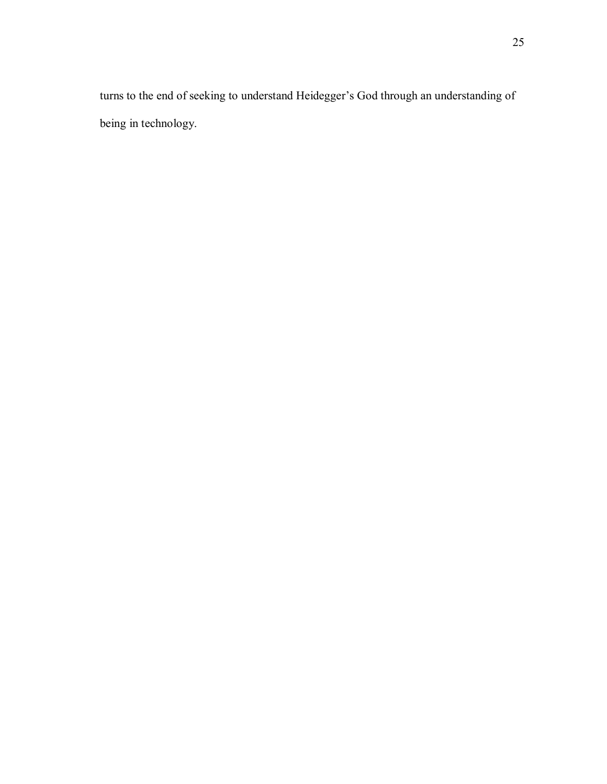turns to the end of seeking to understand Heidegger's God through an understanding of being in technology.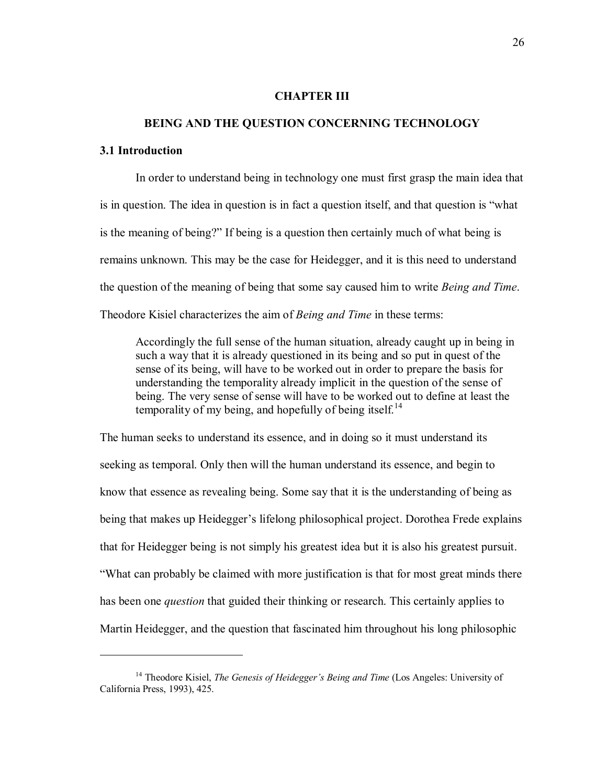#### **CHAPTER III**

#### **BEING AND THE QUESTION CONCERNING TECHNOLOGY**

## **3.1 Introduction**

 $\overline{a}$ 

In order to understand being in technology one must first grasp the main idea that is in question. The idea in question is in fact a question itself, and that question is "what is the meaning of being?" If being is a question then certainly much of what being is remains unknown. This may be the case for Heidegger, and it is this need to understand the question of the meaning of being that some say caused him to write *Being and Time*. Theodore Kisiel characterizes the aim of *Being and Time* in these terms:

Accordingly the full sense of the human situation, already caught up in being in such a way that it is already questioned in its being and so put in quest of the sense of its being, will have to be worked out in order to prepare the basis for understanding the temporality already implicit in the question of the sense of being. The very sense of sense will have to be worked out to define at least the temporality of my being, and hopefully of being itself.<sup>14</sup>

The human seeks to understand its essence, and in doing so it must understand its seeking as temporal. Only then will the human understand its essence, and begin to know that essence as revealing being. Some say that it is the understanding of being as being that makes up Heidegger's lifelong philosophical project. Dorothea Frede explains that for Heidegger being is not simply his greatest idea but it is also his greatest pursuit. ìWhat can probably be claimed with more justification is that for most great minds there has been one *question* that guided their thinking or research. This certainly applies to Martin Heidegger, and the question that fascinated him throughout his long philosophic

<sup>&</sup>lt;sup>14</sup> Theodore Kisiel, *The Genesis of Heidegger's Being and Time* (Los Angeles: University of California Press, 1993), 425.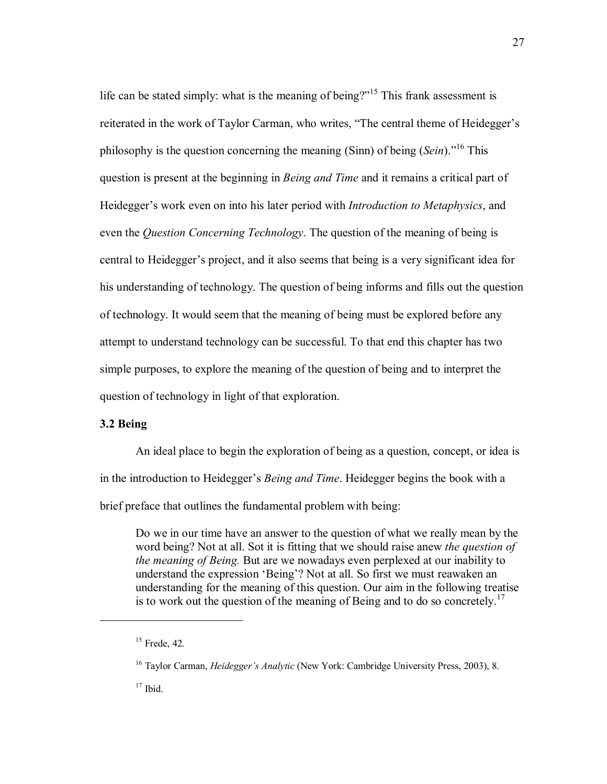life can be stated simply: what is the meaning of being? $i<sup>15</sup>$  This frank assessment is reiterated in the work of Taylor Carman, who writes, "The central theme of Heidegger's philosophy is the question concerning the meaning (Sinn) of being  $(Sein)$ <sup>16</sup> This question is present at the beginning in *Being and Time* and it remains a critical part of Heidegger's work even on into his later period with *Introduction to Metaphysics*, and even the *Question Concerning Technology*. The question of the meaning of being is central to Heidegger's project, and it also seems that being is a very significant idea for his understanding of technology. The question of being informs and fills out the question of technology. It would seem that the meaning of being must be explored before any attempt to understand technology can be successful. To that end this chapter has two simple purposes, to explore the meaning of the question of being and to interpret the question of technology in light of that exploration.

# **3.2 Being**

An ideal place to begin the exploration of being as a question, concept, or idea is in the introduction to Heidegger's *Being and Time*. Heidegger begins the book with a brief preface that outlines the fundamental problem with being:

Do we in our time have an answer to the question of what we really mean by the word being? Not at all. Sot it is fitting that we should raise anew *the question of the meaning of Being.* But are we nowadays even perplexed at our inability to understand the expression 'Being'? Not at all. So first we must reawaken an understanding for the meaning of this question. Our aim in the following treatise is to work out the question of the meaning of Being and to do so concretely.<sup>17</sup>

 $15$  Frede, 42.

<sup>&</sup>lt;sup>16</sup> Taylor Carman, *Heidegger's Analytic* (New York: Cambridge University Press, 2003), 8.

 $17$  Ibid.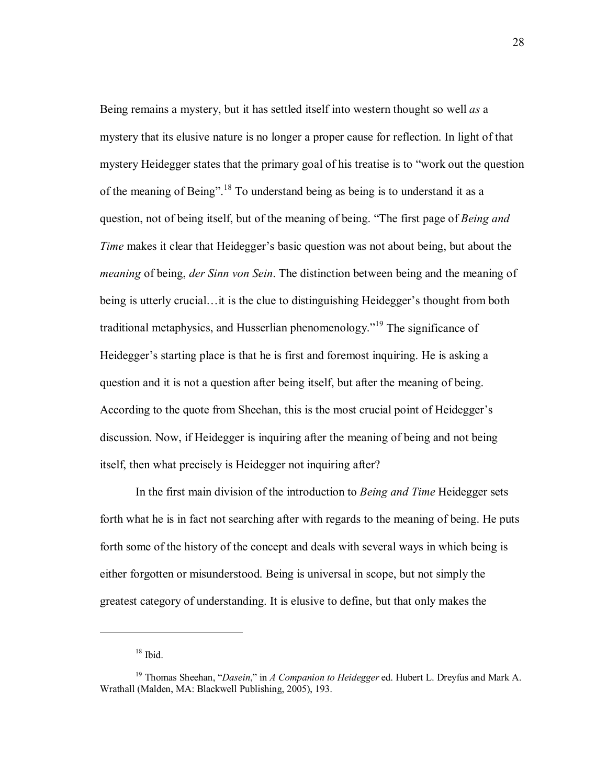Being remains a mystery, but it has settled itself into western thought so well *as* a mystery that its elusive nature is no longer a proper cause for reflection. In light of that mystery Heidegger states that the primary goal of his treatise is to "work out the question" of the meaning of Being".<sup>18</sup> To understand being as being is to understand it as a question, not of being itself, but of the meaning of being. "The first page of *Being and Time* makes it clear that Heidegger's basic question was not about being, but about the *meaning* of being, *der Sinn von Sein*. The distinction between being and the meaning of being is utterly crucial... it is the clue to distinguishing Heidegger's thought from both traditional metaphysics, and Husserlian phenomenology.<sup> $19$ </sup> The significance of Heidegger's starting place is that he is first and foremost inquiring. He is asking a question and it is not a question after being itself, but after the meaning of being. According to the quote from Sheehan, this is the most crucial point of Heidegger's discussion. Now, if Heidegger is inquiring after the meaning of being and not being itself, then what precisely is Heidegger not inquiring after?

In the first main division of the introduction to *Being and Time* Heidegger sets forth what he is in fact not searching after with regards to the meaning of being. He puts forth some of the history of the concept and deals with several ways in which being is either forgotten or misunderstood. Being is universal in scope, but not simply the greatest category of understanding. It is elusive to define, but that only makes the

 $18$  Ibid.

<sup>&</sup>lt;sup>19</sup> Thomas Sheehan, "*Dasein*," in *A Companion to Heidegger* ed. Hubert L. Dreyfus and Mark A. Wrathall (Malden, MA: Blackwell Publishing, 2005), 193.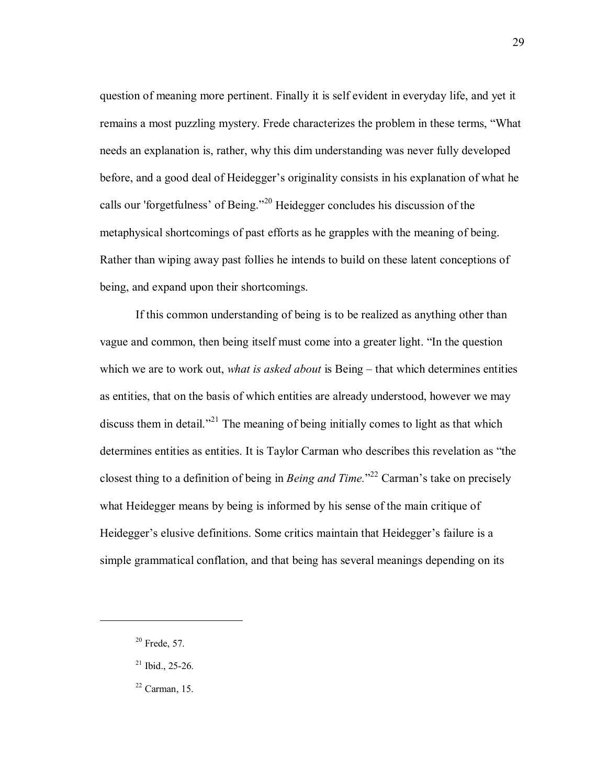question of meaning more pertinent. Finally it is self evident in everyday life, and yet it remains a most puzzling mystery. Frede characterizes the problem in these terms, "What needs an explanation is, rather, why this dim understanding was never fully developed before, and a good deal of Heidegger's originality consists in his explanation of what he calls our 'forgetfulness' of Being.<sup> $20$ </sup> Heidegger concludes his discussion of the metaphysical shortcomings of past efforts as he grapples with the meaning of being. Rather than wiping away past follies he intends to build on these latent conceptions of being, and expand upon their shortcomings.

If this common understanding of being is to be realized as anything other than vague and common, then being itself must come into a greater light. "In the question which we are to work out, *what is asked about* is Being – that which determines entities as entities, that on the basis of which entities are already understood, however we may discuss them in detail.<sup> $2^{21}$ </sup> The meaning of being initially comes to light as that which determines entities as entities. It is Taylor Carman who describes this revelation as "the closest thing to a definition of being in *Being and Time*.<sup>22</sup> Carman's take on precisely what Heidegger means by being is informed by his sense of the main critique of Heidegger's elusive definitions. Some critics maintain that Heidegger's failure is a simple grammatical conflation, and that being has several meanings depending on its

 $20$  Frede, 57.

 $21$  Ibid., 25-26.

 $22$  Carman, 15.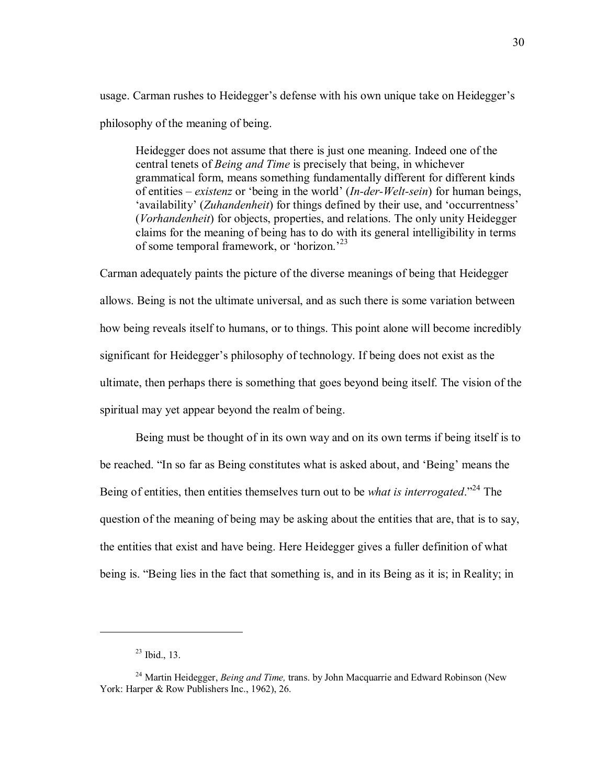usage. Carman rushes to Heidegger's defense with his own unique take on Heidegger's philosophy of the meaning of being.

Heidegger does not assume that there is just one meaning. Indeed one of the central tenets of *Being and Time* is precisely that being, in whichever grammatical form, means something fundamentally different for different kinds of entities – *existenz* or 'being in the world' (*In-der-Welt-sein*) for human beings, 'availability' (*Zuhandenheit*) for things defined by their use, and 'occurrentness' (*Vorhandenheit*) for objects, properties, and relations. The only unity Heidegger claims for the meaning of being has to do with its general intelligibility in terms of some temporal framework, or 'horizon.<sup>23</sup>

Carman adequately paints the picture of the diverse meanings of being that Heidegger allows. Being is not the ultimate universal, and as such there is some variation between how being reveals itself to humans, or to things. This point alone will become incredibly significant for Heidegger's philosophy of technology. If being does not exist as the ultimate, then perhaps there is something that goes beyond being itself. The vision of the spiritual may yet appear beyond the realm of being.

Being must be thought of in its own way and on its own terms if being itself is to be reached. "In so far as Being constitutes what is asked about, and 'Being' means the Being of entities, then entities themselves turn out to be *what is interrogated*.<sup>224</sup> The question of the meaning of being may be asking about the entities that are, that is to say, the entities that exist and have being. Here Heidegger gives a fuller definition of what being is. "Being lies in the fact that something is, and in its Being as it is; in Reality; in

 $23$  Ibid., 13.

<sup>&</sup>lt;sup>24</sup> Martin Heidegger, *Being and Time*, trans. by John Macquarrie and Edward Robinson (New York: Harper & Row Publishers Inc., 1962), 26.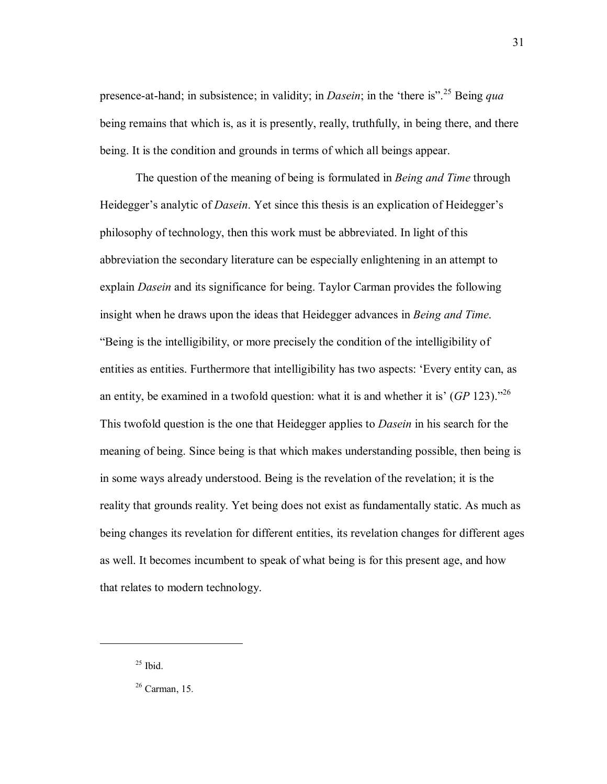presence-at-hand; in subsistence; in validity; in *Dasein*; in the 'there is".<sup>25</sup> Being *qua* being remains that which is, as it is presently, really, truthfully, in being there, and there being. It is the condition and grounds in terms of which all beings appear.

 The question of the meaning of being is formulated in *Being and Time* through Heidegger's analytic of *Dasein*. Yet since this thesis is an explication of Heidegger's philosophy of technology, then this work must be abbreviated. In light of this abbreviation the secondary literature can be especially enlightening in an attempt to explain *Dasein* and its significance for being. Taylor Carman provides the following insight when he draws upon the ideas that Heidegger advances in *Being and Time*. ìBeing is the intelligibility, or more precisely the condition of the intelligibility of entities as entities. Furthermore that intelligibility has two aspects: 'Every entity can, as an entity, be examined in a twofold question: what it is and whether it is'  $(GP 123)$ .<sup>26</sup> This twofold question is the one that Heidegger applies to *Dasein* in his search for the meaning of being. Since being is that which makes understanding possible, then being is in some ways already understood. Being is the revelation of the revelation; it is the reality that grounds reality. Yet being does not exist as fundamentally static. As much as being changes its revelation for different entities, its revelation changes for different ages as well. It becomes incumbent to speak of what being is for this present age, and how that relates to modern technology.

 $25$  Ibid.

 $26$  Carman, 15.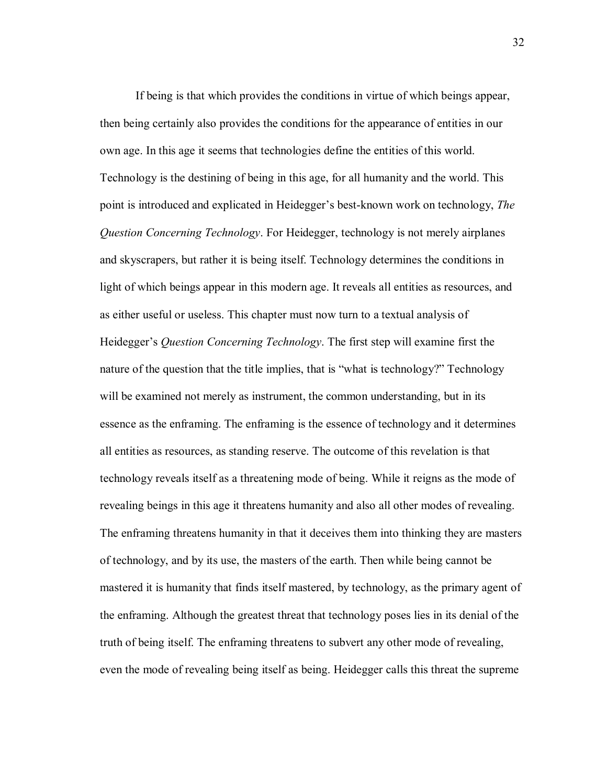If being is that which provides the conditions in virtue of which beings appear, then being certainly also provides the conditions for the appearance of entities in our own age. In this age it seems that technologies define the entities of this world. Technology is the destining of being in this age, for all humanity and the world. This point is introduced and explicated in Heidegger's best-known work on technology, *The Question Concerning Technology*. For Heidegger, technology is not merely airplanes and skyscrapers, but rather it is being itself. Technology determines the conditions in light of which beings appear in this modern age. It reveals all entities as resources, and as either useful or useless. This chapter must now turn to a textual analysis of Heidegger's *Question Concerning Technology*. The first step will examine first the nature of the question that the title implies, that is "what is technology?" Technology will be examined not merely as instrument, the common understanding, but in its essence as the enframing. The enframing is the essence of technology and it determines all entities as resources, as standing reserve. The outcome of this revelation is that technology reveals itself as a threatening mode of being. While it reigns as the mode of revealing beings in this age it threatens humanity and also all other modes of revealing. The enframing threatens humanity in that it deceives them into thinking they are masters of technology, and by its use, the masters of the earth. Then while being cannot be mastered it is humanity that finds itself mastered, by technology, as the primary agent of the enframing. Although the greatest threat that technology poses lies in its denial of the truth of being itself. The enframing threatens to subvert any other mode of revealing, even the mode of revealing being itself as being. Heidegger calls this threat the supreme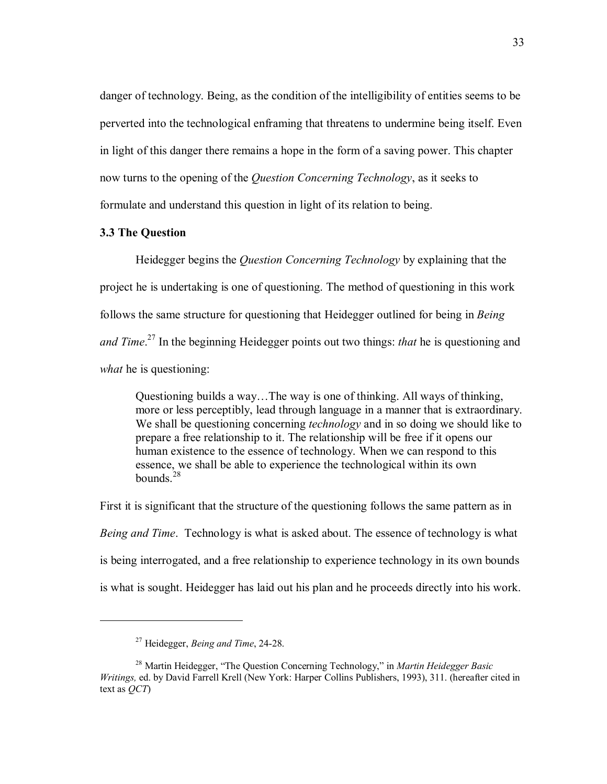danger of technology. Being, as the condition of the intelligibility of entities seems to be perverted into the technological enframing that threatens to undermine being itself. Even in light of this danger there remains a hope in the form of a saving power. This chapter now turns to the opening of the *Question Concerning Technology*, as it seeks to formulate and understand this question in light of its relation to being.

#### **3.3 The Question**

 Heidegger begins the *Question Concerning Technology* by explaining that the project he is undertaking is one of questioning. The method of questioning in this work follows the same structure for questioning that Heidegger outlined for being in *Being and Time*. 27 In the beginning Heidegger points out two things: *that* he is questioning and *what* he is questioning:

Questioning builds a way...The way is one of thinking. All ways of thinking, more or less perceptibly, lead through language in a manner that is extraordinary. We shall be questioning concerning *technology* and in so doing we should like to prepare a free relationship to it. The relationship will be free if it opens our human existence to the essence of technology. When we can respond to this essence, we shall be able to experience the technological within its own bounds.<sup>28</sup>

First it is significant that the structure of the questioning follows the same pattern as in *Being and Time*. Technology is what is asked about. The essence of technology is what is being interrogated, and a free relationship to experience technology in its own bounds is what is sought. Heidegger has laid out his plan and he proceeds directly into his work.

<sup>27</sup> Heidegger, *Being and Time*, 24-28.

<sup>&</sup>lt;sup>28</sup> Martin Heidegger, "The Ouestion Concerning Technology," in *Martin Heidegger Basic Writings,* ed. by David Farrell Krell (New York: Harper Collins Publishers, 1993), 311. (hereafter cited in text as *QCT*)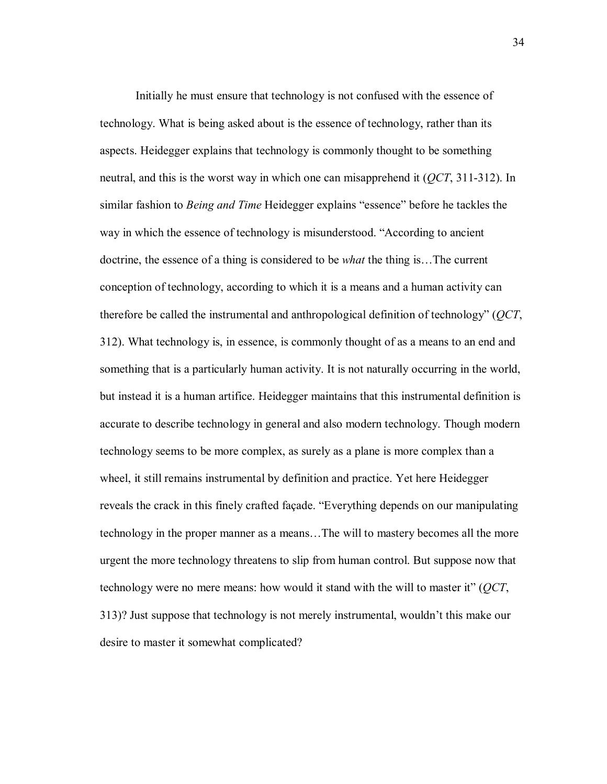Initially he must ensure that technology is not confused with the essence of technology. What is being asked about is the essence of technology, rather than its aspects. Heidegger explains that technology is commonly thought to be something neutral, and this is the worst way in which one can misapprehend it (*QCT*, 311-312). In similar fashion to *Being and Time* Heidegger explains "essence" before he tackles the way in which the essence of technology is misunderstood. "According to ancient doctrine, the essence of a thing is considered to be *what* the thing is... The current conception of technology, according to which it is a means and a human activity can therefore be called the instrumental and anthropological definition of technologyî (*QCT*, 312). What technology is, in essence, is commonly thought of as a means to an end and something that is a particularly human activity. It is not naturally occurring in the world, but instead it is a human artifice. Heidegger maintains that this instrumental definition is accurate to describe technology in general and also modern technology. Though modern technology seems to be more complex, as surely as a plane is more complex than a wheel, it still remains instrumental by definition and practice. Yet here Heidegger reveals the crack in this finely crafted façade. "Everything depends on our manipulating technology in the proper manner as a means...The will to mastery becomes all the more urgent the more technology threatens to slip from human control. But suppose now that technology were no mere means: how would it stand with the will to master it" (*QCT*, 313)? Just suppose that technology is not merely instrumental, wouldn't this make our desire to master it somewhat complicated?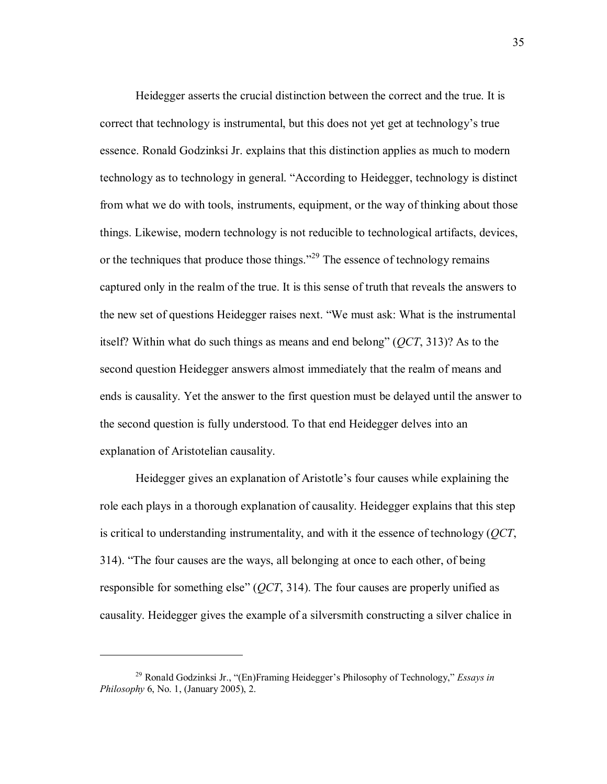Heidegger asserts the crucial distinction between the correct and the true. It is correct that technology is instrumental, but this does not yet get at technology's true essence. Ronald Godzinksi Jr. explains that this distinction applies as much to modern technology as to technology in general. "According to Heidegger, technology is distinct from what we do with tools, instruments, equipment, or the way of thinking about those things. Likewise, modern technology is not reducible to technological artifacts, devices, or the techniques that produce those things.<sup> $229$ </sup> The essence of technology remains captured only in the realm of the true. It is this sense of truth that reveals the answers to the new set of questions Heidegger raises next. "We must ask: What is the instrumental itself? Within what do such things as means and end belongî (*QCT*, 313)? As to the second question Heidegger answers almost immediately that the realm of means and ends is causality. Yet the answer to the first question must be delayed until the answer to the second question is fully understood. To that end Heidegger delves into an explanation of Aristotelian causality.

Heidegger gives an explanation of Aristotle's four causes while explaining the role each plays in a thorough explanation of causality. Heidegger explains that this step is critical to understanding instrumentality, and with it the essence of technology (*QCT*, 314). "The four causes are the ways, all belonging at once to each other, of being responsible for something else"  $(QCT, 314)$ . The four causes are properly unified as causality. Heidegger gives the example of a silversmith constructing a silver chalice in

<sup>&</sup>lt;sup>29</sup> Ronald Godzinksi Jr., "(En)Framing Heidegger's Philosophy of Technology," *Essays in Philosophy* 6, No. 1, (January 2005), 2.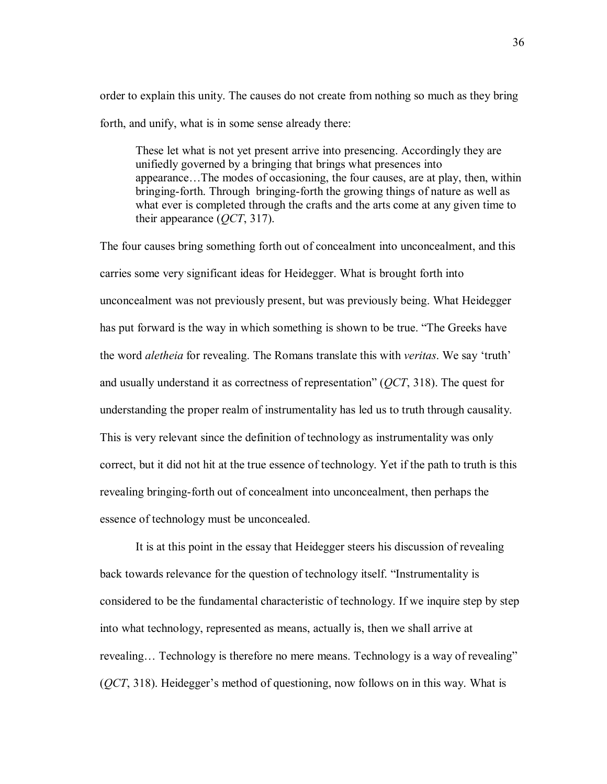order to explain this unity. The causes do not create from nothing so much as they bring forth, and unify, what is in some sense already there:

These let what is not yet present arrive into presencing. Accordingly they are unifiedly governed by a bringing that brings what presences into appearance...The modes of occasioning, the four causes, are at play, then, within bringing-forth. Through bringing-forth the growing things of nature as well as what ever is completed through the crafts and the arts come at any given time to their appearance (*QCT*, 317).

The four causes bring something forth out of concealment into unconcealment, and this carries some very significant ideas for Heidegger. What is brought forth into unconcealment was not previously present, but was previously being. What Heidegger has put forward is the way in which something is shown to be true. "The Greeks have the word *aletheia* for revealing. The Romans translate this with *veritas*. We say 'truth' and usually understand it as correctness of representation<sup>"</sup> (*QCT*, 318). The quest for understanding the proper realm of instrumentality has led us to truth through causality. This is very relevant since the definition of technology as instrumentality was only correct, but it did not hit at the true essence of technology. Yet if the path to truth is this revealing bringing-forth out of concealment into unconcealment, then perhaps the essence of technology must be unconcealed.

It is at this point in the essay that Heidegger steers his discussion of revealing back towards relevance for the question of technology itself. "Instrumentality is considered to be the fundamental characteristic of technology. If we inquire step by step into what technology, represented as means, actually is, then we shall arrive at revealing... Technology is therefore no mere means. Technology is a way of revealing" (*QCT*, 318). Heidegger's method of questioning, now follows on in this way. What is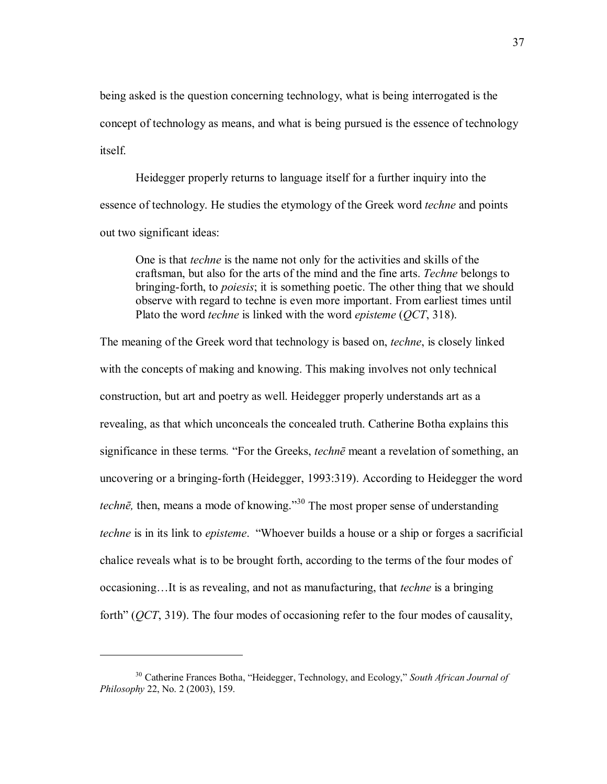being asked is the question concerning technology, what is being interrogated is the concept of technology as means, and what is being pursued is the essence of technology itself.

Heidegger properly returns to language itself for a further inquiry into the essence of technology. He studies the etymology of the Greek word *techne* and points out two significant ideas:

One is that *techne* is the name not only for the activities and skills of the craftsman, but also for the arts of the mind and the fine arts. *Techne* belongs to bringing-forth, to *poiesis*; it is something poetic. The other thing that we should observe with regard to techne is even more important. From earliest times until Plato the word *techne* is linked with the word *episteme* (*QCT*, 318).

The meaning of the Greek word that technology is based on, *techne*, is closely linked with the concepts of making and knowing. This making involves not only technical construction, but art and poetry as well. Heidegger properly understands art as a revealing, as that which unconceals the concealed truth. Catherine Botha explains this significance in these terms. "For the Greeks, *techne* meant a revelation of something, an uncovering or a bringing-forth (Heidegger, 1993:319). According to Heidegger the word *techne*, then, means a mode of knowing.<sup>30</sup> The most proper sense of understanding *techne* is in its link to *episteme*. "Whoever builds a house or a ship or forges a sacrificial chalice reveals what is to be brought forth, according to the terms of the four modes of occasioning...It is as revealing, and not as manufacturing, that *techne* is a bringing forth" (*QCT*, 319). The four modes of occasioning refer to the four modes of causality,

<sup>&</sup>lt;sup>30</sup> Catherine Frances Botha, "Heidegger, Technology, and Ecology," *South African Journal of Philosophy* 22, No. 2 (2003), 159.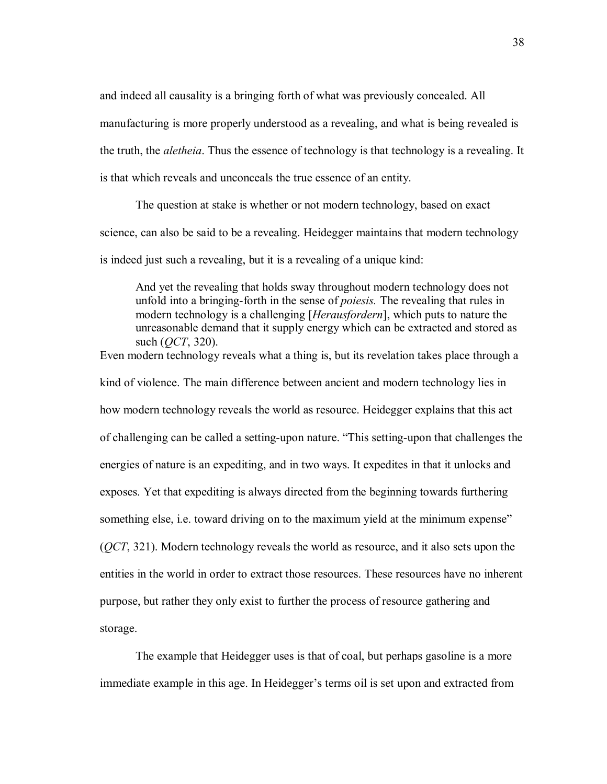and indeed all causality is a bringing forth of what was previously concealed. All manufacturing is more properly understood as a revealing, and what is being revealed is the truth, the *aletheia*. Thus the essence of technology is that technology is a revealing. It is that which reveals and unconceals the true essence of an entity.

The question at stake is whether or not modern technology, based on exact science, can also be said to be a revealing. Heidegger maintains that modern technology is indeed just such a revealing, but it is a revealing of a unique kind:

And yet the revealing that holds sway throughout modern technology does not unfold into a bringing-forth in the sense of *poiesis.* The revealing that rules in modern technology is a challenging [*Herausfordern*], which puts to nature the unreasonable demand that it supply energy which can be extracted and stored as such (*QCT*, 320).

Even modern technology reveals what a thing is, but its revelation takes place through a kind of violence. The main difference between ancient and modern technology lies in how modern technology reveals the world as resource. Heidegger explains that this act of challenging can be called a setting-upon nature. "This setting-upon that challenges the energies of nature is an expediting, and in two ways. It expedites in that it unlocks and exposes. Yet that expediting is always directed from the beginning towards furthering something else, i.e. toward driving on to the maximum yield at the minimum expense" (*QCT*, 321). Modern technology reveals the world as resource, and it also sets upon the entities in the world in order to extract those resources. These resources have no inherent purpose, but rather they only exist to further the process of resource gathering and storage.

The example that Heidegger uses is that of coal, but perhaps gasoline is a more immediate example in this age. In Heidegger's terms oil is set upon and extracted from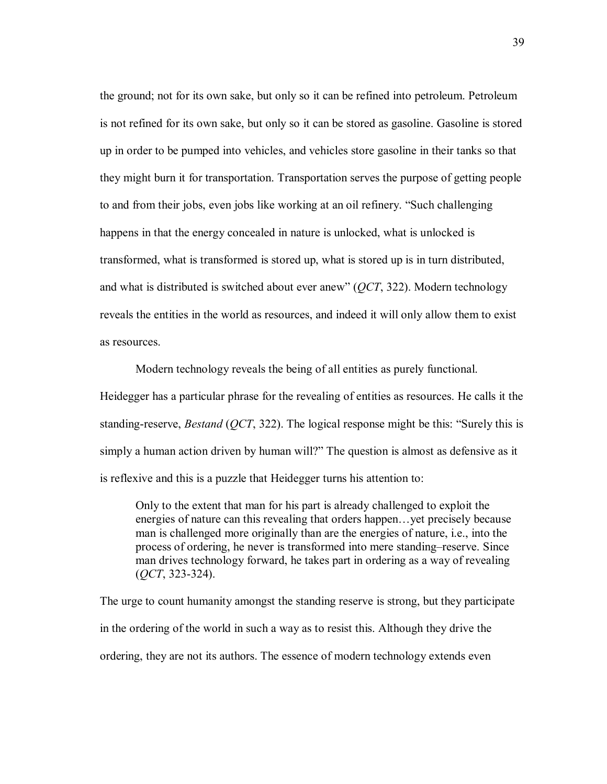the ground; not for its own sake, but only so it can be refined into petroleum. Petroleum is not refined for its own sake, but only so it can be stored as gasoline. Gasoline is stored up in order to be pumped into vehicles, and vehicles store gasoline in their tanks so that they might burn it for transportation. Transportation serves the purpose of getting people to and from their jobs, even jobs like working at an oil refinery. "Such challenging happens in that the energy concealed in nature is unlocked, what is unlocked is transformed, what is transformed is stored up, what is stored up is in turn distributed, and what is distributed is switched about ever anew" (*QCT*, 322). Modern technology reveals the entities in the world as resources, and indeed it will only allow them to exist as resources.

Modern technology reveals the being of all entities as purely functional. Heidegger has a particular phrase for the revealing of entities as resources. He calls it the standing-reserve, *Bestand* ( $QCT$ , 322). The logical response might be this: "Surely this is simply a human action driven by human will?" The question is almost as defensive as it is reflexive and this is a puzzle that Heidegger turns his attention to:

Only to the extent that man for his part is already challenged to exploit the energies of nature can this revealing that orders happen... yet precisely because man is challenged more originally than are the energies of nature, i.e., into the process of ordering, he never is transformed into mere standing–reserve. Since man drives technology forward, he takes part in ordering as a way of revealing (*QCT*, 323-324).

The urge to count humanity amongst the standing reserve is strong, but they participate in the ordering of the world in such a way as to resist this. Although they drive the ordering, they are not its authors. The essence of modern technology extends even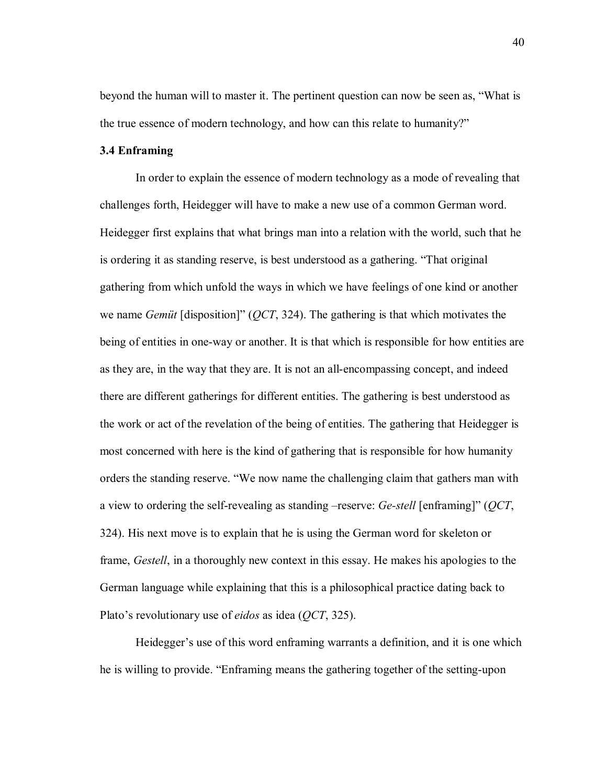beyond the human will to master it. The pertinent question can now be seen as, "What is the true essence of modern technology, and how can this relate to humanity?"

## **3.4 Enframing**

In order to explain the essence of modern technology as a mode of revealing that challenges forth, Heidegger will have to make a new use of a common German word. Heidegger first explains that what brings man into a relation with the world, such that he is ordering it as standing reserve, is best understood as a gathering. "That original gathering from which unfold the ways in which we have feelings of one kind or another we name *Gemit* [disposition]" (*QCT*, 324). The gathering is that which motivates the being of entities in one-way or another. It is that which is responsible for how entities are as they are, in the way that they are. It is not an all-encompassing concept, and indeed there are different gatherings for different entities. The gathering is best understood as the work or act of the revelation of the being of entities. The gathering that Heidegger is most concerned with here is the kind of gathering that is responsible for how humanity orders the standing reserve. "We now name the challenging claim that gathers man with a view to ordering the self-revealing as standing –reserve: *Ge-stell* [enframing]" (*QCT*, 324). His next move is to explain that he is using the German word for skeleton or frame, *Gestell*, in a thoroughly new context in this essay. He makes his apologies to the German language while explaining that this is a philosophical practice dating back to Plato's revolutionary use of *eidos* as idea (*QCT*, 325).

Heidegger's use of this word enframing warrants a definition, and it is one which he is willing to provide. "Enframing means the gathering together of the setting-upon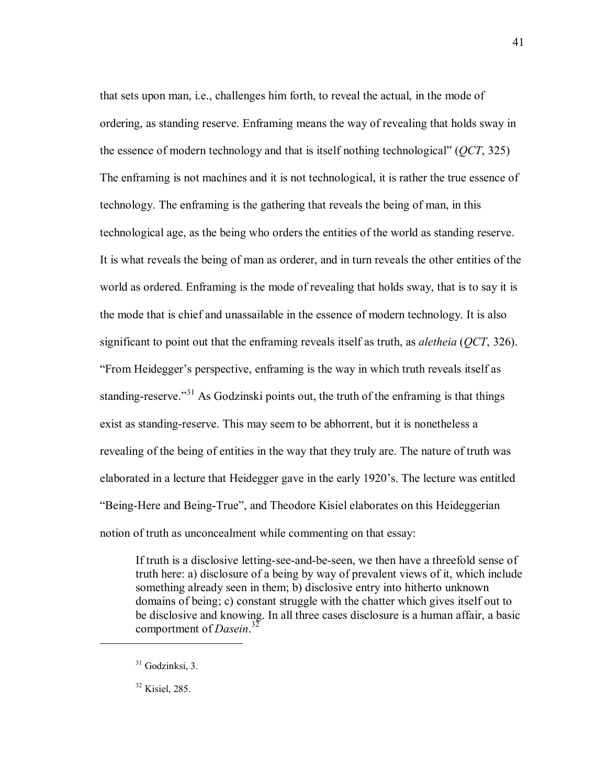that sets upon man, i.e., challenges him forth, to reveal the actual, in the mode of ordering, as standing reserve. Enframing means the way of revealing that holds sway in the essence of modern technology and that is itself nothing technological" (*QCT*, 325) The enframing is not machines and it is not technological, it is rather the true essence of technology. The enframing is the gathering that reveals the being of man, in this technological age, as the being who orders the entities of the world as standing reserve. It is what reveals the being of man as orderer, and in turn reveals the other entities of the world as ordered. Enframing is the mode of revealing that holds sway, that is to say it is the mode that is chief and unassailable in the essence of modern technology. It is also significant to point out that the enframing reveals itself as truth, as *aletheia* (*QCT*, 326). ìFrom Heideggerís perspective, enframing is the way in which truth reveals itself as standing-reserve.<sup>31</sup> As Godzinski points out, the truth of the enframing is that things exist as standing-reserve. This may seem to be abhorrent, but it is nonetheless a revealing of the being of entities in the way that they truly are. The nature of truth was elaborated in a lecture that Heidegger gave in the early 1920's. The lecture was entitled "Being-Here and Being-True", and Theodore Kisiel elaborates on this Heideggerian notion of truth as unconcealment while commenting on that essay:

If truth is a disclosive letting-see-and-be-seen, we then have a threefold sense of truth here: a) disclosure of a being by way of prevalent views of it, which include something already seen in them; b) disclosive entry into hitherto unknown domains of being; c) constant struggle with the chatter which gives itself out to be disclosive and knowing. In all three cases disclosure is a human affair, a basic comportment of *Dasein*. 32

 $31$  Godzinksi, 3.

<sup>32</sup> Kisiel, 285.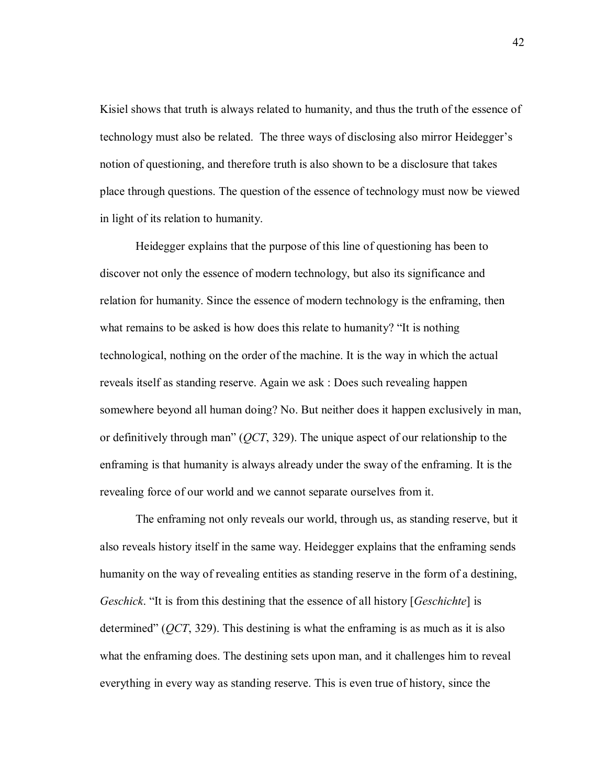Kisiel shows that truth is always related to humanity, and thus the truth of the essence of technology must also be related. The three ways of disclosing also mirror Heidegger's notion of questioning, and therefore truth is also shown to be a disclosure that takes place through questions. The question of the essence of technology must now be viewed in light of its relation to humanity.

Heidegger explains that the purpose of this line of questioning has been to discover not only the essence of modern technology, but also its significance and relation for humanity. Since the essence of modern technology is the enframing, then what remains to be asked is how does this relate to humanity? "It is nothing technological, nothing on the order of the machine. It is the way in which the actual reveals itself as standing reserve. Again we ask : Does such revealing happen somewhere beyond all human doing? No. But neither does it happen exclusively in man, or definitively through manî (*QCT*, 329). The unique aspect of our relationship to the enframing is that humanity is always already under the sway of the enframing. It is the revealing force of our world and we cannot separate ourselves from it.

The enframing not only reveals our world, through us, as standing reserve, but it also reveals history itself in the same way. Heidegger explains that the enframing sends humanity on the way of revealing entities as standing reserve in the form of a destining, *Geschick*. "It is from this destining that the essence of all history [*Geschichte*] is determined<sup>"</sup> (*OCT*, 329). This destining is what the enframing is as much as it is also what the enframing does. The destining sets upon man, and it challenges him to reveal everything in every way as standing reserve. This is even true of history, since the

42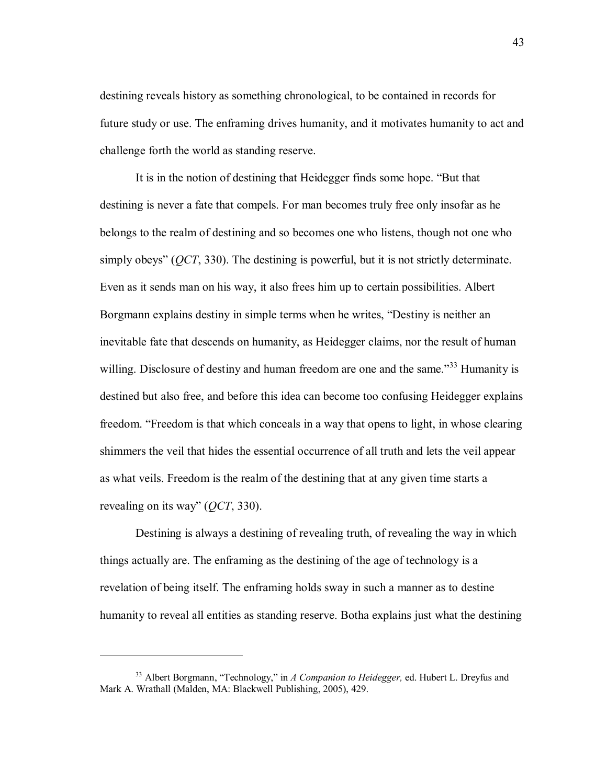destining reveals history as something chronological, to be contained in records for future study or use. The enframing drives humanity, and it motivates humanity to act and challenge forth the world as standing reserve.

It is in the notion of destining that Heidegger finds some hope. "But that destining is never a fate that compels. For man becomes truly free only insofar as he belongs to the realm of destining and so becomes one who listens, though not one who simply obeys" (*QCT*, 330). The destining is powerful, but it is not strictly determinate. Even as it sends man on his way, it also frees him up to certain possibilities. Albert Borgmann explains destiny in simple terms when he writes, "Destiny is neither an inevitable fate that descends on humanity, as Heidegger claims, nor the result of human willing. Disclosure of destiny and human freedom are one and the same.<sup>733</sup> Humanity is destined but also free, and before this idea can become too confusing Heidegger explains freedom. "Freedom is that which conceals in a way that opens to light, in whose clearing shimmers the veil that hides the essential occurrence of all truth and lets the veil appear as what veils. Freedom is the realm of the destining that at any given time starts a revealing on its way" (*QCT*, 330).

Destining is always a destining of revealing truth, of revealing the way in which things actually are. The enframing as the destining of the age of technology is a revelation of being itself. The enframing holds sway in such a manner as to destine humanity to reveal all entities as standing reserve. Botha explains just what the destining

<sup>&</sup>lt;sup>33</sup> Albert Borgmann, "Technology," in *A Companion to Heidegger*, ed. Hubert L. Dreyfus and Mark A. Wrathall (Malden, MA: Blackwell Publishing, 2005), 429.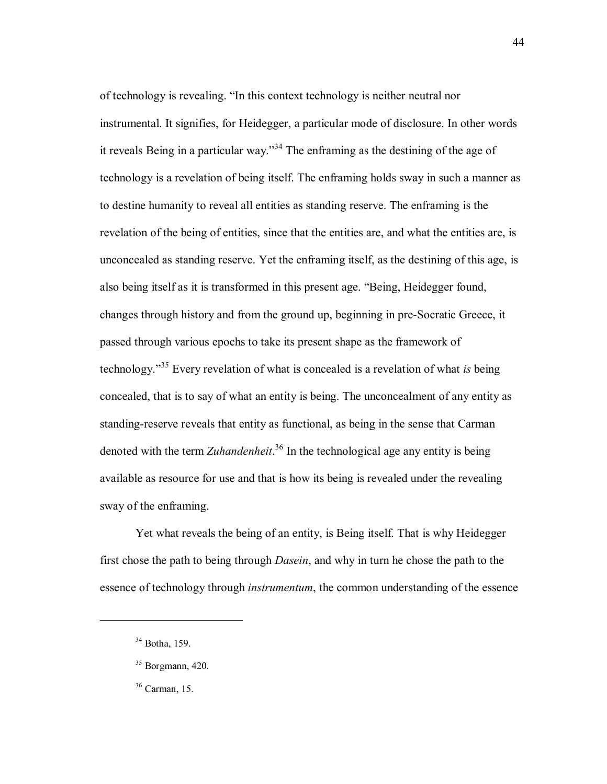of technology is revealing. "In this context technology is neither neutral nor instrumental. It signifies, for Heidegger, a particular mode of disclosure. In other words it reveals Being in a particular way.<sup>34</sup> The enframing as the destining of the age of technology is a revelation of being itself. The enframing holds sway in such a manner as to destine humanity to reveal all entities as standing reserve. The enframing is the revelation of the being of entities, since that the entities are, and what the entities are, is unconcealed as standing reserve. Yet the enframing itself, as the destining of this age, is also being itself as it is transformed in this present age. "Being, Heidegger found, changes through history and from the ground up, beginning in pre-Socratic Greece, it passed through various epochs to take its present shape as the framework of technology.<sup>35</sup> Every revelation of what is concealed is a revelation of what *is* being concealed, that is to say of what an entity is being. The unconcealment of any entity as standing-reserve reveals that entity as functional, as being in the sense that Carman denoted with the term *Zuhandenheit*. 36 In the technological age any entity is being available as resource for use and that is how its being is revealed under the revealing sway of the enframing.

Yet what reveals the being of an entity, is Being itself. That is why Heidegger first chose the path to being through *Dasein*, and why in turn he chose the path to the essence of technology through *instrumentum*, the common understanding of the essence

<sup>34</sup> Botha, 159.

 $35$  Borgmann, 420.

<sup>36</sup> Carman, 15.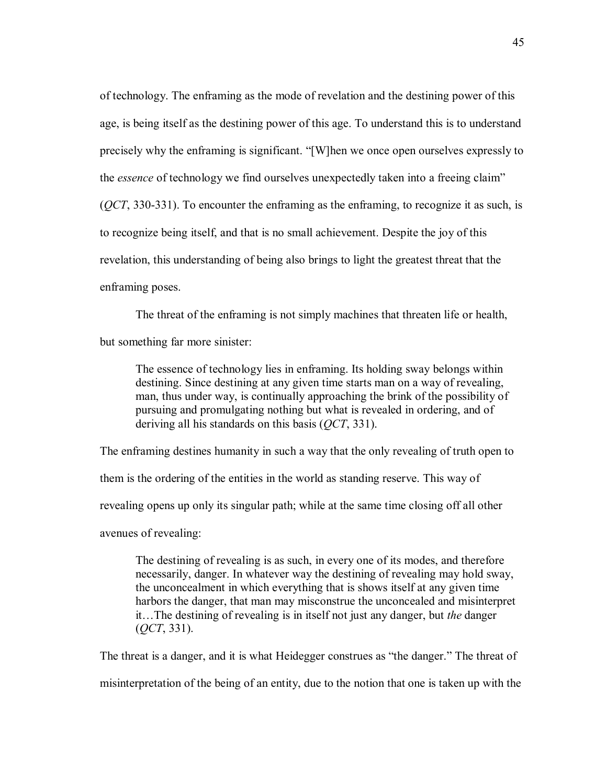of technology. The enframing as the mode of revelation and the destining power of this age, is being itself as the destining power of this age. To understand this is to understand precisely why the enframing is significant. "[W]hen we once open ourselves expressly to the *essence* of technology we find ourselves unexpectedly taken into a freeing claim<sup>"</sup> (*QCT*, 330-331). To encounter the enframing as the enframing, to recognize it as such, is to recognize being itself, and that is no small achievement. Despite the joy of this revelation, this understanding of being also brings to light the greatest threat that the enframing poses.

The threat of the enframing is not simply machines that threaten life or health,

but something far more sinister:

The essence of technology lies in enframing. Its holding sway belongs within destining. Since destining at any given time starts man on a way of revealing, man, thus under way, is continually approaching the brink of the possibility of pursuing and promulgating nothing but what is revealed in ordering, and of deriving all his standards on this basis (*QCT*, 331).

The enframing destines humanity in such a way that the only revealing of truth open to them is the ordering of the entities in the world as standing reserve. This way of revealing opens up only its singular path; while at the same time closing off all other avenues of revealing:

The destining of revealing is as such, in every one of its modes, and therefore necessarily, danger. In whatever way the destining of revealing may hold sway, the unconcealment in which everything that is shows itself at any given time harbors the danger, that man may misconstrue the unconcealed and misinterpret it...The destining of revealing is in itself not just any danger, but *the* danger (*QCT*, 331).

The threat is a danger, and it is what Heidegger construes as "the danger." The threat of misinterpretation of the being of an entity, due to the notion that one is taken up with the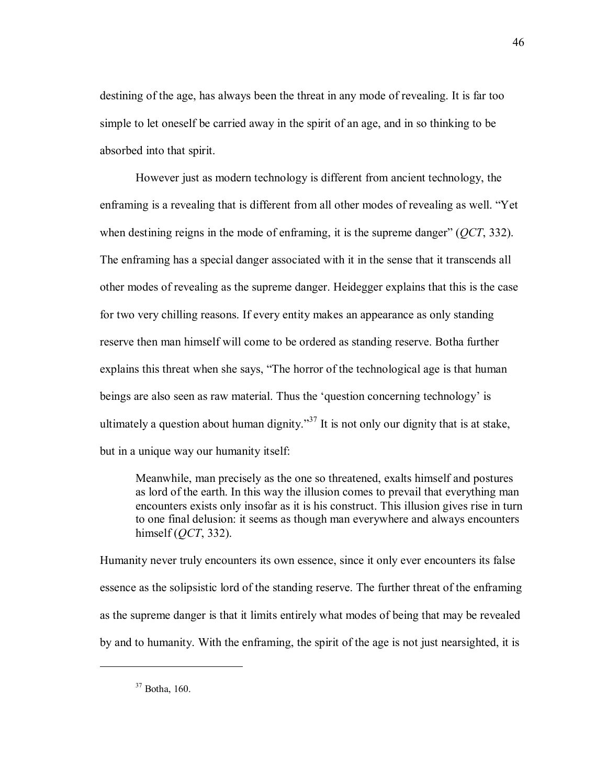destining of the age, has always been the threat in any mode of revealing. It is far too simple to let oneself be carried away in the spirit of an age, and in so thinking to be absorbed into that spirit.

However just as modern technology is different from ancient technology, the enframing is a revealing that is different from all other modes of revealing as well. "Yet when destining reigns in the mode of enframing, it is the supreme danger" ( $QCT$ , 332). The enframing has a special danger associated with it in the sense that it transcends all other modes of revealing as the supreme danger. Heidegger explains that this is the case for two very chilling reasons. If every entity makes an appearance as only standing reserve then man himself will come to be ordered as standing reserve. Botha further explains this threat when she says, "The horror of the technological age is that human beings are also seen as raw material. Thus the 'question concerning technology' is ultimately a question about human dignity.<sup>37</sup> It is not only our dignity that is at stake, but in a unique way our humanity itself:

Meanwhile, man precisely as the one so threatened, exalts himself and postures as lord of the earth. In this way the illusion comes to prevail that everything man encounters exists only insofar as it is his construct. This illusion gives rise in turn to one final delusion: it seems as though man everywhere and always encounters himself (*QCT*, 332).

Humanity never truly encounters its own essence, since it only ever encounters its false essence as the solipsistic lord of the standing reserve. The further threat of the enframing as the supreme danger is that it limits entirely what modes of being that may be revealed by and to humanity. With the enframing, the spirit of the age is not just nearsighted, it is

 $37$  Botha, 160.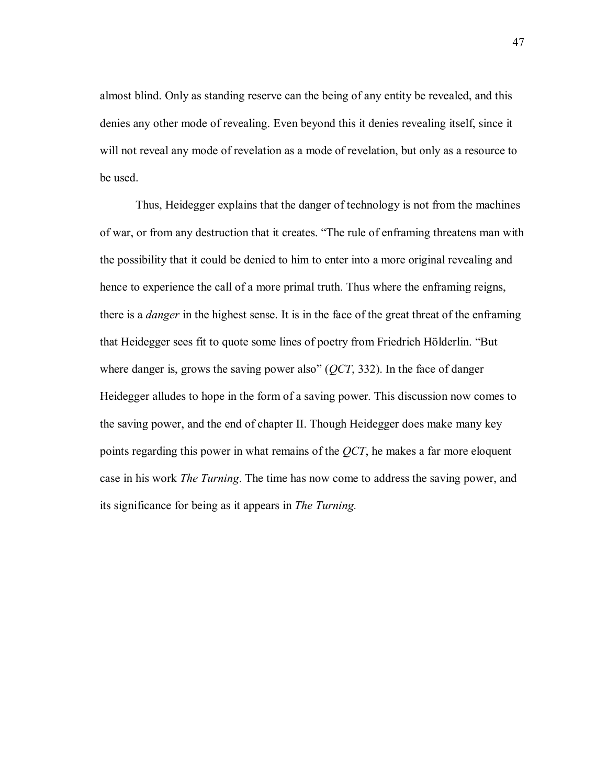almost blind. Only as standing reserve can the being of any entity be revealed, and this denies any other mode of revealing. Even beyond this it denies revealing itself, since it will not reveal any mode of revelation as a mode of revelation, but only as a resource to be used.

Thus, Heidegger explains that the danger of technology is not from the machines of war, or from any destruction that it creates. "The rule of enframing threatens man with the possibility that it could be denied to him to enter into a more original revealing and hence to experience the call of a more primal truth. Thus where the enframing reigns, there is a *danger* in the highest sense. It is in the face of the great threat of the enframing that Heidegger sees fit to quote some lines of poetry from Friedrich Hölderlin. "But where danger is, grows the saving power also<sup>"</sup> ( $QCT$ , 332). In the face of danger Heidegger alludes to hope in the form of a saving power. This discussion now comes to the saving power, and the end of chapter II. Though Heidegger does make many key points regarding this power in what remains of the *QCT*, he makes a far more eloquent case in his work *The Turning*. The time has now come to address the saving power, and its significance for being as it appears in *The Turning.*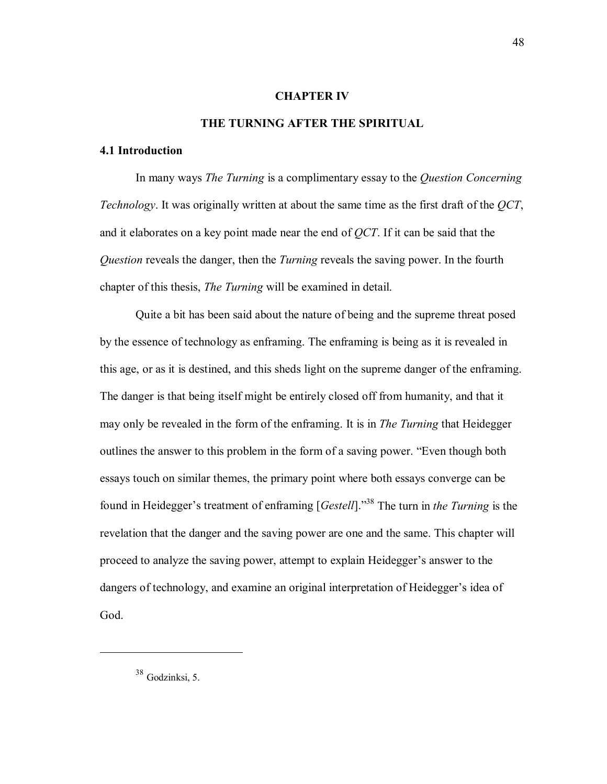#### **CHAPTER IV**

#### **THE TURNING AFTER THE SPIRITUAL**

### **4.1 Introduction**

In many ways *The Turning* is a complimentary essay to the *Question Concerning Technology*. It was originally written at about the same time as the first draft of the *QCT*, and it elaborates on a key point made near the end of *QCT*. If it can be said that the *Question* reveals the danger, then the *Turning* reveals the saving power. In the fourth chapter of this thesis, *The Turning* will be examined in detail.

Quite a bit has been said about the nature of being and the supreme threat posed by the essence of technology as enframing. The enframing is being as it is revealed in this age, or as it is destined, and this sheds light on the supreme danger of the enframing. The danger is that being itself might be entirely closed off from humanity, and that it may only be revealed in the form of the enframing. It is in *The Turning* that Heidegger outlines the answer to this problem in the form of a saving power. "Even though both essays touch on similar themes, the primary point where both essays converge can be found in Heidegger's treatment of enframing [*Gestell*].<sup>338</sup> The turn in *the Turning* is the revelation that the danger and the saving power are one and the same. This chapter will proceed to analyze the saving power, attempt to explain Heidegger's answer to the dangers of technology, and examine an original interpretation of Heidegger's idea of God.

<sup>38</sup> Godzinksi, 5.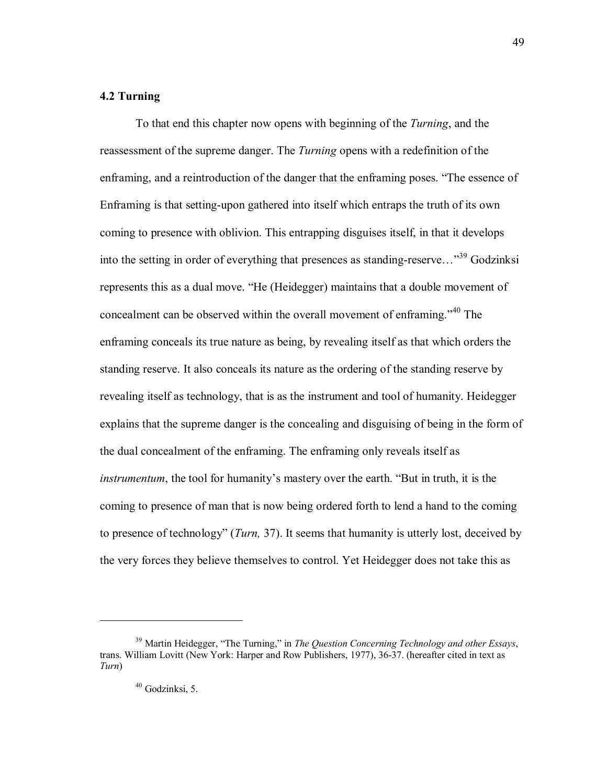# **4.2 Turning**

To that end this chapter now opens with beginning of the *Turning*, and the reassessment of the supreme danger. The *Turning* opens with a redefinition of the enframing, and a reintroduction of the danger that the enframing poses. "The essence of Enframing is that setting-upon gathered into itself which entraps the truth of its own coming to presence with oblivion. This entrapping disguises itself, in that it develops into the setting in order of everything that presences as standing-reserve...<sup>39</sup> Godzinksi represents this as a dual move. "He (Heidegger) maintains that a double movement of concealment can be observed within the overall movement of enframing.<sup>340</sup> The enframing conceals its true nature as being, by revealing itself as that which orders the standing reserve. It also conceals its nature as the ordering of the standing reserve by revealing itself as technology, that is as the instrument and tool of humanity. Heidegger explains that the supreme danger is the concealing and disguising of being in the form of the dual concealment of the enframing. The enframing only reveals itself as *instrumentum*, the tool for humanity's mastery over the earth. "But in truth, it is the coming to presence of man that is now being ordered forth to lend a hand to the coming to presence of technologyî (*Turn,* 37). It seems that humanity is utterly lost, deceived by the very forces they believe themselves to control. Yet Heidegger does not take this as

<sup>&</sup>lt;sup>39</sup> Martin Heidegger, "The Turning," in *The Question Concerning Technology and other Essays*, trans. William Lovitt (New York: Harper and Row Publishers, 1977), 36-37. (hereafter cited in text as *Turn*)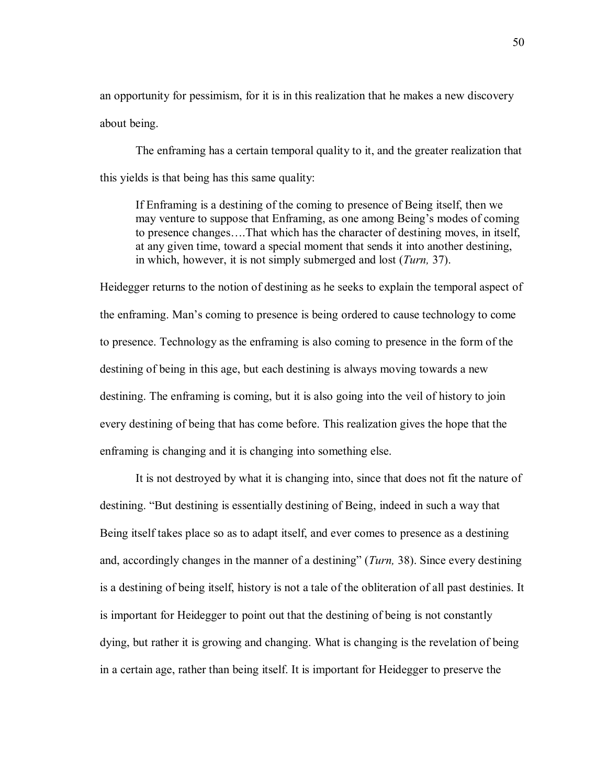an opportunity for pessimism, for it is in this realization that he makes a new discovery about being.

The enframing has a certain temporal quality to it, and the greater realization that this yields is that being has this same quality:

If Enframing is a destining of the coming to presence of Being itself, then we may venture to suppose that Enframing, as one among Being's modes of coming to presence changes....That which has the character of destining moves, in itself, at any given time, toward a special moment that sends it into another destining, in which, however, it is not simply submerged and lost (*Turn,* 37).

Heidegger returns to the notion of destining as he seeks to explain the temporal aspect of the enframing. Man's coming to presence is being ordered to cause technology to come to presence. Technology as the enframing is also coming to presence in the form of the destining of being in this age, but each destining is always moving towards a new destining. The enframing is coming, but it is also going into the veil of history to join every destining of being that has come before. This realization gives the hope that the enframing is changing and it is changing into something else.

It is not destroyed by what it is changing into, since that does not fit the nature of destining. "But destining is essentially destining of Being, indeed in such a way that Being itself takes place so as to adapt itself, and ever comes to presence as a destining and, accordingly changes in the manner of a destining" (*Turn*, 38). Since every destining is a destining of being itself, history is not a tale of the obliteration of all past destinies. It is important for Heidegger to point out that the destining of being is not constantly dying, but rather it is growing and changing. What is changing is the revelation of being in a certain age, rather than being itself. It is important for Heidegger to preserve the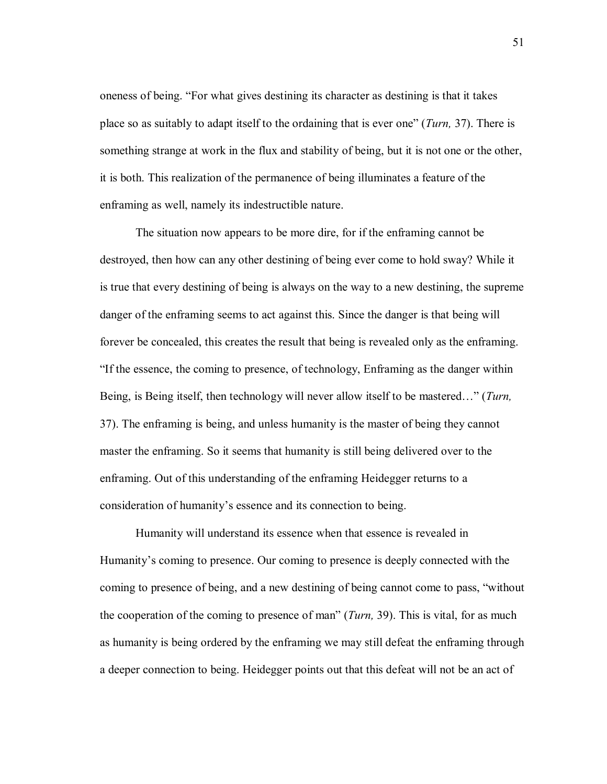oneness of being. "For what gives destining its character as destining is that it takes place so as suitably to adapt itself to the ordaining that is ever oneî (*Turn,* 37). There is something strange at work in the flux and stability of being, but it is not one or the other, it is both. This realization of the permanence of being illuminates a feature of the enframing as well, namely its indestructible nature.

The situation now appears to be more dire, for if the enframing cannot be destroyed, then how can any other destining of being ever come to hold sway? While it is true that every destining of being is always on the way to a new destining, the supreme danger of the enframing seems to act against this. Since the danger is that being will forever be concealed, this creates the result that being is revealed only as the enframing. If the essence, the coming to presence, of technology, Enframing as the danger within Being, is Being itself, then technology will never allow itself to be mastered..." (*Turn*, 37). The enframing is being, and unless humanity is the master of being they cannot master the enframing. So it seems that humanity is still being delivered over to the enframing. Out of this understanding of the enframing Heidegger returns to a consideration of humanity's essence and its connection to being.

Humanity will understand its essence when that essence is revealed in Humanity's coming to presence. Our coming to presence is deeply connected with the coming to presence of being, and a new destining of being cannot come to pass, "without the cooperation of the coming to presence of man" (*Turn*, 39). This is vital, for as much as humanity is being ordered by the enframing we may still defeat the enframing through a deeper connection to being. Heidegger points out that this defeat will not be an act of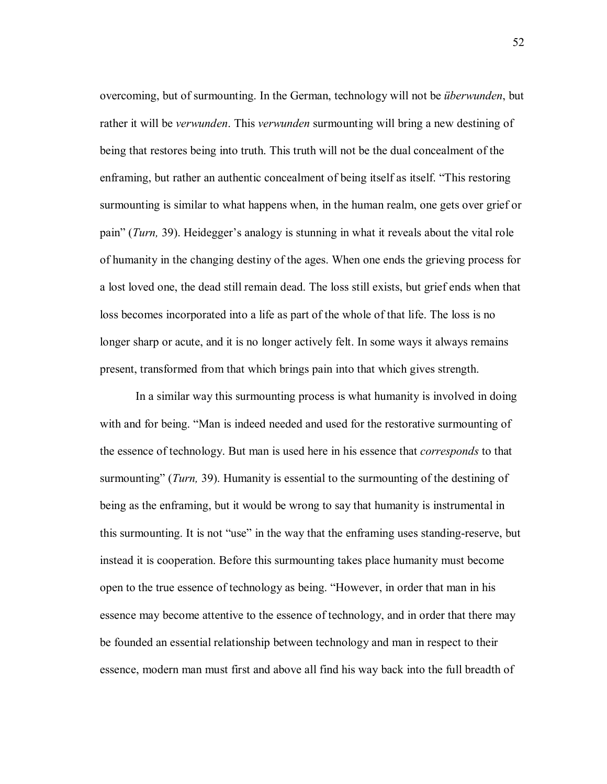overcoming, but of surmounting. In the German, technology will not be *überwunden*, but rather it will be *verwunden*. This *verwunden* surmounting will bring a new destining of being that restores being into truth. This truth will not be the dual concealment of the enframing, but rather an authentic concealment of being itself as itself. "This restoring surmounting is similar to what happens when, in the human realm, one gets over grief or pain" (*Turn,* 39). Heidegger's analogy is stunning in what it reveals about the vital role of humanity in the changing destiny of the ages. When one ends the grieving process for a lost loved one, the dead still remain dead. The loss still exists, but grief ends when that loss becomes incorporated into a life as part of the whole of that life. The loss is no longer sharp or acute, and it is no longer actively felt. In some ways it always remains present, transformed from that which brings pain into that which gives strength.

In a similar way this surmounting process is what humanity is involved in doing with and for being. "Man is indeed needed and used for the restorative surmounting of the essence of technology. But man is used here in his essence that *corresponds* to that surmounting" (*Turn*, 39). Humanity is essential to the surmounting of the destining of being as the enframing, but it would be wrong to say that humanity is instrumental in this surmounting. It is not "use" in the way that the enframing uses standing-reserve, but instead it is cooperation. Before this surmounting takes place humanity must become open to the true essence of technology as being. "However, in order that man in his essence may become attentive to the essence of technology, and in order that there may be founded an essential relationship between technology and man in respect to their essence, modern man must first and above all find his way back into the full breadth of

52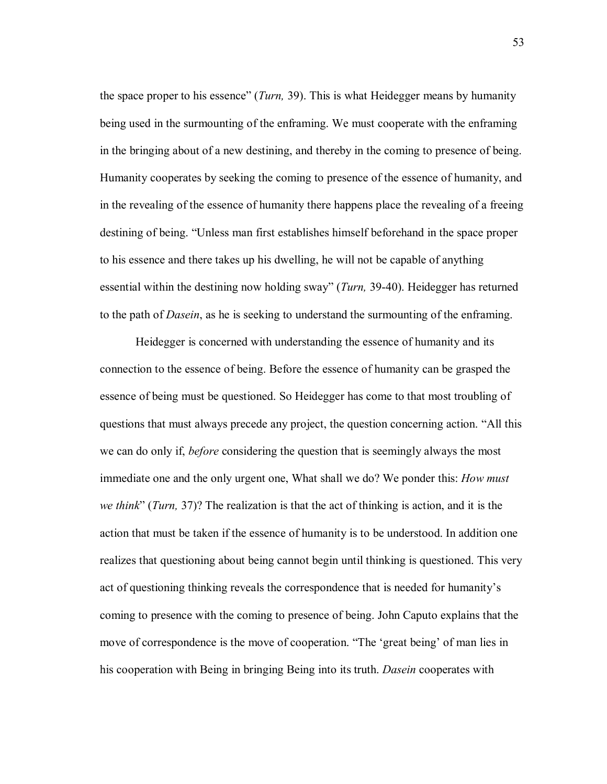the space proper to his essence" (*Turn*, 39). This is what Heidegger means by humanity being used in the surmounting of the enframing. We must cooperate with the enframing in the bringing about of a new destining, and thereby in the coming to presence of being. Humanity cooperates by seeking the coming to presence of the essence of humanity, and in the revealing of the essence of humanity there happens place the revealing of a freeing destining of being. "Unless man first establishes himself beforehand in the space proper to his essence and there takes up his dwelling, he will not be capable of anything essential within the destining now holding sway" (*Turn*, 39-40). Heidegger has returned to the path of *Dasein*, as he is seeking to understand the surmounting of the enframing.

Heidegger is concerned with understanding the essence of humanity and its connection to the essence of being. Before the essence of humanity can be grasped the essence of being must be questioned. So Heidegger has come to that most troubling of questions that must always precede any project, the question concerning action. "All this we can do only if, *before* considering the question that is seemingly always the most immediate one and the only urgent one, What shall we do? We ponder this: *How must we think*î (*Turn,* 37)? The realization is that the act of thinking is action, and it is the action that must be taken if the essence of humanity is to be understood. In addition one realizes that questioning about being cannot begin until thinking is questioned. This very act of questioning thinking reveals the correspondence that is needed for humanityís coming to presence with the coming to presence of being. John Caputo explains that the move of correspondence is the move of cooperation. "The 'great being' of man lies in his cooperation with Being in bringing Being into its truth. *Dasein* cooperates with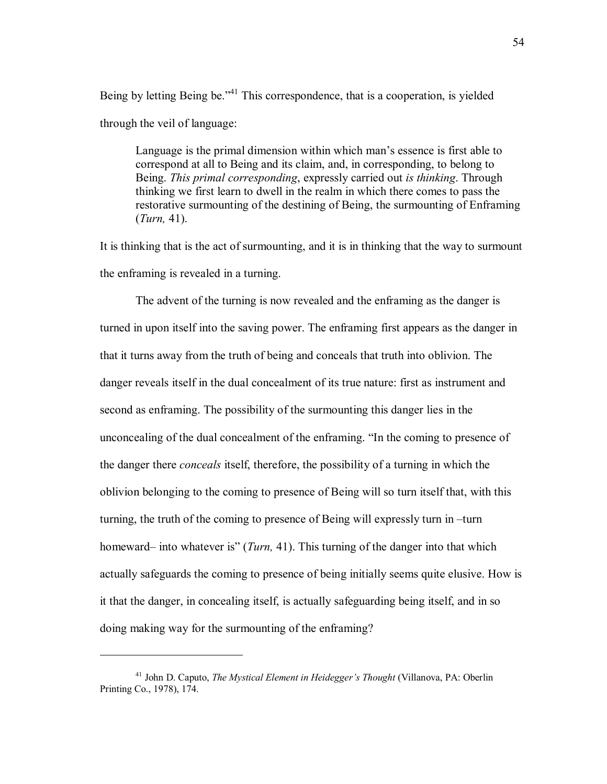Being by letting Being be.<sup> $14$ </sup> This correspondence, that is a cooperation, is yielded through the veil of language:

Language is the primal dimension within which man's essence is first able to correspond at all to Being and its claim, and, in corresponding, to belong to Being. *This primal corresponding*, expressly carried out *is thinking*. Through thinking we first learn to dwell in the realm in which there comes to pass the restorative surmounting of the destining of Being, the surmounting of Enframing (*Turn,* 41).

It is thinking that is the act of surmounting, and it is in thinking that the way to surmount the enframing is revealed in a turning.

The advent of the turning is now revealed and the enframing as the danger is turned in upon itself into the saving power. The enframing first appears as the danger in that it turns away from the truth of being and conceals that truth into oblivion. The danger reveals itself in the dual concealment of its true nature: first as instrument and second as enframing. The possibility of the surmounting this danger lies in the unconcealing of the dual concealment of the enframing. "In the coming to presence of the danger there *conceals* itself, therefore, the possibility of a turning in which the oblivion belonging to the coming to presence of Being will so turn itself that, with this turning, the truth of the coming to presence of Being will expressly turn in -turn homeward– into whatever is" (*Turn*, 41). This turning of the danger into that which actually safeguards the coming to presence of being initially seems quite elusive. How is it that the danger, in concealing itself, is actually safeguarding being itself, and in so doing making way for the surmounting of the enframing?

<sup>&</sup>lt;sup>41</sup> John D. Caputo, *The Mystical Element in Heidegger's Thought* (Villanova, PA: Oberlin Printing Co., 1978), 174.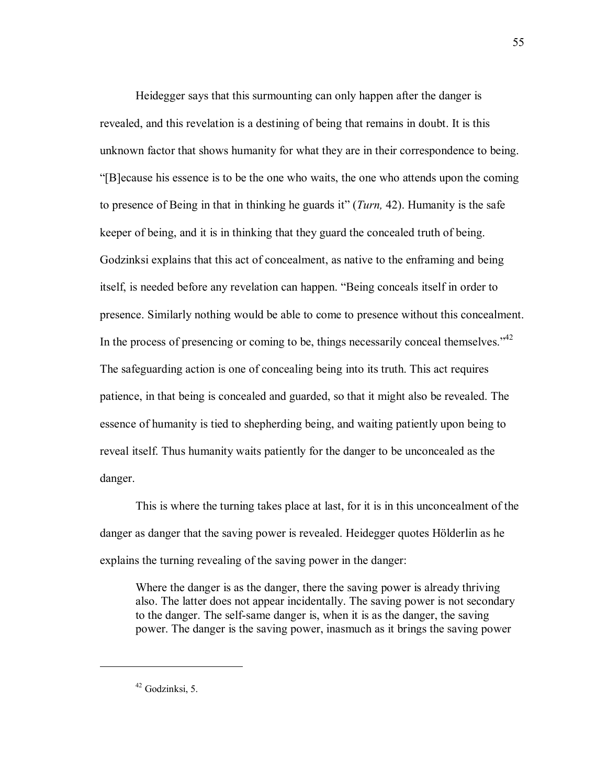Heidegger says that this surmounting can only happen after the danger is revealed, and this revelation is a destining of being that remains in doubt. It is this unknown factor that shows humanity for what they are in their correspondence to being. ì[B]ecause his essence is to be the one who waits, the one who attends upon the coming to presence of Being in that in thinking he guards itî (*Turn,* 42). Humanity is the safe keeper of being, and it is in thinking that they guard the concealed truth of being. Godzinksi explains that this act of concealment, as native to the enframing and being itself, is needed before any revelation can happen. "Being conceals itself in order to presence. Similarly nothing would be able to come to presence without this concealment. In the process of presencing or coming to be, things necessarily conceal themselves.<sup> $42$ </sup> The safeguarding action is one of concealing being into its truth. This act requires patience, in that being is concealed and guarded, so that it might also be revealed. The essence of humanity is tied to shepherding being, and waiting patiently upon being to reveal itself. Thus humanity waits patiently for the danger to be unconcealed as the danger.

This is where the turning takes place at last, for it is in this unconcealment of the danger as danger that the saving power is revealed. Heidegger quotes Hölderlin as he explains the turning revealing of the saving power in the danger:

Where the danger is as the danger, there the saving power is already thriving also. The latter does not appear incidentally. The saving power is not secondary to the danger. The self-same danger is, when it is as the danger, the saving power. The danger is the saving power, inasmuch as it brings the saving power

 $42$  Godzinksi, 5.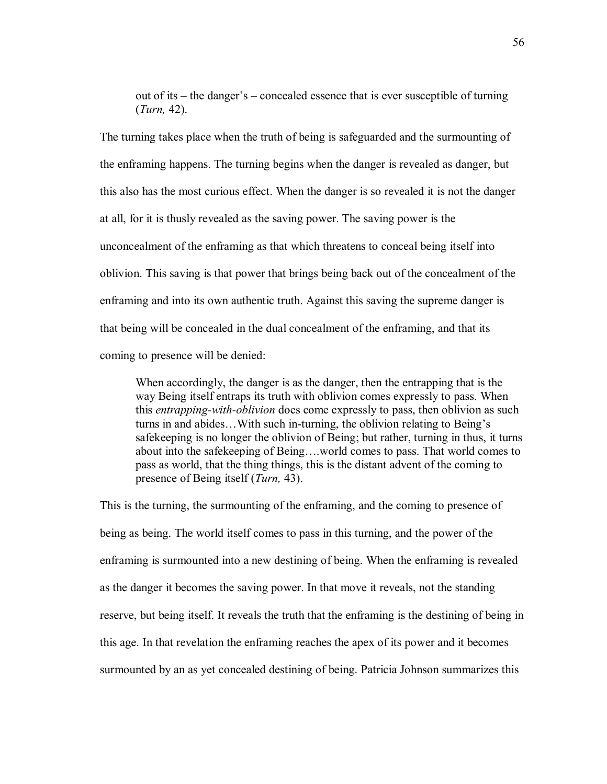out of its  $-\theta$  the danger's  $-\theta$  concealed essence that is ever susceptible of turning (*Turn,* 42).

The turning takes place when the truth of being is safeguarded and the surmounting of the enframing happens. The turning begins when the danger is revealed as danger, but this also has the most curious effect. When the danger is so revealed it is not the danger at all, for it is thusly revealed as the saving power. The saving power is the unconcealment of the enframing as that which threatens to conceal being itself into oblivion. This saving is that power that brings being back out of the concealment of the enframing and into its own authentic truth. Against this saving the supreme danger is that being will be concealed in the dual concealment of the enframing, and that its coming to presence will be denied:

When accordingly, the danger is as the danger, then the entrapping that is the way Being itself entraps its truth with oblivion comes expressly to pass. When this *entrapping-with-oblivion* does come expressly to pass, then oblivion as such turns in and abides... With such in-turning, the oblivion relating to Being's safekeeping is no longer the oblivion of Being; but rather, turning in thus, it turns about into the safekeeping of Being....world comes to pass. That world comes to pass as world, that the thing things, this is the distant advent of the coming to presence of Being itself (*Turn,* 43).

This is the turning, the surmounting of the enframing, and the coming to presence of being as being. The world itself comes to pass in this turning, and the power of the enframing is surmounted into a new destining of being. When the enframing is revealed as the danger it becomes the saving power. In that move it reveals, not the standing reserve, but being itself. It reveals the truth that the enframing is the destining of being in this age. In that revelation the enframing reaches the apex of its power and it becomes surmounted by an as yet concealed destining of being. Patricia Johnson summarizes this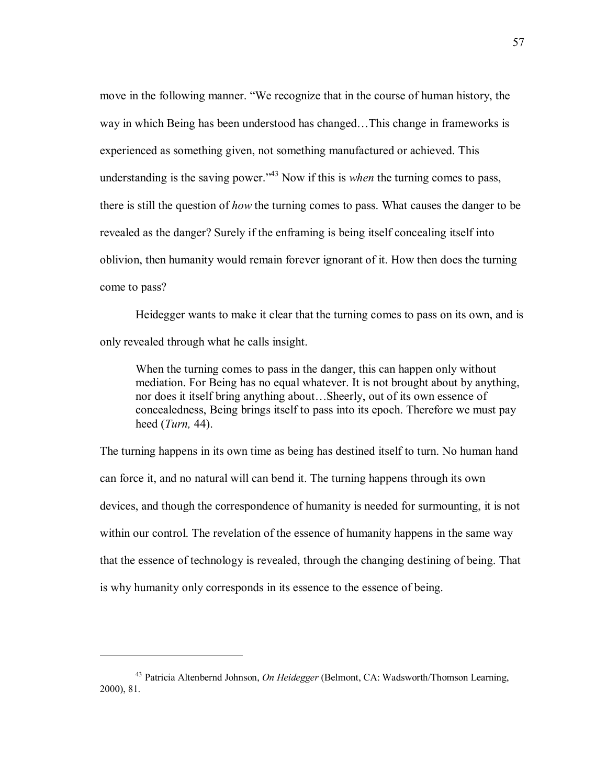move in the following manner. "We recognize that in the course of human history, the way in which Being has been understood has changed...This change in frameworks is experienced as something given, not something manufactured or achieved. This understanding is the saving power.<sup> $143$ </sup> Now if this is *when* the turning comes to pass, there is still the question of *how* the turning comes to pass. What causes the danger to be revealed as the danger? Surely if the enframing is being itself concealing itself into oblivion, then humanity would remain forever ignorant of it. How then does the turning come to pass?

 Heidegger wants to make it clear that the turning comes to pass on its own, and is only revealed through what he calls insight.

When the turning comes to pass in the danger, this can happen only without mediation. For Being has no equal whatever. It is not brought about by anything, nor does it itself bring anything about...Sheerly, out of its own essence of concealedness, Being brings itself to pass into its epoch. Therefore we must pay heed (*Turn,* 44).

The turning happens in its own time as being has destined itself to turn. No human hand can force it, and no natural will can bend it. The turning happens through its own devices, and though the correspondence of humanity is needed for surmounting, it is not within our control. The revelation of the essence of humanity happens in the same way that the essence of technology is revealed, through the changing destining of being. That is why humanity only corresponds in its essence to the essence of being.

<sup>43</sup> Patricia Altenbernd Johnson, *On Heidegger* (Belmont, CA: Wadsworth/Thomson Learning, 2000), 81.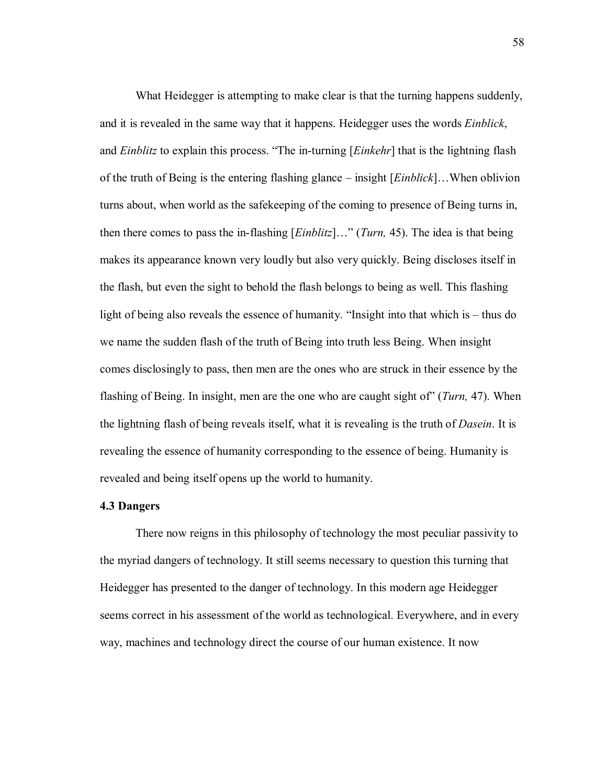What Heidegger is attempting to make clear is that the turning happens suddenly, and it is revealed in the same way that it happens. Heidegger uses the words *Einblick*, and *Einblitz* to explain this process. "The in-turning [*Einkehr*] that is the lightning flash of the truth of Being is the entering flashing glance – insight [*Einblick*]. When oblivion turns about, when world as the safekeeping of the coming to presence of Being turns in, then there comes to pass the in-flashing [*Einblitz*]..." (*Turn*, 45). The idea is that being makes its appearance known very loudly but also very quickly. Being discloses itself in the flash, but even the sight to behold the flash belongs to being as well. This flashing light of being also reveals the essence of humanity. "Insight into that which is  $-$  thus do we name the sudden flash of the truth of Being into truth less Being. When insight comes disclosingly to pass, then men are the ones who are struck in their essence by the flashing of Being. In insight, men are the one who are caught sight ofî (*Turn,* 47). When the lightning flash of being reveals itself, what it is revealing is the truth of *Dasein*. It is revealing the essence of humanity corresponding to the essence of being. Humanity is revealed and being itself opens up the world to humanity.

# **4.3 Dangers**

 There now reigns in this philosophy of technology the most peculiar passivity to the myriad dangers of technology. It still seems necessary to question this turning that Heidegger has presented to the danger of technology. In this modern age Heidegger seems correct in his assessment of the world as technological. Everywhere, and in every way, machines and technology direct the course of our human existence. It now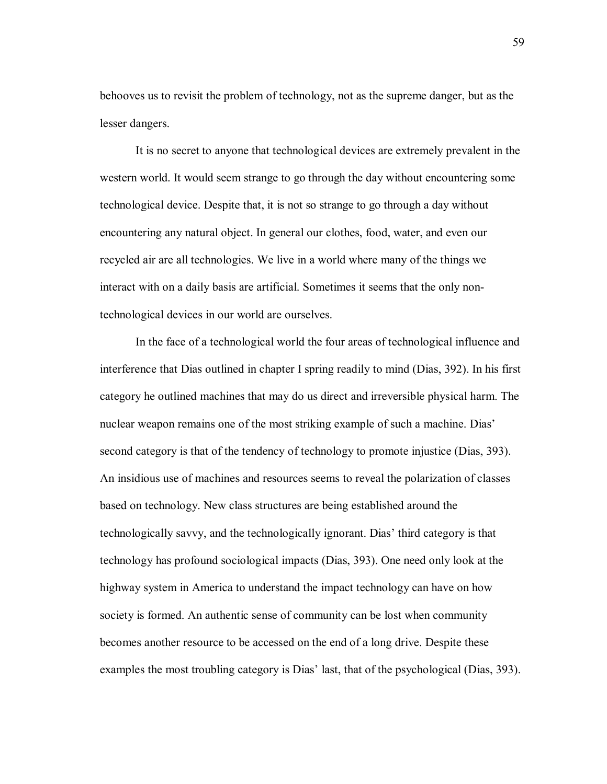behooves us to revisit the problem of technology, not as the supreme danger, but as the lesser dangers.

It is no secret to anyone that technological devices are extremely prevalent in the western world. It would seem strange to go through the day without encountering some technological device. Despite that, it is not so strange to go through a day without encountering any natural object. In general our clothes, food, water, and even our recycled air are all technologies. We live in a world where many of the things we interact with on a daily basis are artificial. Sometimes it seems that the only nontechnological devices in our world are ourselves.

In the face of a technological world the four areas of technological influence and interference that Dias outlined in chapter I spring readily to mind (Dias, 392). In his first category he outlined machines that may do us direct and irreversible physical harm. The nuclear weapon remains one of the most striking example of such a machine. Dias' second category is that of the tendency of technology to promote injustice (Dias, 393). An insidious use of machines and resources seems to reveal the polarization of classes based on technology. New class structures are being established around the technologically savvy, and the technologically ignorant. Dias' third category is that technology has profound sociological impacts (Dias, 393). One need only look at the highway system in America to understand the impact technology can have on how society is formed. An authentic sense of community can be lost when community becomes another resource to be accessed on the end of a long drive. Despite these examples the most troubling category is Dias' last, that of the psychological (Dias, 393).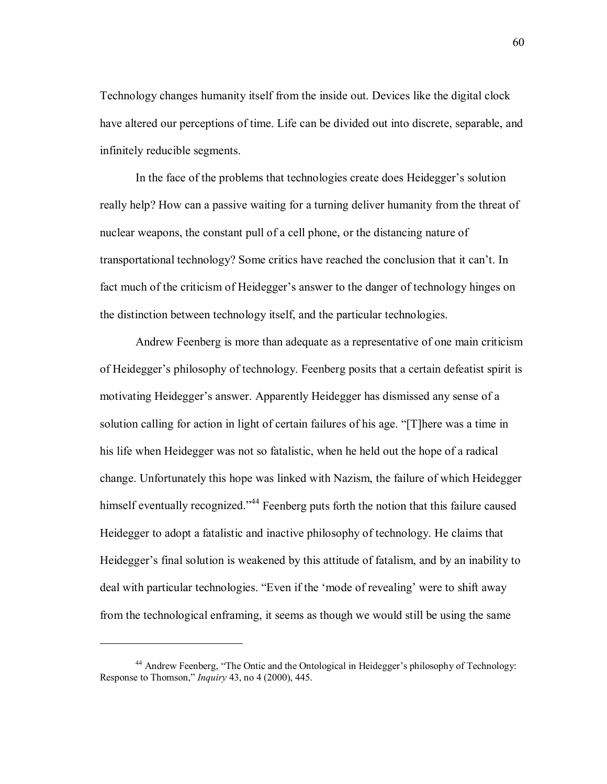Technology changes humanity itself from the inside out. Devices like the digital clock have altered our perceptions of time. Life can be divided out into discrete, separable, and infinitely reducible segments.

In the face of the problems that technologies create does Heidegger's solution really help? How can a passive waiting for a turning deliver humanity from the threat of nuclear weapons, the constant pull of a cell phone, or the distancing nature of transportational technology? Some critics have reached the conclusion that it canít. In fact much of the criticism of Heidegger's answer to the danger of technology hinges on the distinction between technology itself, and the particular technologies.

Andrew Feenberg is more than adequate as a representative of one main criticism of Heideggerís philosophy of technology. Feenberg posits that a certain defeatist spirit is motivating Heidegger's answer. Apparently Heidegger has dismissed any sense of a solution calling for action in light of certain failures of his age. "[T]here was a time in his life when Heidegger was not so fatalistic, when he held out the hope of a radical change. Unfortunately this hope was linked with Nazism, the failure of which Heidegger himself eventually recognized.<sup> $44$ </sup> Feenberg puts forth the notion that this failure caused Heidegger to adopt a fatalistic and inactive philosophy of technology. He claims that Heidegger's final solution is weakened by this attitude of fatalism, and by an inability to deal with particular technologies. "Even if the 'mode of revealing' were to shift away from the technological enframing, it seems as though we would still be using the same

<sup>&</sup>lt;sup>44</sup> Andrew Feenberg, "The Ontic and the Ontological in Heidegger's philosophy of Technology: Response to Thomson," *Inquiry* 43, no 4 (2000), 445.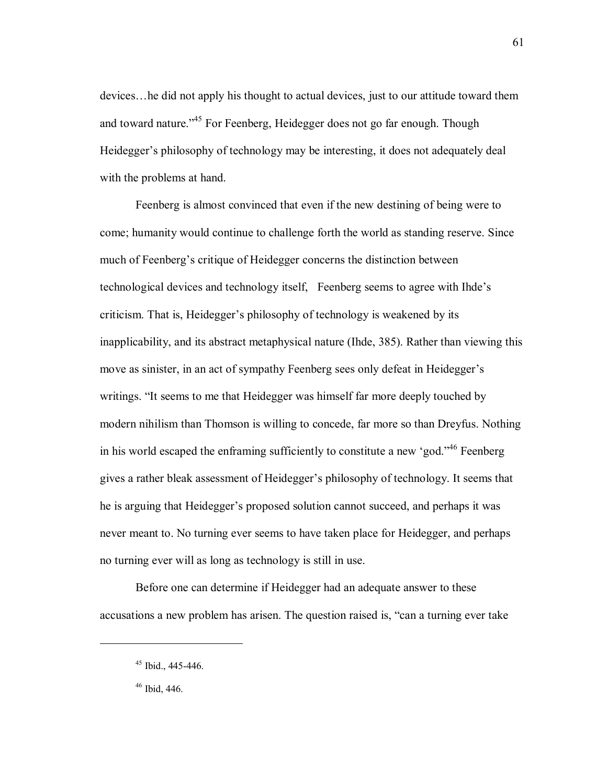devices... he did not apply his thought to actual devices, just to our attitude toward them and toward nature.<sup>45</sup> For Feenberg, Heidegger does not go far enough. Though Heidegger's philosophy of technology may be interesting, it does not adequately deal with the problems at hand.

Feenberg is almost convinced that even if the new destining of being were to come; humanity would continue to challenge forth the world as standing reserve. Since much of Feenberg's critique of Heidegger concerns the distinction between technological devices and technology itself, Feenberg seems to agree with Ihde's criticism. That is, Heidegger's philosophy of technology is weakened by its inapplicability, and its abstract metaphysical nature (Ihde, 385). Rather than viewing this move as sinister, in an act of sympathy Feenberg sees only defeat in Heidegger's writings. "It seems to me that Heidegger was himself far more deeply touched by modern nihilism than Thomson is willing to concede, far more so than Dreyfus. Nothing in his world escaped the enframing sufficiently to constitute a new 'god.<sup> $,46$ </sup> Feenberg gives a rather bleak assessment of Heidegger's philosophy of technology. It seems that he is arguing that Heidegger's proposed solution cannot succeed, and perhaps it was never meant to. No turning ever seems to have taken place for Heidegger, and perhaps no turning ever will as long as technology is still in use.

Before one can determine if Heidegger had an adequate answer to these accusations a new problem has arisen. The question raised is, "can a turning ever take

 $45$  Ibid., 445-446.

<sup>46</sup> Ibid, 446.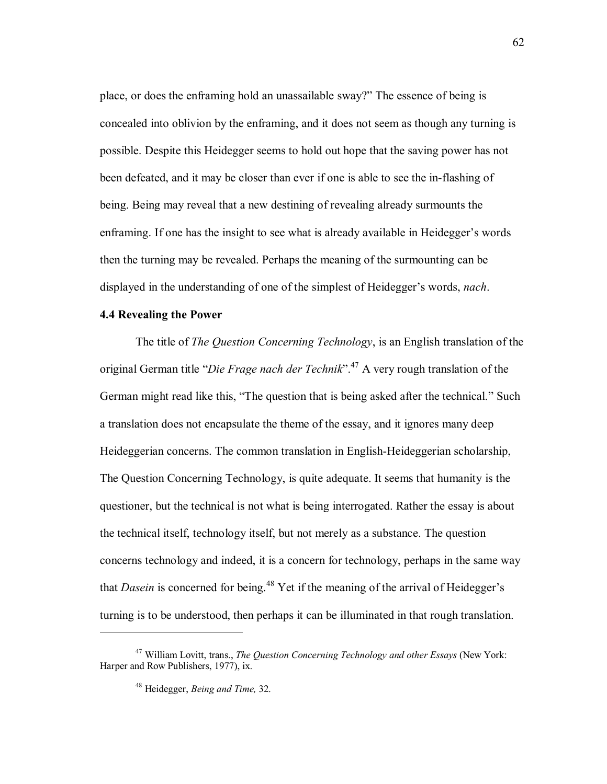place, or does the enframing hold an unassailable sway?" The essence of being is concealed into oblivion by the enframing, and it does not seem as though any turning is possible. Despite this Heidegger seems to hold out hope that the saving power has not been defeated, and it may be closer than ever if one is able to see the in-flashing of being. Being may reveal that a new destining of revealing already surmounts the enframing. If one has the insight to see what is already available in Heidegger's words then the turning may be revealed. Perhaps the meaning of the surmounting can be displayed in the understanding of one of the simplest of Heidegger's words, *nach*.

## **4.4 Revealing the Power**

The title of *The Question Concerning Technology*, is an English translation of the original German title *'Die Frage nach der Technik*<sup>?</sup>.<sup>47</sup> A very rough translation of the German might read like this, "The question that is being asked after the technical." Such a translation does not encapsulate the theme of the essay, and it ignores many deep Heideggerian concerns. The common translation in English-Heideggerian scholarship, The Question Concerning Technology, is quite adequate. It seems that humanity is the questioner, but the technical is not what is being interrogated. Rather the essay is about the technical itself, technology itself, but not merely as a substance. The question concerns technology and indeed, it is a concern for technology, perhaps in the same way that *Dasein* is concerned for being.<sup>48</sup> Yet if the meaning of the arrival of Heidegger's turning is to be understood, then perhaps it can be illuminated in that rough translation.

<sup>47</sup> William Lovitt, trans., *The Question Concerning Technology and other Essays* (New York: Harper and Row Publishers, 1977), ix.

<sup>48</sup> Heidegger, *Being and Time,* 32.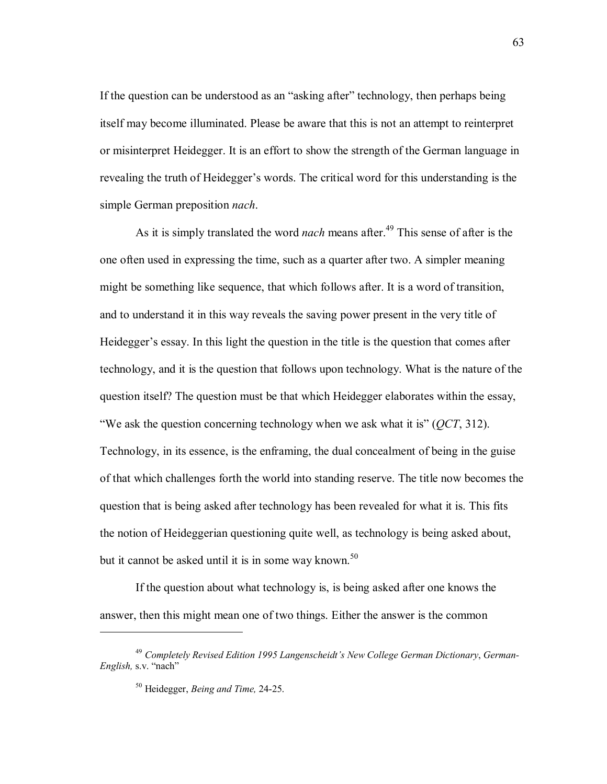If the question can be understood as an "asking after" technology, then perhaps being itself may become illuminated. Please be aware that this is not an attempt to reinterpret or misinterpret Heidegger. It is an effort to show the strength of the German language in revealing the truth of Heidegger's words. The critical word for this understanding is the simple German preposition *nach*.

As it is simply translated the word *nach* means after.<sup>49</sup> This sense of after is the one often used in expressing the time, such as a quarter after two. A simpler meaning might be something like sequence, that which follows after. It is a word of transition, and to understand it in this way reveals the saving power present in the very title of Heidegger's essay. In this light the question in the title is the question that comes after technology, and it is the question that follows upon technology. What is the nature of the question itself? The question must be that which Heidegger elaborates within the essay, Eightharrow ask the question concerning technology when we ask what it is"  $(QCT, 312)$ . Technology, in its essence, is the enframing, the dual concealment of being in the guise of that which challenges forth the world into standing reserve. The title now becomes the question that is being asked after technology has been revealed for what it is. This fits the notion of Heideggerian questioning quite well, as technology is being asked about, but it cannot be asked until it is in some way known.<sup>50</sup>

If the question about what technology is, is being asked after one knows the answer, then this might mean one of two things. Either the answer is the common

<sup>&</sup>lt;sup>49</sup> Completely Revised Edition 1995 Langenscheidt's New College German Dictionary, German-*English*, s.v. "nach"

<sup>50</sup> Heidegger, *Being and Time,* 24-25.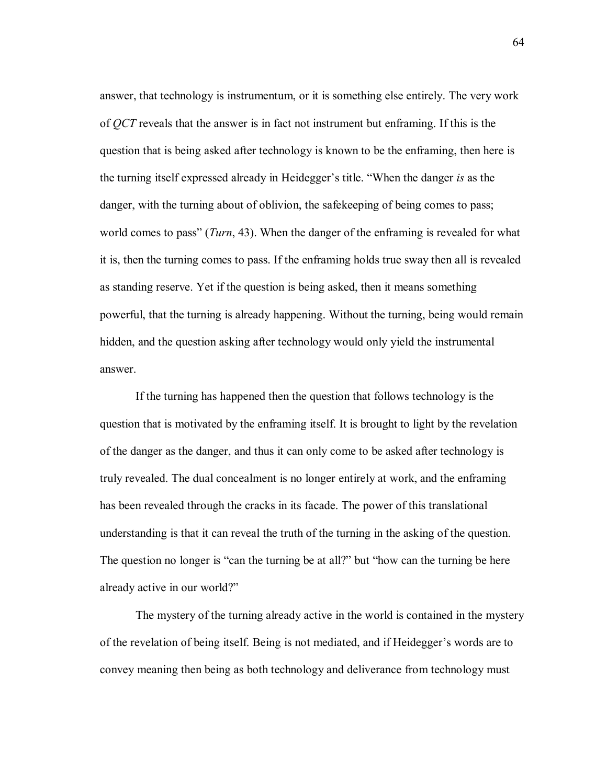answer, that technology is instrumentum, or it is something else entirely. The very work of *QCT* reveals that the answer is in fact not instrument but enframing. If this is the question that is being asked after technology is known to be the enframing, then here is the turning itself expressed already in Heidegger's title. "When the danger *is* as the danger, with the turning about of oblivion, the safekeeping of being comes to pass; world comes to pass" (*Turn*, 43). When the danger of the enframing is revealed for what it is, then the turning comes to pass. If the enframing holds true sway then all is revealed as standing reserve. Yet if the question is being asked, then it means something powerful, that the turning is already happening. Without the turning, being would remain hidden, and the question asking after technology would only yield the instrumental answer.

If the turning has happened then the question that follows technology is the question that is motivated by the enframing itself. It is brought to light by the revelation of the danger as the danger, and thus it can only come to be asked after technology is truly revealed. The dual concealment is no longer entirely at work, and the enframing has been revealed through the cracks in its facade. The power of this translational understanding is that it can reveal the truth of the turning in the asking of the question. The question no longer is "can the turning be at all?" but "how can the turning be here already active in our world?"

The mystery of the turning already active in the world is contained in the mystery of the revelation of being itself. Being is not mediated, and if Heidegger's words are to convey meaning then being as both technology and deliverance from technology must

64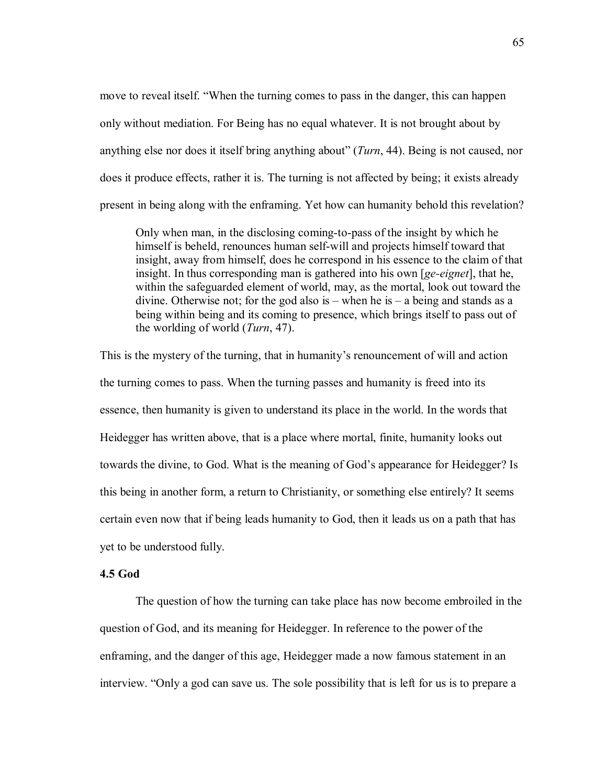move to reveal itself. "When the turning comes to pass in the danger, this can happen only without mediation. For Being has no equal whatever. It is not brought about by anything else nor does it itself bring anything about" (*Turn*, 44). Being is not caused, nor does it produce effects, rather it is. The turning is not affected by being; it exists already present in being along with the enframing. Yet how can humanity behold this revelation?

Only when man, in the disclosing coming-to-pass of the insight by which he himself is beheld, renounces human self-will and projects himself toward that insight, away from himself, does he correspond in his essence to the claim of that insight. In thus corresponding man is gathered into his own [*ge-eignet*], that he, within the safeguarded element of world, may, as the mortal, look out toward the divine. Otherwise not; for the god also is – when he is – a being and stands as a being within being and its coming to presence, which brings itself to pass out of the worlding of world (*Turn*, 47).

This is the mystery of the turning, that in humanity's renouncement of will and action the turning comes to pass. When the turning passes and humanity is freed into its essence, then humanity is given to understand its place in the world. In the words that Heidegger has written above, that is a place where mortal, finite, humanity looks out towards the divine, to God. What is the meaning of God's appearance for Heidegger? Is this being in another form, a return to Christianity, or something else entirely? It seems certain even now that if being leads humanity to God, then it leads us on a path that has yet to be understood fully.

# **4.5 God**

 The question of how the turning can take place has now become embroiled in the question of God, and its meaning for Heidegger. In reference to the power of the enframing, and the danger of this age, Heidegger made a now famous statement in an interview. "Only a god can save us. The sole possibility that is left for us is to prepare a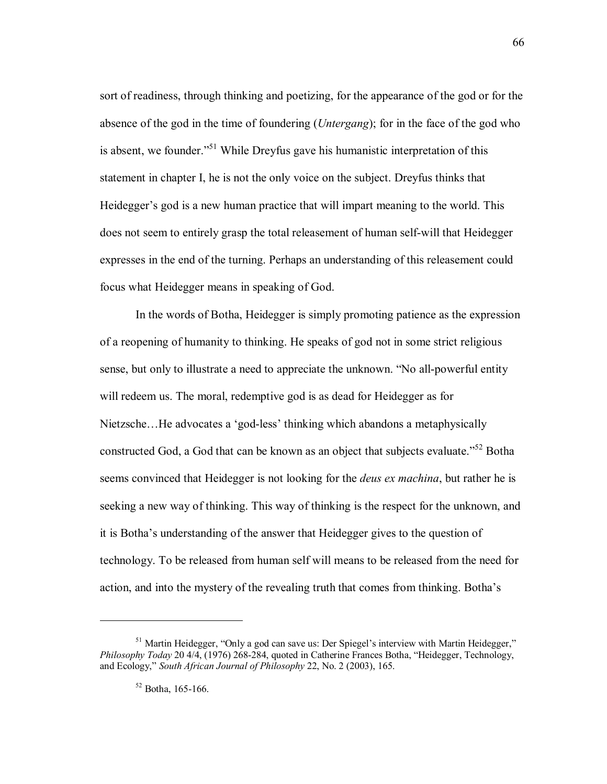sort of readiness, through thinking and poetizing, for the appearance of the god or for the absence of the god in the time of foundering (*Untergang*); for in the face of the god who is absent, we founder.<sup> $51$ </sup> While Dreyfus gave his humanistic interpretation of this statement in chapter I, he is not the only voice on the subject. Dreyfus thinks that Heidegger's god is a new human practice that will impart meaning to the world. This does not seem to entirely grasp the total releasement of human self-will that Heidegger expresses in the end of the turning. Perhaps an understanding of this releasement could focus what Heidegger means in speaking of God.

In the words of Botha, Heidegger is simply promoting patience as the expression of a reopening of humanity to thinking. He speaks of god not in some strict religious sense, but only to illustrate a need to appreciate the unknown. *"No all-powerful entity* will redeem us. The moral, redemptive god is as dead for Heidegger as for Nietzsche...He advocates a 'god-less' thinking which abandons a metaphysically constructed God, a God that can be known as an object that subjects evaluate.<sup> $52$ </sup> Botha seems convinced that Heidegger is not looking for the *deus ex machina*, but rather he is seeking a new way of thinking. This way of thinking is the respect for the unknown, and it is Botha's understanding of the answer that Heidegger gives to the question of technology. To be released from human self will means to be released from the need for action, and into the mystery of the revealing truth that comes from thinking. Botha's

 $51$  Martin Heidegger, "Only a god can save us: Der Spiegel's interview with Martin Heidegger," *Philosophy Today* 20 4/4, (1976) 268-284, quoted in Catherine Frances Botha, "Heidegger, Technology, and Ecology," *South African Journal of Philosophy* 22, No. 2 (2003), 165.

 $52$  Botha, 165-166.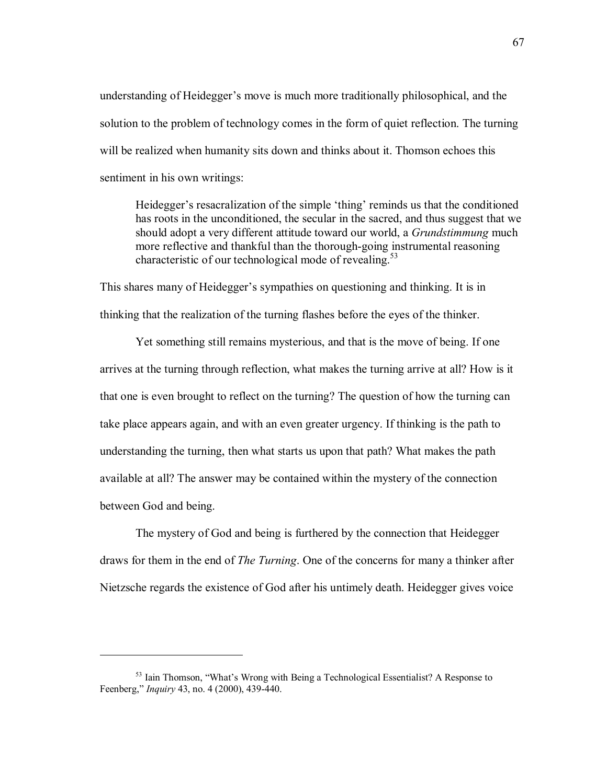understanding of Heidegger's move is much more traditionally philosophical, and the solution to the problem of technology comes in the form of quiet reflection. The turning will be realized when humanity sits down and thinks about it. Thomson echoes this sentiment in his own writings:

Heidegger's resacralization of the simple 'thing' reminds us that the conditioned has roots in the unconditioned, the secular in the sacred, and thus suggest that we should adopt a very different attitude toward our world, a *Grundstimmung* much more reflective and thankful than the thorough-going instrumental reasoning characteristic of our technological mode of revealing.<sup>53</sup>

This shares many of Heidegger's sympathies on questioning and thinking. It is in thinking that the realization of the turning flashes before the eyes of the thinker.

Yet something still remains mysterious, and that is the move of being. If one arrives at the turning through reflection, what makes the turning arrive at all? How is it that one is even brought to reflect on the turning? The question of how the turning can take place appears again, and with an even greater urgency. If thinking is the path to understanding the turning, then what starts us upon that path? What makes the path available at all? The answer may be contained within the mystery of the connection between God and being.

The mystery of God and being is furthered by the connection that Heidegger draws for them in the end of *The Turning*. One of the concerns for many a thinker after Nietzsche regards the existence of God after his untimely death. Heidegger gives voice

 $53$  Iain Thomson, "What's Wrong with Being a Technological Essentialist? A Response to Feenberg,î *Inquiry* 43, no. 4 (2000), 439-440.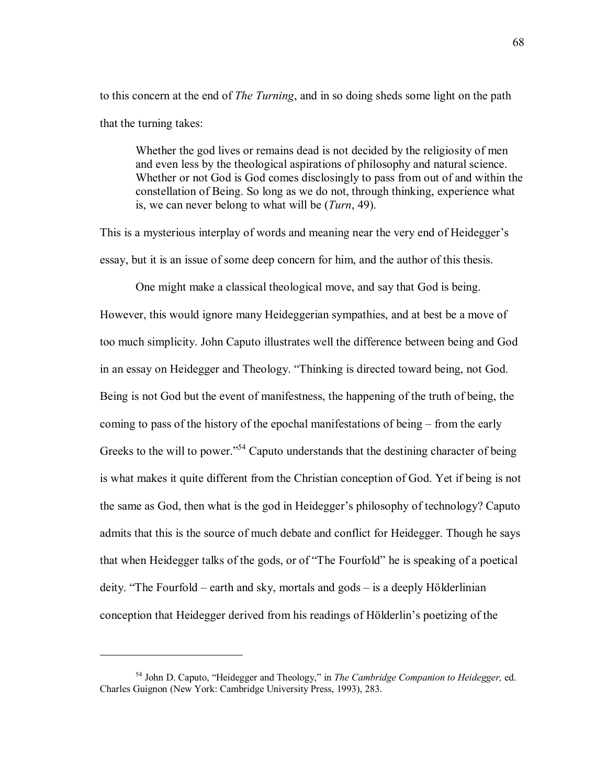to this concern at the end of *The Turning*, and in so doing sheds some light on the path that the turning takes:

Whether the god lives or remains dead is not decided by the religiosity of men and even less by the theological aspirations of philosophy and natural science. Whether or not God is God comes disclosingly to pass from out of and within the constellation of Being. So long as we do not, through thinking, experience what is, we can never belong to what will be (*Turn*, 49).

This is a mysterious interplay of words and meaning near the very end of Heidegger's essay, but it is an issue of some deep concern for him, and the author of this thesis.

One might make a classical theological move, and say that God is being. However, this would ignore many Heideggerian sympathies, and at best be a move of too much simplicity. John Caputo illustrates well the difference between being and God in an essay on Heidegger and Theology. "Thinking is directed toward being, not God. Being is not God but the event of manifestness, the happening of the truth of being, the coming to pass of the history of the epochal manifestations of being  $-$  from the early Greeks to the will to power.<sup> $554$ </sup> Caputo understands that the destining character of being is what makes it quite different from the Christian conception of God. Yet if being is not the same as God, then what is the god in Heidegger's philosophy of technology? Caputo admits that this is the source of much debate and conflict for Heidegger. Though he says that when Heidegger talks of the gods, or of "The Fourfold" he is speaking of a poetical deity. "The Fourfold – earth and sky, mortals and gods – is a deeply Hölderlinian conception that Heidegger derived from his readings of Hölderlin's poetizing of the

<sup>&</sup>lt;sup>54</sup> John D. Caputo, "Heidegger and Theology," in *The Cambridge Companion to Heidegger*, ed. Charles Guignon (New York: Cambridge University Press, 1993), 283.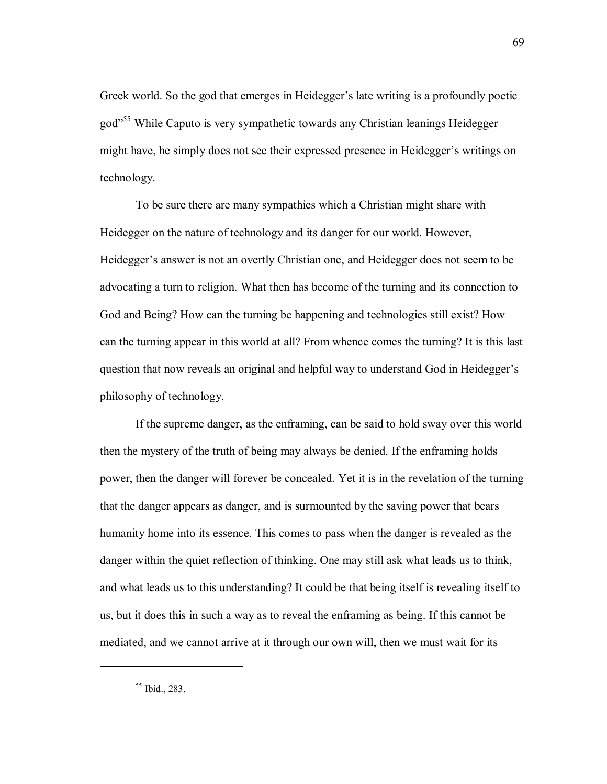Greek world. So the god that emerges in Heidegger's late writing is a profoundly poetic god<sup>355</sup> While Caputo is very sympathetic towards any Christian leanings Heidegger might have, he simply does not see their expressed presence in Heidegger's writings on technology.

To be sure there are many sympathies which a Christian might share with Heidegger on the nature of technology and its danger for our world. However, Heidegger's answer is not an overtly Christian one, and Heidegger does not seem to be advocating a turn to religion. What then has become of the turning and its connection to God and Being? How can the turning be happening and technologies still exist? How can the turning appear in this world at all? From whence comes the turning? It is this last question that now reveals an original and helpful way to understand God in Heidegger's philosophy of technology.

If the supreme danger, as the enframing, can be said to hold sway over this world then the mystery of the truth of being may always be denied. If the enframing holds power, then the danger will forever be concealed. Yet it is in the revelation of the turning that the danger appears as danger, and is surmounted by the saving power that bears humanity home into its essence. This comes to pass when the danger is revealed as the danger within the quiet reflection of thinking. One may still ask what leads us to think, and what leads us to this understanding? It could be that being itself is revealing itself to us, but it does this in such a way as to reveal the enframing as being. If this cannot be mediated, and we cannot arrive at it through our own will, then we must wait for its

 $55$  Ibid., 283.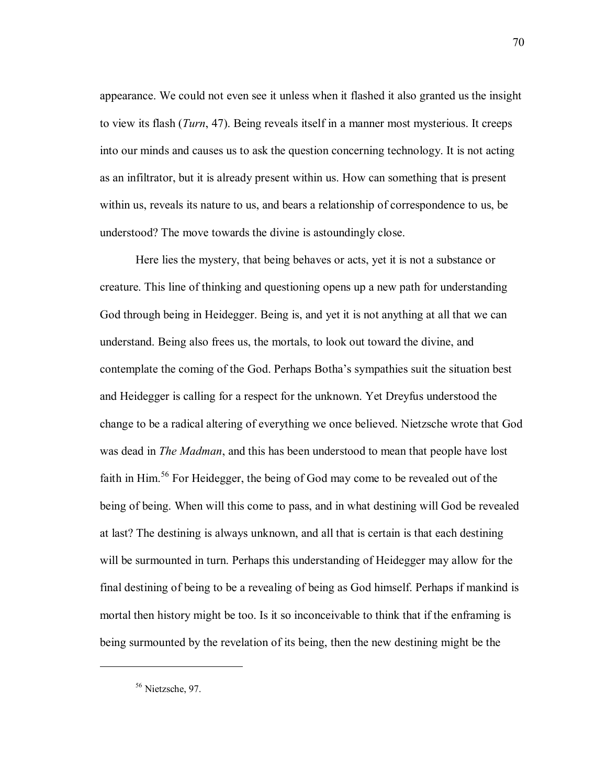appearance. We could not even see it unless when it flashed it also granted us the insight to view its flash (*Turn*, 47). Being reveals itself in a manner most mysterious. It creeps into our minds and causes us to ask the question concerning technology. It is not acting as an infiltrator, but it is already present within us. How can something that is present within us, reveals its nature to us, and bears a relationship of correspondence to us, be understood? The move towards the divine is astoundingly close.

Here lies the mystery, that being behaves or acts, yet it is not a substance or creature. This line of thinking and questioning opens up a new path for understanding God through being in Heidegger. Being is, and yet it is not anything at all that we can understand. Being also frees us, the mortals, to look out toward the divine, and contemplate the coming of the God. Perhaps Bothaís sympathies suit the situation best and Heidegger is calling for a respect for the unknown. Yet Dreyfus understood the change to be a radical altering of everything we once believed. Nietzsche wrote that God was dead in *The Madman*, and this has been understood to mean that people have lost faith in Him.56 For Heidegger, the being of God may come to be revealed out of the being of being. When will this come to pass, and in what destining will God be revealed at last? The destining is always unknown, and all that is certain is that each destining will be surmounted in turn. Perhaps this understanding of Heidegger may allow for the final destining of being to be a revealing of being as God himself. Perhaps if mankind is mortal then history might be too. Is it so inconceivable to think that if the enframing is being surmounted by the revelation of its being, then the new destining might be the

<sup>56</sup> Nietzsche, 97.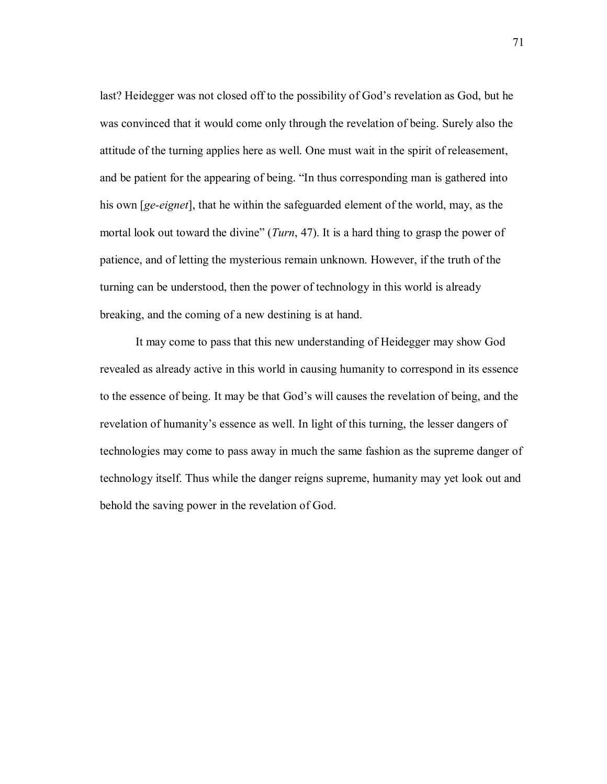last? Heidegger was not closed off to the possibility of God's revelation as God, but he was convinced that it would come only through the revelation of being. Surely also the attitude of the turning applies here as well. One must wait in the spirit of releasement, and be patient for the appearing of being. "In thus corresponding man is gathered into his own [*ge-eignet*], that he within the safeguarded element of the world, may, as the mortal look out toward the divine" (*Turn*, 47). It is a hard thing to grasp the power of patience, and of letting the mysterious remain unknown. However, if the truth of the turning can be understood, then the power of technology in this world is already breaking, and the coming of a new destining is at hand.

It may come to pass that this new understanding of Heidegger may show God revealed as already active in this world in causing humanity to correspond in its essence to the essence of being. It may be that God's will causes the revelation of being, and the revelation of humanity's essence as well. In light of this turning, the lesser dangers of technologies may come to pass away in much the same fashion as the supreme danger of technology itself. Thus while the danger reigns supreme, humanity may yet look out and behold the saving power in the revelation of God.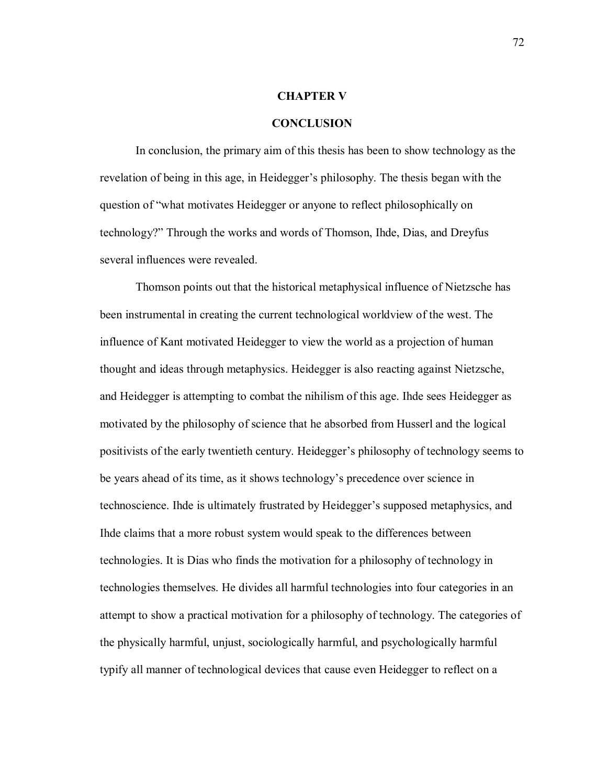## **CHAPTER V**

## **CONCLUSION**

In conclusion, the primary aim of this thesis has been to show technology as the revelation of being in this age, in Heidegger's philosophy. The thesis began with the question of "what motivates Heidegger or anyone to reflect philosophically on technology?î Through the works and words of Thomson, Ihde, Dias, and Dreyfus several influences were revealed.

Thomson points out that the historical metaphysical influence of Nietzsche has been instrumental in creating the current technological worldview of the west. The influence of Kant motivated Heidegger to view the world as a projection of human thought and ideas through metaphysics. Heidegger is also reacting against Nietzsche, and Heidegger is attempting to combat the nihilism of this age. Ihde sees Heidegger as motivated by the philosophy of science that he absorbed from Husserl and the logical positivists of the early twentieth century. Heidegger's philosophy of technology seems to be years ahead of its time, as it shows technology's precedence over science in technoscience. Ihde is ultimately frustrated by Heidegger's supposed metaphysics, and Ihde claims that a more robust system would speak to the differences between technologies. It is Dias who finds the motivation for a philosophy of technology in technologies themselves. He divides all harmful technologies into four categories in an attempt to show a practical motivation for a philosophy of technology. The categories of the physically harmful, unjust, sociologically harmful, and psychologically harmful typify all manner of technological devices that cause even Heidegger to reflect on a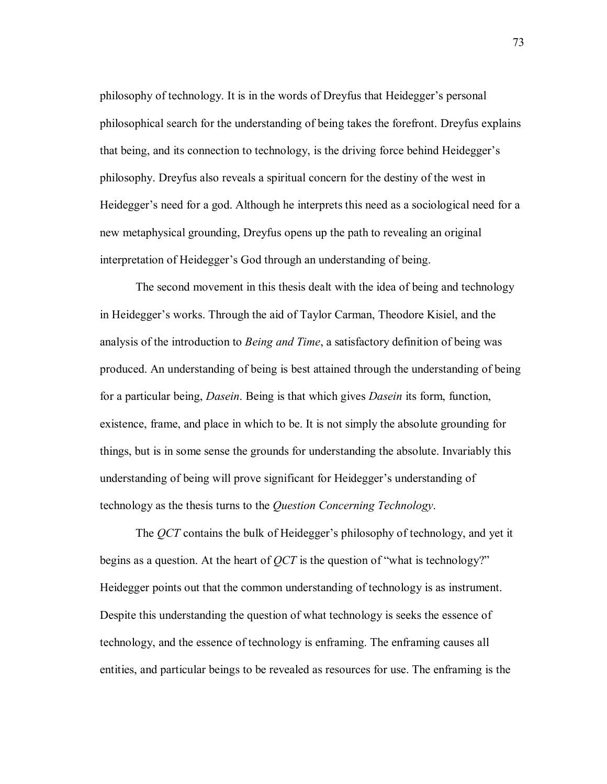philosophy of technology. It is in the words of Dreyfus that Heidegger's personal philosophical search for the understanding of being takes the forefront. Dreyfus explains that being, and its connection to technology, is the driving force behind Heidegger's philosophy. Dreyfus also reveals a spiritual concern for the destiny of the west in Heidegger's need for a god. Although he interprets this need as a sociological need for a new metaphysical grounding, Dreyfus opens up the path to revealing an original interpretation of Heidegger's God through an understanding of being.

The second movement in this thesis dealt with the idea of being and technology in Heidegger's works. Through the aid of Taylor Carman, Theodore Kisiel, and the analysis of the introduction to *Being and Time*, a satisfactory definition of being was produced. An understanding of being is best attained through the understanding of being for a particular being, *Dasein*. Being is that which gives *Dasein* its form, function, existence, frame, and place in which to be. It is not simply the absolute grounding for things, but is in some sense the grounds for understanding the absolute. Invariably this understanding of being will prove significant for Heidegger's understanding of technology as the thesis turns to the *Question Concerning Technology*.

The *QCT* contains the bulk of Heidegger's philosophy of technology, and yet it begins as a question. At the heart of  $QCT$  is the question of "what is technology?" Heidegger points out that the common understanding of technology is as instrument. Despite this understanding the question of what technology is seeks the essence of technology, and the essence of technology is enframing. The enframing causes all entities, and particular beings to be revealed as resources for use. The enframing is the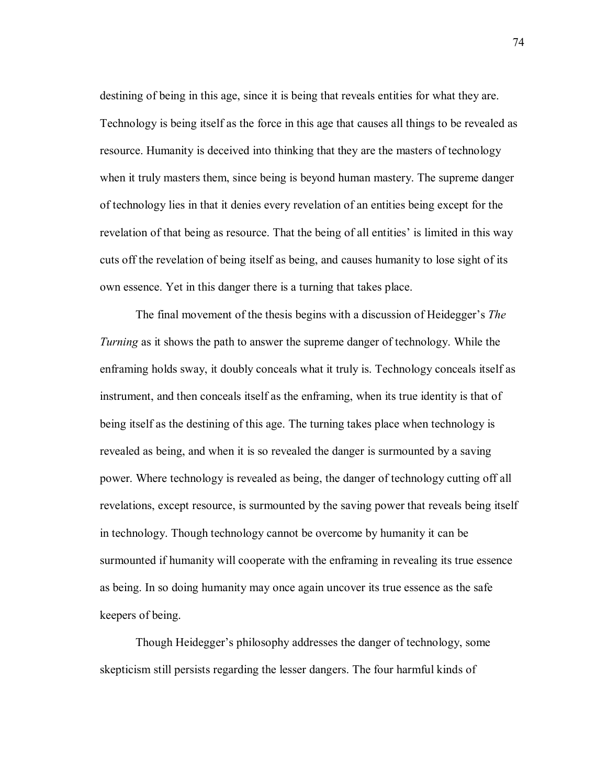destining of being in this age, since it is being that reveals entities for what they are. Technology is being itself as the force in this age that causes all things to be revealed as resource. Humanity is deceived into thinking that they are the masters of technology when it truly masters them, since being is beyond human mastery. The supreme danger of technology lies in that it denies every revelation of an entities being except for the revelation of that being as resource. That the being of all entities' is limited in this way cuts off the revelation of being itself as being, and causes humanity to lose sight of its own essence. Yet in this danger there is a turning that takes place.

The final movement of the thesis begins with a discussion of Heidegger's *The Turning* as it shows the path to answer the supreme danger of technology. While the enframing holds sway, it doubly conceals what it truly is. Technology conceals itself as instrument, and then conceals itself as the enframing, when its true identity is that of being itself as the destining of this age. The turning takes place when technology is revealed as being, and when it is so revealed the danger is surmounted by a saving power. Where technology is revealed as being, the danger of technology cutting off all revelations, except resource, is surmounted by the saving power that reveals being itself in technology. Though technology cannot be overcome by humanity it can be surmounted if humanity will cooperate with the enframing in revealing its true essence as being. In so doing humanity may once again uncover its true essence as the safe keepers of being.

Though Heidegger's philosophy addresses the danger of technology, some skepticism still persists regarding the lesser dangers. The four harmful kinds of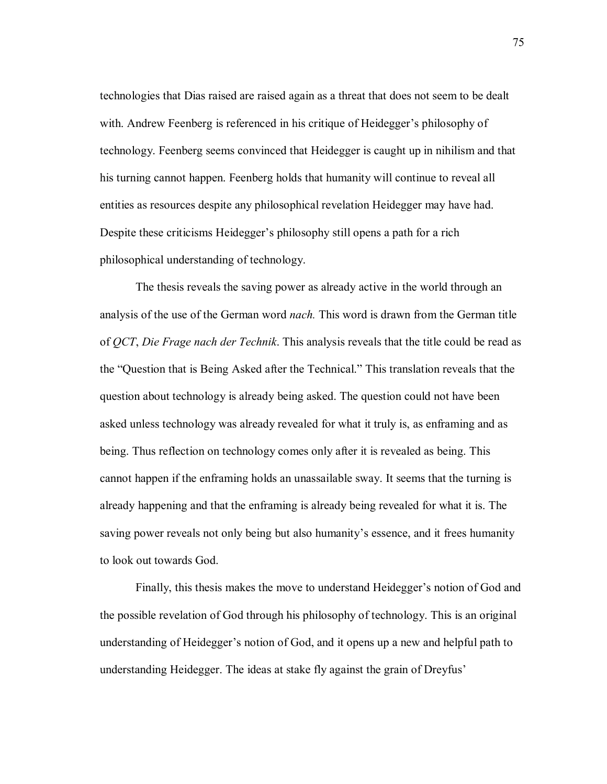technologies that Dias raised are raised again as a threat that does not seem to be dealt with. Andrew Feenberg is referenced in his critique of Heidegger's philosophy of technology. Feenberg seems convinced that Heidegger is caught up in nihilism and that his turning cannot happen. Feenberg holds that humanity will continue to reveal all entities as resources despite any philosophical revelation Heidegger may have had. Despite these criticisms Heidegger's philosophy still opens a path for a rich philosophical understanding of technology.

The thesis reveals the saving power as already active in the world through an analysis of the use of the German word *nach.* This word is drawn from the German title of *QCT*, *Die Frage nach der Technik*. This analysis reveals that the title could be read as the "Question that is Being Asked after the Technical." This translation reveals that the question about technology is already being asked. The question could not have been asked unless technology was already revealed for what it truly is, as enframing and as being. Thus reflection on technology comes only after it is revealed as being. This cannot happen if the enframing holds an unassailable sway. It seems that the turning is already happening and that the enframing is already being revealed for what it is. The saving power reveals not only being but also humanity's essence, and it frees humanity to look out towards God.

Finally, this thesis makes the move to understand Heidegger's notion of God and the possible revelation of God through his philosophy of technology. This is an original understanding of Heidegger's notion of God, and it opens up a new and helpful path to understanding Heidegger. The ideas at stake fly against the grain of Dreyfus'

75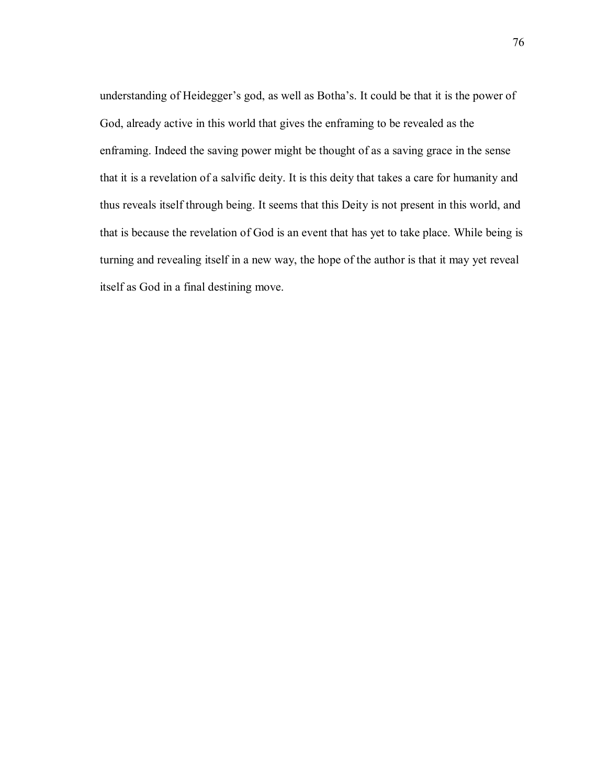understanding of Heidegger's god, as well as Botha's. It could be that it is the power of God, already active in this world that gives the enframing to be revealed as the enframing. Indeed the saving power might be thought of as a saving grace in the sense that it is a revelation of a salvific deity. It is this deity that takes a care for humanity and thus reveals itself through being. It seems that this Deity is not present in this world, and that is because the revelation of God is an event that has yet to take place. While being is turning and revealing itself in a new way, the hope of the author is that it may yet reveal itself as God in a final destining move.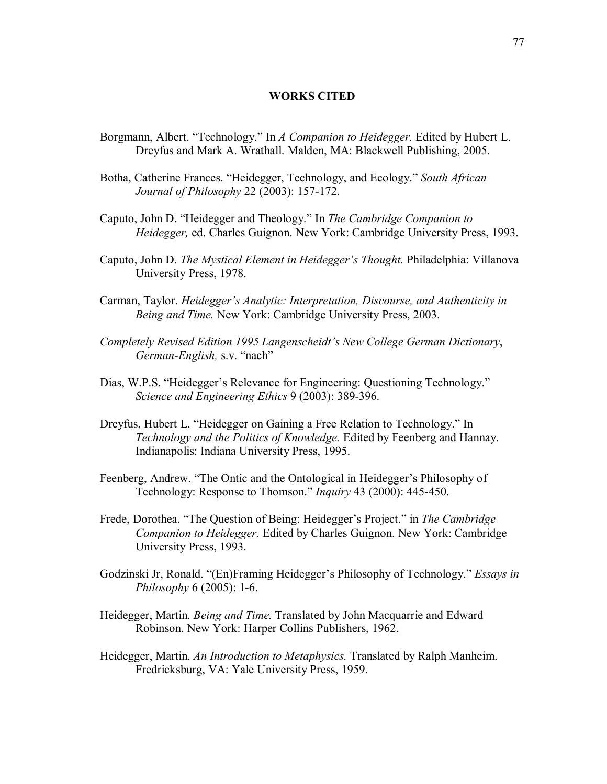## **WORKS CITED**

- Borgmann, Albert. "Technology." In *A Companion to Heidegger*. Edited by Hubert L. Dreyfus and Mark A. Wrathall. Malden, MA: Blackwell Publishing, 2005.
- Botha, Catherine Frances. "Heidegger, Technology, and Ecology." *South African Journal of Philosophy* 22 (2003): 157-172.
- Caputo, John D. "Heidegger and Theology." In *The Cambridge Companion to Heidegger,* ed. Charles Guignon. New York: Cambridge University Press, 1993.
- Caputo, John D. *The Mystical Element in Heidegger's Thought*. Philadelphia: Villanova University Press, 1978.
- Carman, Taylor. *Heidegger's Analytic: Interpretation, Discourse, and Authenticity in Being and Time.* New York: Cambridge University Press, 2003.
- *Completely Revised Edition 1995 Langenscheidt's New College German Dictionary, German-English, s.v.* "nach"
- Dias, W.P.S. "Heidegger's Relevance for Engineering: Questioning Technology." *Science and Engineering Ethics* 9 (2003): 389-396.
- Dreyfus, Hubert L. "Heidegger on Gaining a Free Relation to Technology." In *Technology and the Politics of Knowledge.* Edited by Feenberg and Hannay. Indianapolis: Indiana University Press, 1995.
- Feenberg, Andrew. "The Ontic and the Ontological in Heidegger's Philosophy of Technology: Response to Thomson." *Inquiry* 43 (2000): 445-450.
- Frede, Dorothea. "The Question of Being: Heidegger's Project." in *The Cambridge Companion to Heidegger.* Edited by Charles Guignon. New York: Cambridge University Press, 1993.
- Godzinski Jr, Ronald. "(En)Framing Heidegger's Philosophy of Technology." *Essays in Philosophy* 6 (2005): 1-6.
- Heidegger, Martin. *Being and Time.* Translated by John Macquarrie and Edward Robinson. New York: Harper Collins Publishers, 1962.
- Heidegger, Martin. *An Introduction to Metaphysics.* Translated by Ralph Manheim. Fredricksburg, VA: Yale University Press, 1959.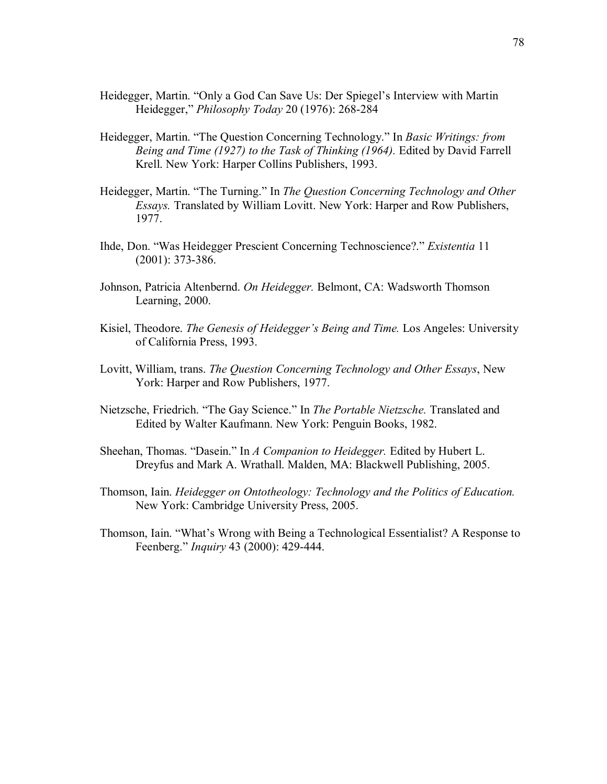- Heidegger, Martin. "Only a God Can Save Us: Der Spiegel's Interview with Martin Heidegger,î *Philosophy Today* 20 (1976): 268-284
- Heidegger, Martin. "The Question Concerning Technology." In *Basic Writings: from Being and Time (1927) to the Task of Thinking (1964).* Edited by David Farrell Krell. New York: Harper Collins Publishers, 1993.
- Heidegger, Martin. "The Turning." In *The Question Concerning Technology and Other Essays.* Translated by William Lovitt. New York: Harper and Row Publishers, 1977.
- Ihde, Don. ìWas Heidegger Prescient Concerning Technoscience?.î *Existentia* 11 (2001): 373-386.
- Johnson, Patricia Altenbernd. *On Heidegger.* Belmont, CA: Wadsworth Thomson Learning, 2000.
- Kisiel, Theodore. *The Genesis of Heideggerís Being and Time.* Los Angeles: University of California Press, 1993.
- Lovitt, William, trans. *The Question Concerning Technology and Other Essays*, New York: Harper and Row Publishers, 1977.
- Nietzsche, Friedrich. ìThe Gay Science.î In *The Portable Nietzsche.* Translated and Edited by Walter Kaufmann. New York: Penguin Books, 1982.
- Sheehan, Thomas. "Dasein." In *A Companion to Heidegger*. Edited by Hubert L. Dreyfus and Mark A. Wrathall. Malden, MA: Blackwell Publishing, 2005.
- Thomson, Iain. *Heidegger on Ontotheology: Technology and the Politics of Education.* New York: Cambridge University Press, 2005.
- Thomson, Iain. "What's Wrong with Being a Technological Essentialist? A Response to Feenberg.î *Inquiry* 43 (2000): 429-444.